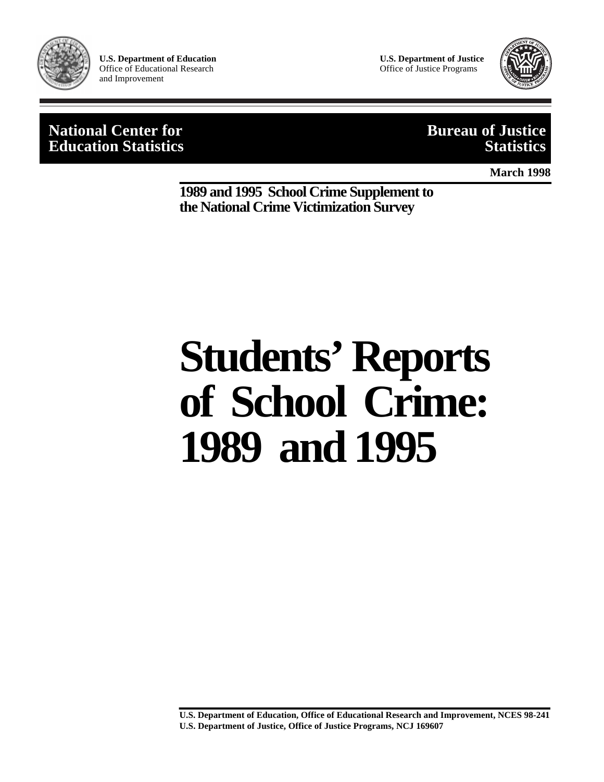

**U.S. Department of Education**  Office of Educational Research and Improvement

**U.S. Department of Justice** Office of Justice Programs



## **National Center for Bureau of Justice Education Statistics**

**March 1998**

**1989 and 1995 School Crime Supplement to the National Crime Victimization Survey**

# **Students' Reports of School Crime: 1989 and 1995**

**U.S. Department of Education, Office of Educational Research and Improvement, NCES 98-241 U.S. Department of Justice, Office of Justice Programs, NCJ 169607**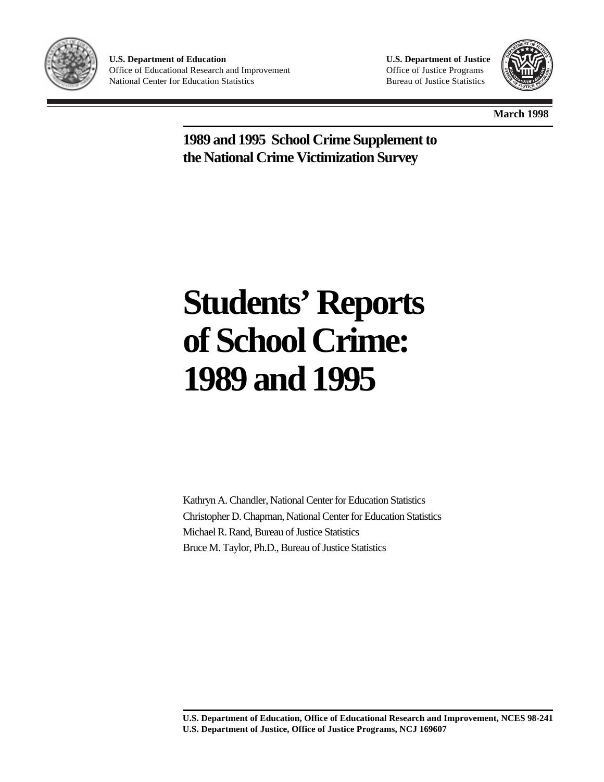

**U.S. Department of Education**  Office of Educational Research and Improvement National Center for Education Statistics

**U.S. Department of Justice** Office of Justice Programs Bureau of Justice Statistics



**March 1998**

**1989 and 1995 School Crime Supplement to the National Crime Victimization Survey**

## **Students' Reports of School Crime: 1989 and 1995**

Kathryn A. Chandler, National Center for Education Statistics Christopher D. Chapman, National Center for Education Statistics Michael R. Rand, Bureau of Justice Statistics Bruce M. Taylor, Ph.D., Bureau of Justice Statistics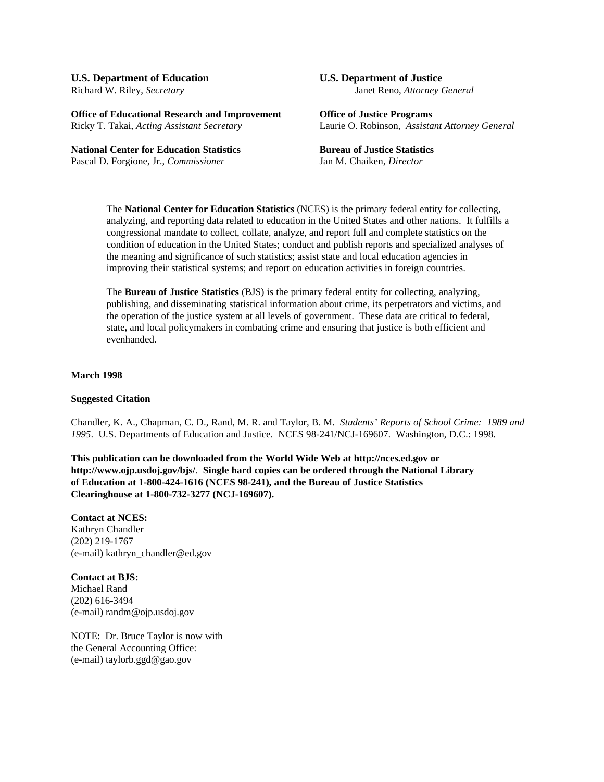## **U.S. Department of Education U.S. Department of Justice**

**Office of Educational Research and Improvement Office of Justice Programs** Ricky T. Takai, *Acting Assistant Secretary* Laurie O. Robinson, *Assistant Attorney General*

**National Center for Education Statistics Bureau of Justice Statistics** Pascal D. Forgione, Jr., *Commissioner* Jan M. Chaiken, *Director*

## Richard W. Riley, *Secretary* Janet Reno, *Attorney General*

The **National Center for Education Statistics** (NCES) is the primary federal entity for collecting, analyzing, and reporting data related to education in the United States and other nations. It fulfills a congressional mandate to collect, collate, analyze, and report full and complete statistics on the condition of education in the United States; conduct and publish reports and specialized analyses of the meaning and significance of such statistics; assist state and local education agencies in improving their statistical systems; and report on education activities in foreign countries.

The **Bureau of Justice Statistics** (BJS) is the primary federal entity for collecting, analyzing, publishing, and disseminating statistical information about crime, its perpetrators and victims, and the operation of the justice system at all levels of government. These data are critical to federal, state, and local policymakers in combating crime and ensuring that justice is both efficient and evenhanded.

#### **March 1998**

#### **Suggested Citation**

Chandler, K. A., Chapman, C. D., Rand, M. R. and Taylor, B. M. *Students' Reports of School Crime: 1989 and 1995*. U.S. Departments of Education and Justice. NCES 98-241/NCJ-169607. Washington, D.C.: 1998.

**This publication can be downloaded from the World Wide Web at http://nces.ed.gov or http://www.ojp.usdoj.gov/bjs/**. **Single hard copies can be ordered through the National Library of Education at 1-800-424-1616 (NCES 98-241), and the Bureau of Justice Statistics Clearinghouse at 1-800-732-3277 (NCJ-169607).**

**Contact at NCES:** Kathryn Chandler (202) 219-1767 (e-mail) kathryn\_chandler@ed.gov

**Contact at BJS:** Michael Rand (202) 616-3494 (e-mail) randm@ojp.usdoj.gov

NOTE: Dr. Bruce Taylor is now with the General Accounting Office: (e-mail) taylorb.ggd@gao.gov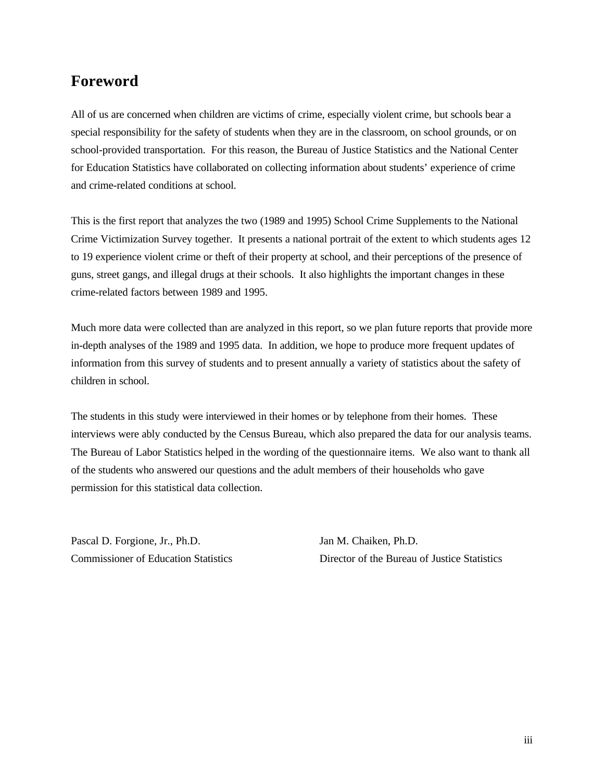## **Foreword**

All of us are concerned when children are victims of crime, especially violent crime, but schools bear a special responsibility for the safety of students when they are in the classroom, on school grounds, or on school-provided transportation. For this reason, the Bureau of Justice Statistics and the National Center for Education Statistics have collaborated on collecting information about students' experience of crime and crime-related conditions at school.

This is the first report that analyzes the two (1989 and 1995) School Crime Supplements to the National Crime Victimization Survey together. It presents a national portrait of the extent to which students ages 12 to 19 experience violent crime or theft of their property at school, and their perceptions of the presence of guns, street gangs, and illegal drugs at their schools. It also highlights the important changes in these crime-related factors between 1989 and 1995.

Much more data were collected than are analyzed in this report, so we plan future reports that provide more in-depth analyses of the 1989 and 1995 data. In addition, we hope to produce more frequent updates of information from this survey of students and to present annually a variety of statistics about the safety of children in school.

The students in this study were interviewed in their homes or by telephone from their homes. These interviews were ably conducted by the Census Bureau, which also prepared the data for our analysis teams. The Bureau of Labor Statistics helped in the wording of the questionnaire items. We also want to thank all of the students who answered our questions and the adult members of their households who gave permission for this statistical data collection.

Pascal D. Forgione, Jr., Ph.D. Jan M. Chaiken, Ph.D.

Commissioner of Education Statistics Director of the Bureau of Justice Statistics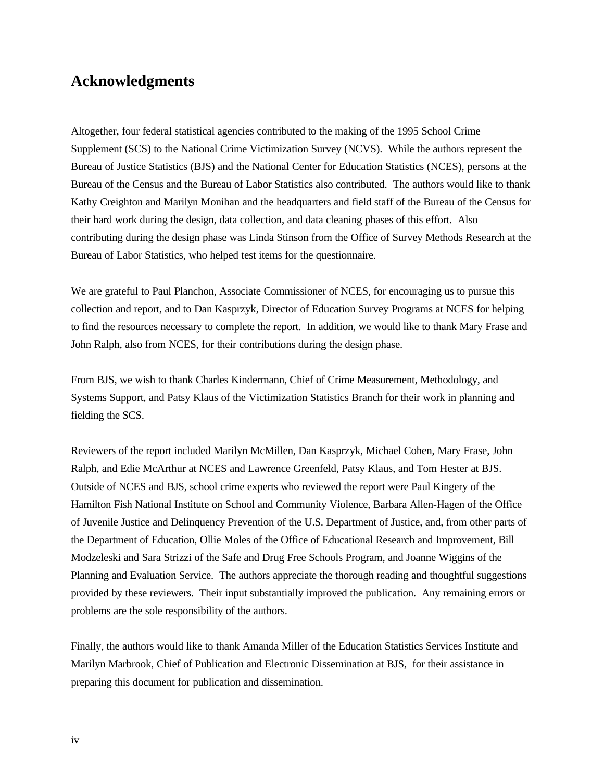## **Acknowledgments**

Altogether, four federal statistical agencies contributed to the making of the 1995 School Crime Supplement (SCS) to the National Crime Victimization Survey (NCVS). While the authors represent the Bureau of Justice Statistics (BJS) and the National Center for Education Statistics (NCES), persons at the Bureau of the Census and the Bureau of Labor Statistics also contributed. The authors would like to thank Kathy Creighton and Marilyn Monihan and the headquarters and field staff of the Bureau of the Census for their hard work during the design, data collection, and data cleaning phases of this effort. Also contributing during the design phase was Linda Stinson from the Office of Survey Methods Research at the Bureau of Labor Statistics, who helped test items for the questionnaire.

We are grateful to Paul Planchon, Associate Commissioner of NCES, for encouraging us to pursue this collection and report, and to Dan Kasprzyk, Director of Education Survey Programs at NCES for helping to find the resources necessary to complete the report. In addition, we would like to thank Mary Frase and John Ralph, also from NCES, for their contributions during the design phase.

From BJS, we wish to thank Charles Kindermann, Chief of Crime Measurement, Methodology, and Systems Support, and Patsy Klaus of the Victimization Statistics Branch for their work in planning and fielding the SCS.

Reviewers of the report included Marilyn McMillen, Dan Kasprzyk, Michael Cohen, Mary Frase, John Ralph, and Edie McArthur at NCES and Lawrence Greenfeld, Patsy Klaus, and Tom Hester at BJS. Outside of NCES and BJS, school crime experts who reviewed the report were Paul Kingery of the Hamilton Fish National Institute on School and Community Violence, Barbara Allen-Hagen of the Office of Juvenile Justice and Delinquency Prevention of the U.S. Department of Justice, and, from other parts of the Department of Education, Ollie Moles of the Office of Educational Research and Improvement, Bill Modzeleski and Sara Strizzi of the Safe and Drug Free Schools Program, and Joanne Wiggins of the Planning and Evaluation Service. The authors appreciate the thorough reading and thoughtful suggestions provided by these reviewers. Their input substantially improved the publication. Any remaining errors or problems are the sole responsibility of the authors.

Finally, the authors would like to thank Amanda Miller of the Education Statistics Services Institute and Marilyn Marbrook, Chief of Publication and Electronic Dissemination at BJS, for their assistance in preparing this document for publication and dissemination.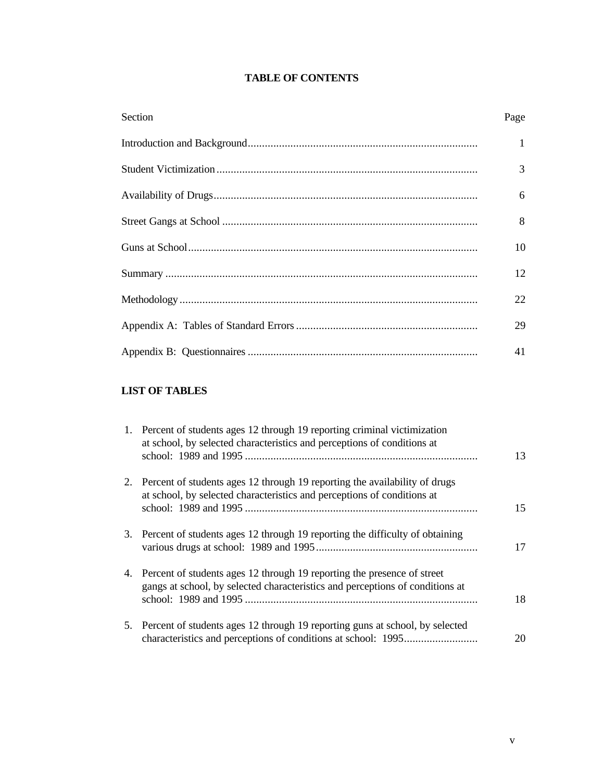#### **TABLE OF CONTENTS**

| Section | Page         |
|---------|--------------|
|         | $\mathbf{1}$ |
|         | 3            |
|         | 6            |
|         | 8            |
|         | 10           |
|         | 12           |
|         | 22           |
|         | 29           |
|         | 41           |

### **LIST OF TABLES**

| 1. Percent of students ages 12 through 19 reporting criminal victimization<br>at school, by selected characteristics and perceptions of conditions at       | 13 |
|-------------------------------------------------------------------------------------------------------------------------------------------------------------|----|
| 2. Percent of students ages 12 through 19 reporting the availability of drugs<br>at school, by selected characteristics and perceptions of conditions at    | 15 |
| 3. Percent of students ages 12 through 19 reporting the difficulty of obtaining                                                                             | 17 |
| 4. Percent of students ages 12 through 19 reporting the presence of street<br>gangs at school, by selected characteristics and perceptions of conditions at | 18 |
| 5. Percent of students ages 12 through 19 reporting guns at school, by selected                                                                             | 20 |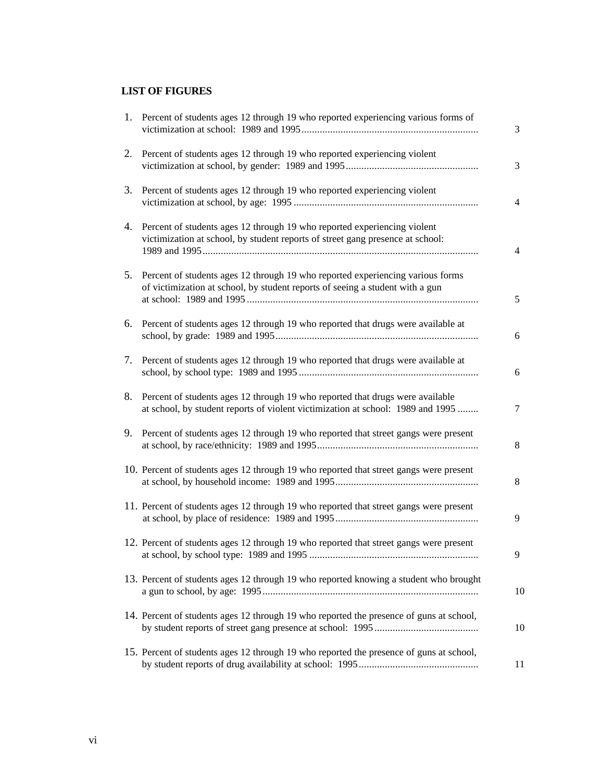### **LIST OF FIGURES**

|    | 1. Percent of students ages 12 through 19 who reported experiencing various forms of                                                                             | 3               |
|----|------------------------------------------------------------------------------------------------------------------------------------------------------------------|-----------------|
|    | 2. Percent of students ages 12 through 19 who reported experiencing violent                                                                                      | 3               |
| 3. | Percent of students ages 12 through 19 who reported experiencing violent                                                                                         | $\overline{4}$  |
| 4. | Percent of students ages 12 through 19 who reported experiencing violent<br>victimization at school, by student reports of street gang presence at school:       | $\overline{4}$  |
| 5. | Percent of students ages 12 through 19 who reported experiencing various forms<br>of victimization at school, by student reports of seeing a student with a gun  | $5\overline{)}$ |
| 6. | Percent of students ages 12 through 19 who reported that drugs were available at                                                                                 | 6               |
|    | 7. Percent of students ages 12 through 19 who reported that drugs were available at                                                                              | 6               |
| 8. | Percent of students ages 12 through 19 who reported that drugs were available<br>at school, by student reports of violent victimization at school: 1989 and 1995 | 7               |
| 9. | Percent of students ages 12 through 19 who reported that street gangs were present                                                                               | 8               |
|    | 10. Percent of students ages 12 through 19 who reported that street gangs were present                                                                           | 8               |
|    | 11. Percent of students ages 12 through 19 who reported that street gangs were present                                                                           | 9               |
|    | 12. Percent of students ages 12 through 19 who reported that street gangs were present                                                                           | 9               |
|    | 13. Percent of students ages 12 through 19 who reported knowing a student who brought                                                                            | 10              |
|    | 14. Percent of students ages 12 through 19 who reported the presence of guns at school,                                                                          | 10              |
|    | 15. Percent of students ages 12 through 19 who reported the presence of guns at school,                                                                          | 11              |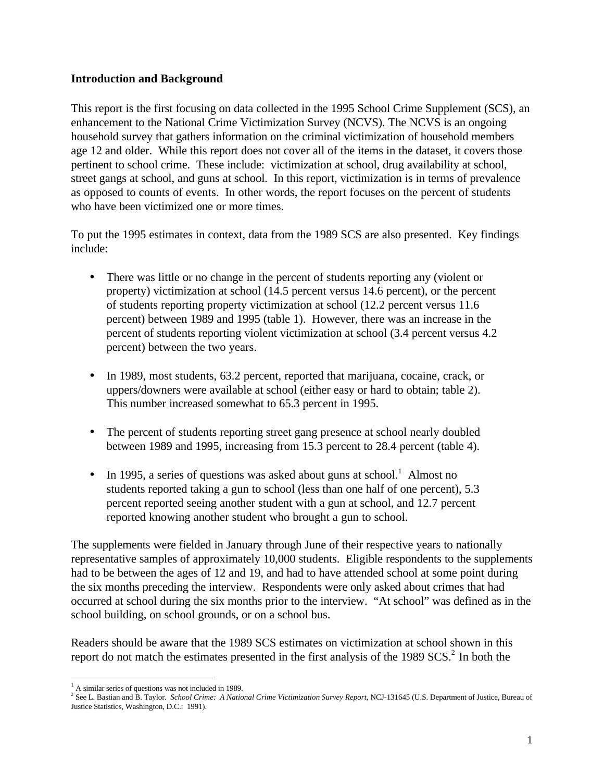#### **Introduction and Background**

This report is the first focusing on data collected in the 1995 School Crime Supplement (SCS), an enhancement to the National Crime Victimization Survey (NCVS). The NCVS is an ongoing household survey that gathers information on the criminal victimization of household members age 12 and older. While this report does not cover all of the items in the dataset, it covers those pertinent to school crime. These include: victimization at school, drug availability at school, street gangs at school, and guns at school. In this report, victimization is in terms of prevalence as opposed to counts of events. In other words, the report focuses on the percent of students who have been victimized one or more times.

To put the 1995 estimates in context, data from the 1989 SCS are also presented. Key findings include:

- There was little or no change in the percent of students reporting any (violent or property) victimization at school (14.5 percent versus 14.6 percent), or the percent of students reporting property victimization at school (12.2 percent versus 11.6 percent) between 1989 and 1995 (table 1). However, there was an increase in the percent of students reporting violent victimization at school (3.4 percent versus 4.2 percent) between the two years.
- In 1989, most students, 63.2 percent, reported that marijuana, cocaine, crack, or uppers/downers were available at school (either easy or hard to obtain; table 2). This number increased somewhat to 65.3 percent in 1995.
- The percent of students reporting street gang presence at school nearly doubled between 1989 and 1995, increasing from 15.3 percent to 28.4 percent (table 4).
- In 1995, a series of questions was asked about guns at school.<sup>1</sup> Almost no students reported taking a gun to school (less than one half of one percent), 5.3 percent reported seeing another student with a gun at school, and 12.7 percent reported knowing another student who brought a gun to school.

The supplements were fielded in January through June of their respective years to nationally representative samples of approximately 10,000 students. Eligible respondents to the supplements had to be between the ages of 12 and 19, and had to have attended school at some point during the six months preceding the interview. Respondents were only asked about crimes that had occurred at school during the six months prior to the interview. "At school" was defined as in the school building, on school grounds, or on a school bus.

Readers should be aware that the 1989 SCS estimates on victimization at school shown in this report do not match the estimates presented in the first analysis of the  $1989$  SCS.<sup>2</sup> In both the

 $\overline{a}$ <sup>1</sup> A similar series of questions was not included in 1989.

<sup>&</sup>lt;sup>2</sup> See L. Bastian and B. Taylor. *School Crime: A National Crime Victimization Survey Report*, NCJ-131645 (U.S. Department of Justice, Bureau of Justice Statistics, Washington, D.C.: 1991).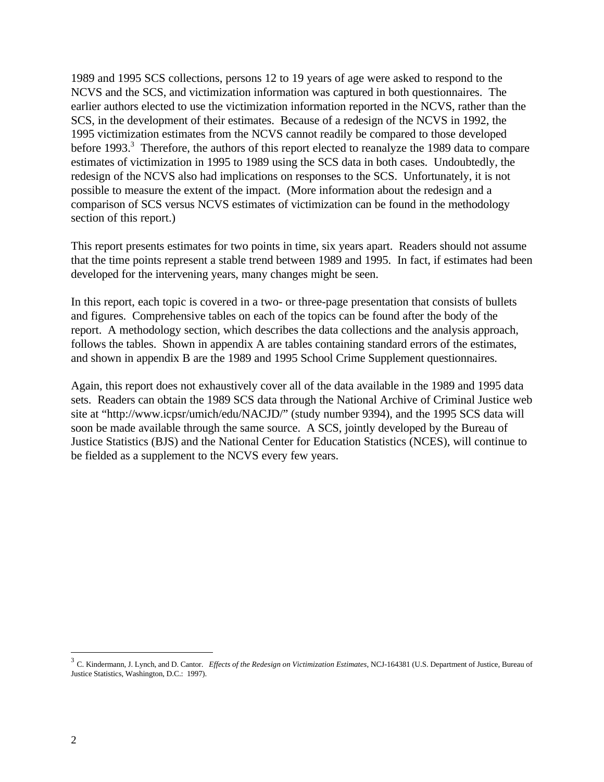1989 and 1995 SCS collections, persons 12 to 19 years of age were asked to respond to the NCVS and the SCS, and victimization information was captured in both questionnaires. The earlier authors elected to use the victimization information reported in the NCVS, rather than the SCS, in the development of their estimates. Because of a redesign of the NCVS in 1992, the 1995 victimization estimates from the NCVS cannot readily be compared to those developed before 1993.<sup>3</sup> Therefore, the authors of this report elected to reanalyze the 1989 data to compare estimates of victimization in 1995 to 1989 using the SCS data in both cases. Undoubtedly, the redesign of the NCVS also had implications on responses to the SCS. Unfortunately, it is not possible to measure the extent of the impact. (More information about the redesign and a comparison of SCS versus NCVS estimates of victimization can be found in the methodology section of this report.)

This report presents estimates for two points in time, six years apart. Readers should not assume that the time points represent a stable trend between 1989 and 1995. In fact, if estimates had been developed for the intervening years, many changes might be seen.

In this report, each topic is covered in a two- or three-page presentation that consists of bullets and figures. Comprehensive tables on each of the topics can be found after the body of the report. A methodology section, which describes the data collections and the analysis approach, follows the tables. Shown in appendix A are tables containing standard errors of the estimates, and shown in appendix B are the 1989 and 1995 School Crime Supplement questionnaires.

Again, this report does not exhaustively cover all of the data available in the 1989 and 1995 data sets. Readers can obtain the 1989 SCS data through the National Archive of Criminal Justice web site at "http://www.icpsr/umich/edu/NACJD/" (study number 9394), and the 1995 SCS data will soon be made available through the same source. A SCS, jointly developed by the Bureau of Justice Statistics (BJS) and the National Center for Education Statistics (NCES), will continue to be fielded as a supplement to the NCVS every few years.

 3 C. Kindermann, J. Lynch, and D. Cantor. *Effects of the Redesign on Victimization Estimates*, NCJ-164381 (U.S. Department of Justice, Bureau of Justice Statistics, Washington, D.C.: 1997).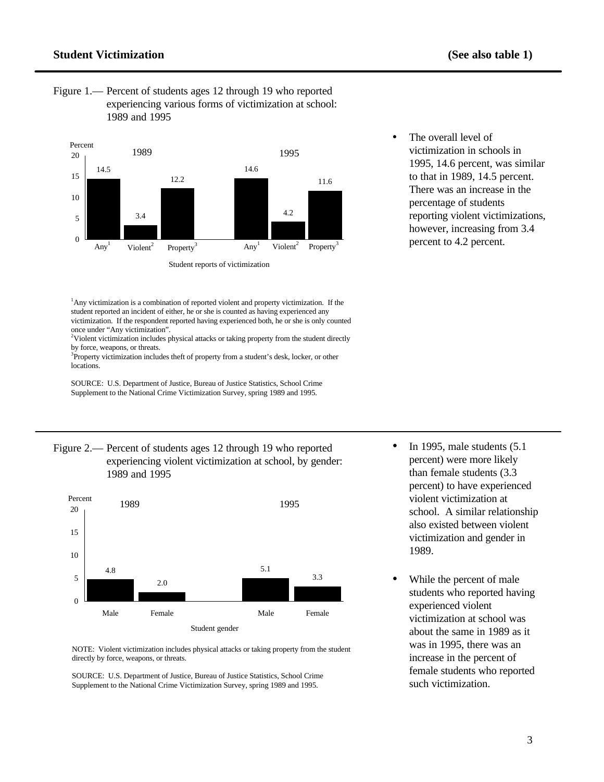#### **Student Victimization (See also table 1)**

Figure 1.— Percent of students ages 12 through 19 who reported experiencing various forms of victimization at school: 1989 and 1995



The overall level of victimization in schools in 1995, 14.6 percent, was similar to that in 1989, 14.5 percent. There was an increase in the percentage of students reporting violent victimizations, however, increasing from 3.4 percent to 4.2 percent.

<sup>1</sup>Any victimization is a combination of reported violent and property victimization. If the student reported an incident of either, he or she is counted as having experienced any victimization. If the respondent reported having experienced both, he or she is only counted once under "Any victimization". <sup>2</sup>Violent victimization includes physical attacks or taking property from the student directly

by force, weapons, or threats.

<sup>3</sup>Property victimization includes theft of property from a student's desk, locker, or other locations.

SOURCE: U.S. Department of Justice, Bureau of Justice Statistics, School Crime Supplement to the National Crime Victimization Survey, spring 1989 and 1995.







SOURCE: U.S. Department of Justice, Bureau of Justice Statistics, School Crime Supplement to the National Crime Victimization Survey, spring 1989 and 1995.

- In 1995, male students (5.1) percent) were more likely than female students (3.3 percent) to have experienced violent victimization at school. A similar relationship also existed between violent victimization and gender in 1989.
- While the percent of male students who reported having experienced violent victimization at school was about the same in 1989 as it was in 1995, there was an increase in the percent of female students who reported such victimization.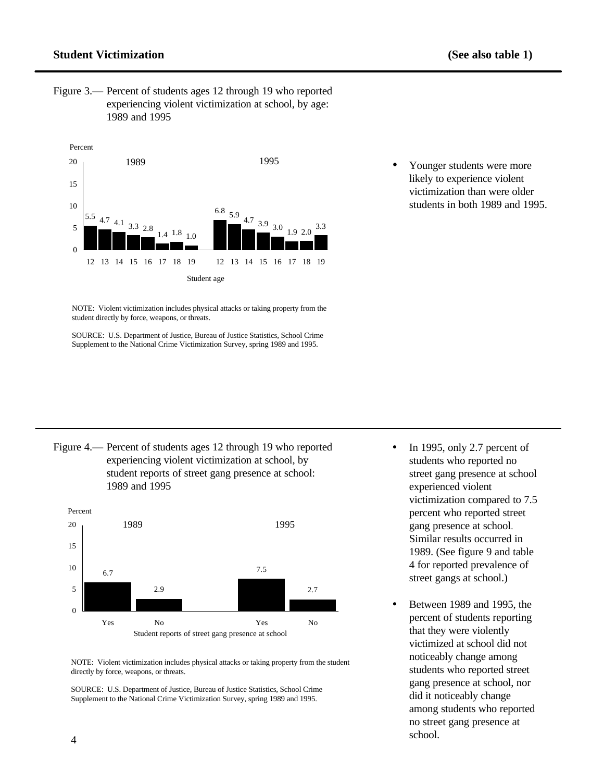#### **Student Victimization (See also table 1)**

Figure 3.— Percent of students ages 12 through 19 who reported experiencing violent victimization at school, by age: 1989 and 1995



Younger students were more likely to experience violent victimization than were older students in both 1989 and 1995.

NOTE: Violent victimization includes physical attacks or taking property from the student directly by force, weapons, or threats.

SOURCE: U.S. Department of Justice, Bureau of Justice Statistics, School Crime Supplement to the National Crime Victimization Survey, spring 1989 and 1995.





Between 1989 and 1995, the percent of students reporting that they were violently victimized at school did not noticeably change among students who reported street gang presence at school, nor did it noticeably change among students who reported no street gang presence at school.

SOURCE: U.S. Department of Justice, Bureau of Justice Statistics, School Crime Supplement to the National Crime Victimization Survey, spring 1989 and 1995.

<sup>•</sup> In 1995, only 2.7 percent of students who reported no street gang presence at school experienced violent victimization compared to 7.5 percent who reported street gang presence at school. Similar results occurred in 1989. (See figure 9 and table 4 for reported prevalence of street gangs at school.)

NOTE: Violent victimization includes physical attacks or taking property from the student directly by force, weapons, or threats.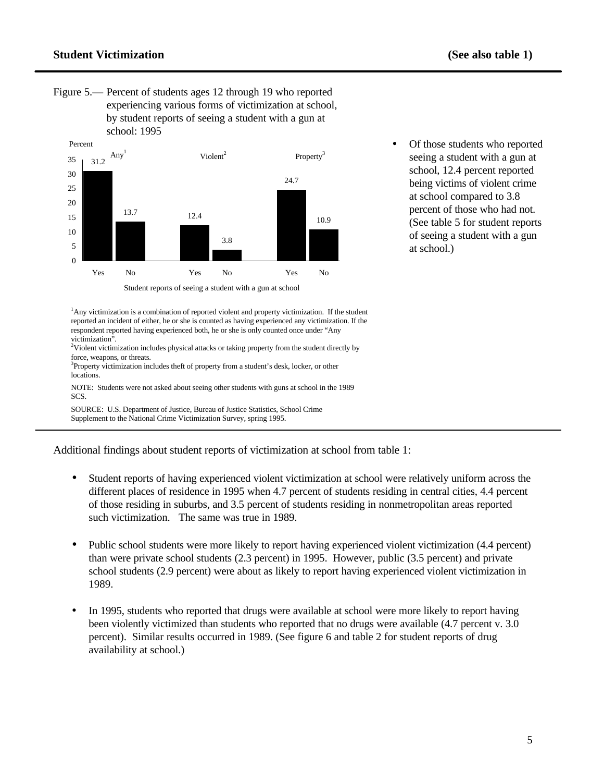Figure 5.— Percent of students ages 12 through 19 who reported experiencing various forms of victimization at school, by student reports of seeing a student with a gun at school: 1995



Of those students who reported seeing a student with a gun at school, 12.4 percent reported being victims of violent crime at school compared to 3.8 percent of those who had not. (See table 5 for student reports of seeing a student with a gun at school.)

<sup>1</sup>Any victimization is a combination of reported violent and property victimization. If the student reported an incident of either, he or she is counted as having experienced any victimization. If the respondent reported having experienced both, he or she is only counted once under "Any victimization".

 $2$ Violent victimization includes physical attacks or taking property from the student directly by force, weapons, or threats.

<sup>3</sup>Property victimization includes theft of property from a student's desk, locker, or other locations.

NOTE: Students were not asked about seeing other students with guns at school in the 1989 SCS.

SOURCE: U.S. Department of Justice, Bureau of Justice Statistics, School Crime Supplement to the National Crime Victimization Survey, spring 1995.

Additional findings about student reports of victimization at school from table 1:

- Student reports of having experienced violent victimization at school were relatively uniform across the different places of residence in 1995 when 4.7 percent of students residing in central cities, 4.4 percent of those residing in suburbs, and 3.5 percent of students residing in nonmetropolitan areas reported such victimization. The same was true in 1989.
- Public school students were more likely to report having experienced violent victimization (4.4 percent) than were private school students (2.3 percent) in 1995. However, public (3.5 percent) and private school students (2.9 percent) were about as likely to report having experienced violent victimization in 1989.
- In 1995, students who reported that drugs were available at school were more likely to report having been violently victimized than students who reported that no drugs were available (4.7 percent v. 3.0 percent). Similar results occurred in 1989. (See figure 6 and table 2 for student reports of drug availability at school.)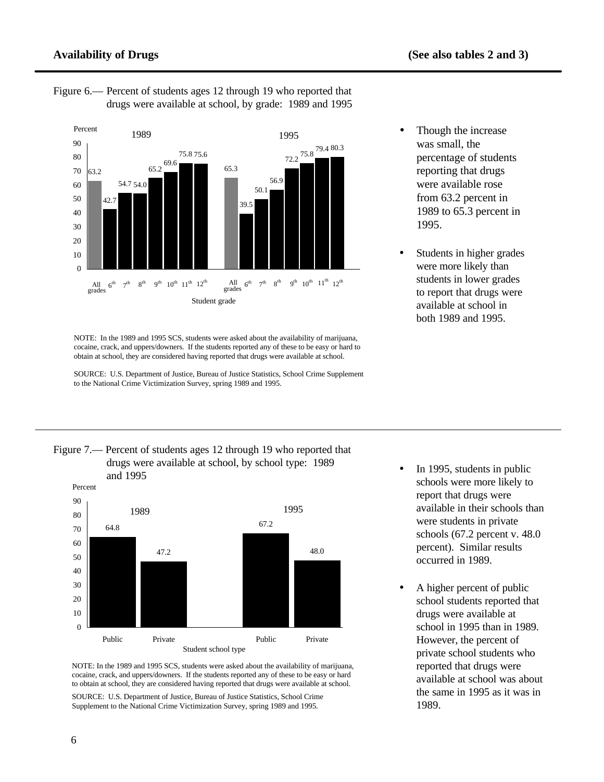

Figure 6.— Percent of students ages 12 through 19 who reported that drugs were available at school, by grade: 1989 and 1995

SOURCE: U.S. Department of Justice, Bureau of Justice Statistics, School Crime Supplement to the National Crime Victimization Survey, spring 1989 and 1995.



• Students in higher grades were more likely than students in lower grades to report that drugs were available at school in both 1989 and 1995.





NOTE: In the 1989 and 1995 SCS, students were asked about the availability of marijuana, cocaine, crack, and uppers/downers. If the students reported any of these to be easy or hard to obtain at school, they are considered having reported that drugs were available at school.

SOURCE: U.S. Department of Justice, Bureau of Justice Statistics, School Crime Supplement to the National Crime Victimization Survey, spring 1989 and 1995.

- In 1995, students in public schools were more likely to report that drugs were available in their schools than were students in private schools (67.2 percent v. 48.0 percent). Similar results occurred in 1989.
- A higher percent of public school students reported that drugs were available at school in 1995 than in 1989. However, the percent of private school students who reported that drugs were available at school was about the same in 1995 as it was in 1989.

NOTE: In the 1989 and 1995 SCS, students were asked about the availability of marijuana, cocaine, crack, and uppers/downers. If the students reported any of these to be easy or hard to obtain at school, they are considered having reported that drugs were available at school.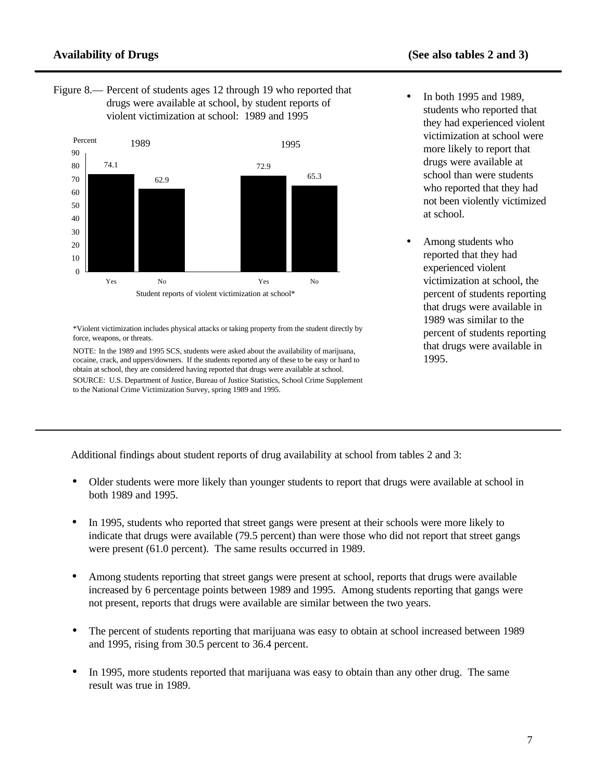Figure 8.— Percent of students ages 12 through 19 who reported that drugs were available at school, by student reports of violent victimization at school: 1989 and 1995



\*Violent victimization includes physical attacks or taking property from the student directly by force, weapons, or threats.

NOTE: In the 1989 and 1995 SCS, students were asked about the availability of marijuana, cocaine, crack, and uppers/downers. If the students reported any of these to be easy or hard to obtain at school, they are considered having reported that drugs were available at school. SOURCE: U.S. Department of Justice, Bureau of Justice Statistics, School Crime Supplement to the National Crime Victimization Survey, spring 1989 and 1995.

- In both 1995 and 1989, students who reported that they had experienced violent victimization at school were more likely to report that drugs were available at school than were students who reported that they had not been violently victimized at school.
- Among students who reported that they had experienced violent victimization at school, the percent of students reporting that drugs were available in 1989 was similar to the percent of students reporting that drugs were available in 1995.

Additional findings about student reports of drug availability at school from tables 2 and 3:

- Older students were more likely than younger students to report that drugs were available at school in both 1989 and 1995.
- In 1995, students who reported that street gangs were present at their schools were more likely to indicate that drugs were available (79.5 percent) than were those who did not report that street gangs were present (61.0 percent). The same results occurred in 1989.
- Among students reporting that street gangs were present at school, reports that drugs were available increased by 6 percentage points between 1989 and 1995. Among students reporting that gangs were not present, reports that drugs were available are similar between the two years.
- The percent of students reporting that marijuana was easy to obtain at school increased between 1989 and 1995, rising from 30.5 percent to 36.4 percent.
- In 1995, more students reported that marijuana was easy to obtain than any other drug. The same result was true in 1989.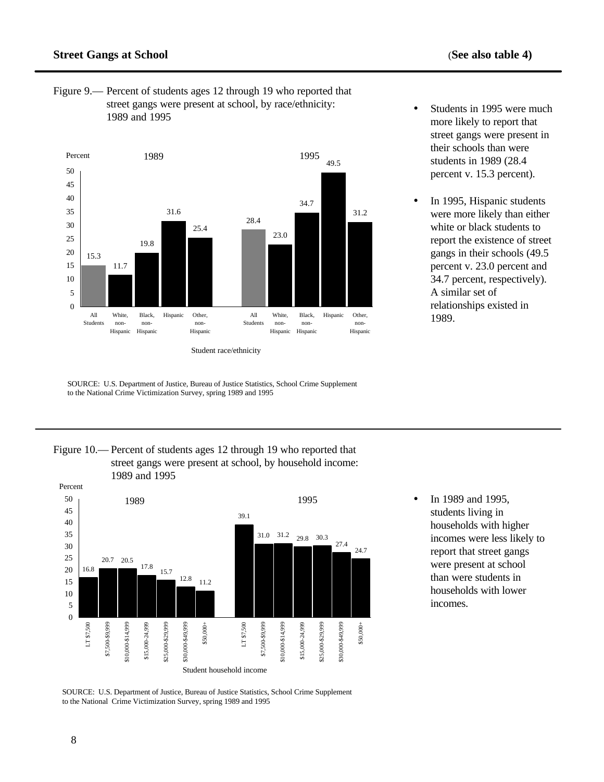Figure 9.— Percent of students ages 12 through 19 who reported that street gangs were present at school, by race/ethnicity: 1989 and 1995



SOURCE: U.S. Department of Justice, Bureau of Justice Statistics, School Crime Supplement to the National Crime Victimization Survey, spring 1989 and 1995

• Students in 1995 were much more likely to report that street gangs were present in their schools than were students in 1989 (28.4 percent v. 15.3 percent).

In 1995, Hispanic students were more likely than either white or black students to report the existence of street gangs in their schools (49.5 percent v. 23.0 percent and 34.7 percent, respectively). A similar set of relationships existed in 1989.





• In 1989 and 1995, students living in households with higher incomes were less likely to report that street gangs were present at school than were students in households with lower incomes.

SOURCE: U.S. Department of Justice, Bureau of Justice Statistics, School Crime Supplement to the National Crime Victimization Survey, spring 1989 and 1995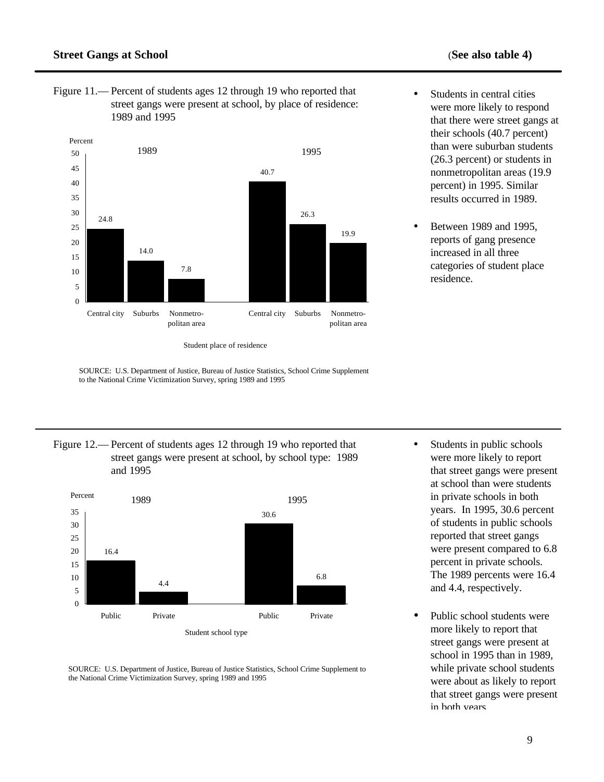Figure 11.— Percent of students ages 12 through 19 who reported that street gangs were present at school, by place of residence: 1989 and 1995



Student place of residence

Figure 12.— Percent of students ages 12 through 19 who reported that street gangs were present at school, by school type: 1989 and 1995



SOURCE: U.S. Department of Justice, Bureau of Justice Statistics, School Crime Supplement to the National Crime Victimization Survey, spring 1989 and 1995

- Students in public schools were more likely to report that street gangs were present at school than were students in private schools in both years. In 1995, 30.6 percent of students in public schools reported that street gangs were present compared to 6.8 percent in private schools. The 1989 percents were 16.4 and 4.4, respectively.
- Public school students were more likely to report that street gangs were present at school in 1995 than in 1989, while private school students were about as likely to report that street gangs were present in both years.

<sup>•</sup> Students in central cities were more likely to respond that there were street gangs at their schools (40.7 percent) than were suburban students (26.3 percent) or students in nonmetropolitan areas (19.9 percent) in 1995. Similar results occurred in 1989.

<sup>•</sup> Between 1989 and 1995, reports of gang presence increased in all three categories of student place residence.

SOURCE: U.S. Department of Justice, Bureau of Justice Statistics, School Crime Supplement to the National Crime Victimization Survey, spring 1989 and 1995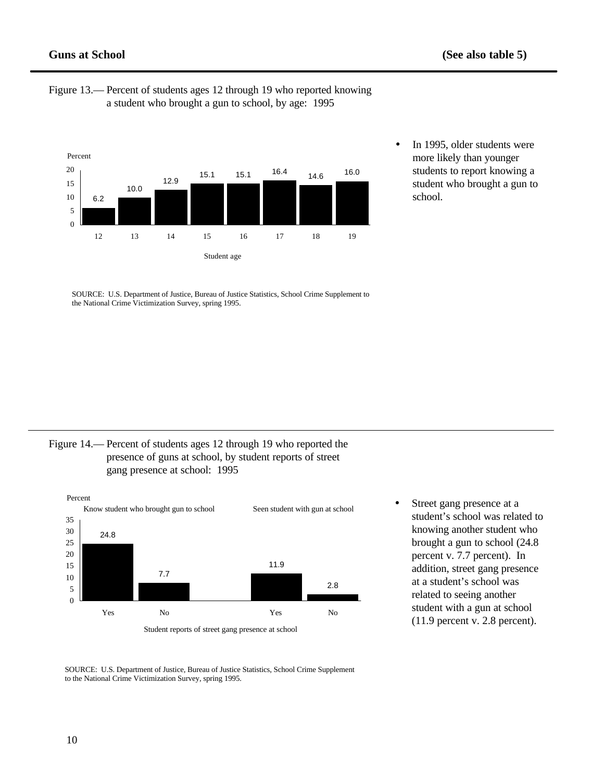

- Figure 13.— Percent of students ages 12 through 19 who reported knowing a student who brought a gun to school, by age: 1995
- In 1995, older students were more likely than younger students to report knowing a student who brought a gun to school.

SOURCE: U.S. Department of Justice, Bureau of Justice Statistics, School Crime Supplement to the National Crime Victimization Survey, spring 1995.

Figure 14.— Percent of students ages 12 through 19 who reported the presence of guns at school, by student reports of street gang presence at school: 1995



Street gang presence at a student's school was related to knowing another student who brought a gun to school (24.8 percent v. 7.7 percent). In addition, street gang presence at a student's school was related to seeing another student with a gun at school (11.9 percent v. 2.8 percent).

SOURCE: U.S. Department of Justice, Bureau of Justice Statistics, School Crime Supplement to the National Crime Victimization Survey, spring 1995.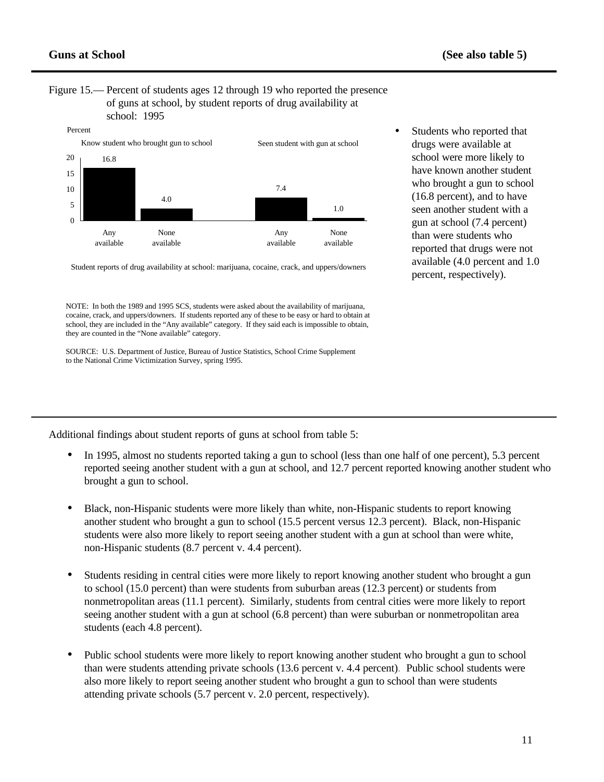#### Figure 15.— Percent of students ages 12 through 19 who reported the presence of guns at school, by student reports of drug availability at school: 1995



drugs were available at school were more likely to have known another student who brought a gun to school (16.8 percent), and to have seen another student with a gun at school (7.4 percent) than were students who reported that drugs were not available (4.0 percent and 1.0 percent, respectively).

Students who reported that

Student reports of drug availability at school: marijuana, cocaine, crack, and uppers/downers

NOTE: In both the 1989 and 1995 SCS, students were asked about the availability of marijuana, cocaine, crack, and uppers/downers. If students reported any of these to be easy or hard to obtain at school, they are included in the "Any available" category. If they said each is impossible to obtain, they are counted in the "None available" category.

SOURCE: U.S. Department of Justice, Bureau of Justice Statistics, School Crime Supplement to the National Crime Victimization Survey, spring 1995.

Additional findings about student reports of guns at school from table 5:

- In 1995, almost no students reported taking a gun to school (less than one half of one percent), 5.3 percent reported seeing another student with a gun at school, and 12.7 percent reported knowing another student who brought a gun to school.
- Black, non-Hispanic students were more likely than white, non-Hispanic students to report knowing another student who brought a gun to school (15.5 percent versus 12.3 percent). Black, non-Hispanic students were also more likely to report seeing another student with a gun at school than were white, non-Hispanic students (8.7 percent v. 4.4 percent).
- Students residing in central cities were more likely to report knowing another student who brought a gun to school (15.0 percent) than were students from suburban areas (12.3 percent) or students from nonmetropolitan areas (11.1 percent). Similarly, students from central cities were more likely to report seeing another student with a gun at school (6.8 percent) than were suburban or nonmetropolitan area students (each 4.8 percent).
- Public school students were more likely to report knowing another student who brought a gun to school than were students attending private schools (13.6 percent v. 4.4 percent). Public school students were also more likely to report seeing another student who brought a gun to school than were students attending private schools (5.7 percent v. 2.0 percent, respectively).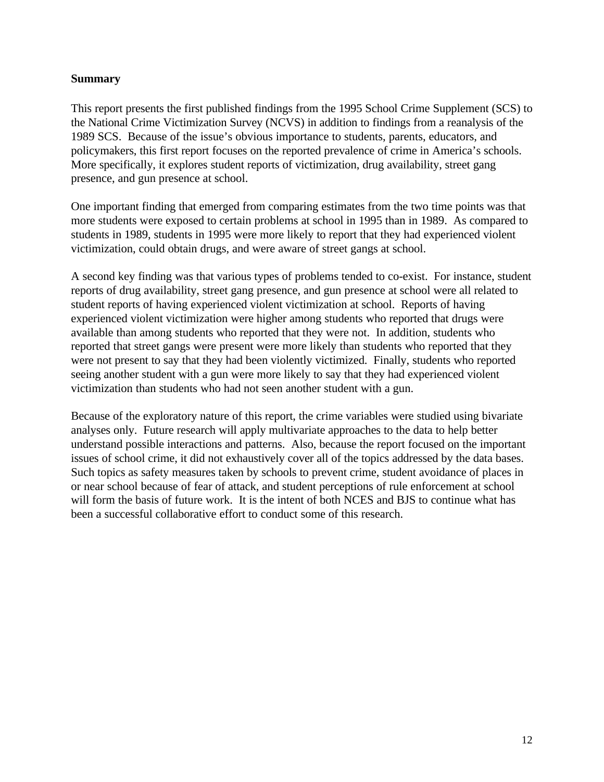#### **Summary**

This report presents the first published findings from the 1995 School Crime Supplement (SCS) to the National Crime Victimization Survey (NCVS) in addition to findings from a reanalysis of the 1989 SCS. Because of the issue's obvious importance to students, parents, educators, and policymakers, this first report focuses on the reported prevalence of crime in America's schools. More specifically, it explores student reports of victimization, drug availability, street gang presence, and gun presence at school.

One important finding that emerged from comparing estimates from the two time points was that more students were exposed to certain problems at school in 1995 than in 1989. As compared to students in 1989, students in 1995 were more likely to report that they had experienced violent victimization, could obtain drugs, and were aware of street gangs at school.

A second key finding was that various types of problems tended to co-exist. For instance, student reports of drug availability, street gang presence, and gun presence at school were all related to student reports of having experienced violent victimization at school. Reports of having experienced violent victimization were higher among students who reported that drugs were available than among students who reported that they were not. In addition, students who reported that street gangs were present were more likely than students who reported that they were not present to say that they had been violently victimized. Finally, students who reported seeing another student with a gun were more likely to say that they had experienced violent victimization than students who had not seen another student with a gun.

Because of the exploratory nature of this report, the crime variables were studied using bivariate analyses only. Future research will apply multivariate approaches to the data to help better understand possible interactions and patterns. Also, because the report focused on the important issues of school crime, it did not exhaustively cover all of the topics addressed by the data bases. Such topics as safety measures taken by schools to prevent crime, student avoidance of places in or near school because of fear of attack, and student perceptions of rule enforcement at school will form the basis of future work. It is the intent of both NCES and BJS to continue what has been a successful collaborative effort to conduct some of this research.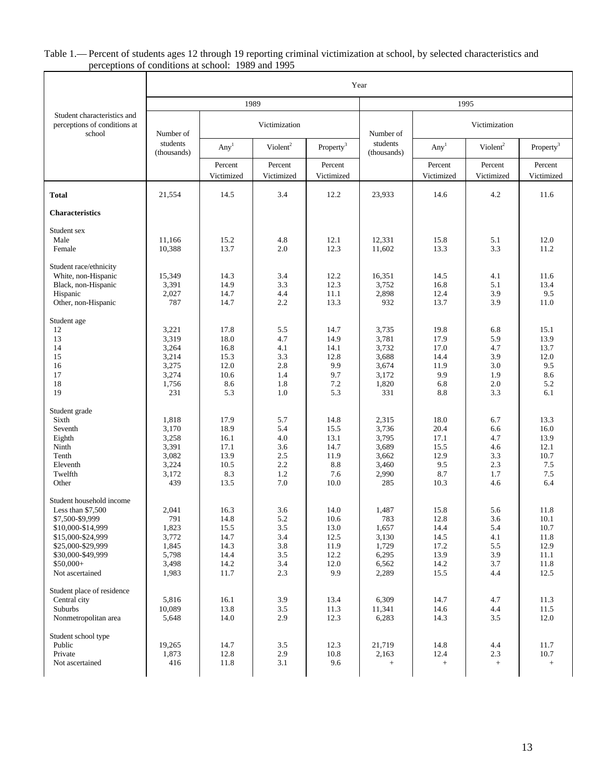#### Table 1.— Percent of students ages 12 through 19 reporting criminal victimization at school, by selected characteristics and perceptions of conditions at school: 1989 and 1995

|                                                                                                                                                                                        | Year                                                               |                                                              |                                                      |                                                             |                                                                    |                                                              |                                                      |                                                               |  |  |
|----------------------------------------------------------------------------------------------------------------------------------------------------------------------------------------|--------------------------------------------------------------------|--------------------------------------------------------------|------------------------------------------------------|-------------------------------------------------------------|--------------------------------------------------------------------|--------------------------------------------------------------|------------------------------------------------------|---------------------------------------------------------------|--|--|
|                                                                                                                                                                                        |                                                                    |                                                              | 1989                                                 |                                                             |                                                                    | 1995                                                         |                                                      |                                                               |  |  |
| Student characteristics and<br>perceptions of conditions at<br>school                                                                                                                  | Number of                                                          |                                                              | Victimization                                        |                                                             | Number of                                                          | Victimization                                                |                                                      |                                                               |  |  |
|                                                                                                                                                                                        | students<br>(thousands)                                            | Any <sup>1</sup>                                             | Violent <sup>2</sup>                                 | Property <sup>3</sup>                                       | students<br>(thousands)                                            | Any <sup>1</sup>                                             | Violent <sup>2</sup>                                 | Property <sup>3</sup>                                         |  |  |
|                                                                                                                                                                                        |                                                                    | Percent<br>Victimized                                        | Percent<br>Victimized                                | Percent<br>Victimized                                       |                                                                    | Percent<br>Victimized                                        | Percent<br>Victimized                                | Percent<br>Victimized                                         |  |  |
| <b>Total</b>                                                                                                                                                                           | 21,554                                                             | 14.5                                                         | 3.4                                                  | 12.2                                                        | 23,933                                                             | 14.6                                                         | 4.2                                                  | 11.6                                                          |  |  |
| <b>Characteristics</b>                                                                                                                                                                 |                                                                    |                                                              |                                                      |                                                             |                                                                    |                                                              |                                                      |                                                               |  |  |
| Student sex<br>Male<br>Female                                                                                                                                                          | 11,166<br>10,388                                                   | 15.2<br>13.7                                                 | 4.8<br>2.0                                           | 12.1<br>12.3                                                | 12,331<br>11,602                                                   | 15.8<br>13.3                                                 | 5.1<br>3.3                                           | 12.0<br>11.2                                                  |  |  |
| Student race/ethnicity<br>White, non-Hispanic<br>Black, non-Hispanic<br>Hispanic<br>Other, non-Hispanic                                                                                | 15,349<br>3,391<br>2,027<br>787                                    | 14.3<br>14.9<br>14.7<br>14.7                                 | 3.4<br>3.3<br>4.4<br>2.2                             | 12.2<br>12.3<br>11.1<br>13.3                                | 16,351<br>3,752<br>2,898<br>932                                    | 14.5<br>16.8<br>12.4<br>13.7                                 | 4.1<br>5.1<br>3.9<br>3.9                             | 11.6<br>13.4<br>9.5<br>11.0                                   |  |  |
| Student age<br>12<br>13<br>14<br>15<br>16<br>17<br>18<br>19                                                                                                                            | 3,221<br>3,319<br>3,264<br>3,214<br>3,275<br>3,274<br>1,756<br>231 | 17.8<br>18.0<br>16.8<br>15.3<br>12.0<br>10.6<br>8.6<br>5.3   | 5.5<br>4.7<br>4.1<br>3.3<br>2.8<br>1.4<br>1.8<br>1.0 | 14.7<br>14.9<br>14.1<br>12.8<br>9.9<br>9.7<br>7.2<br>5.3    | 3,735<br>3,781<br>3,732<br>3,688<br>3,674<br>3,172<br>1,820<br>331 | 19.8<br>17.9<br>17.0<br>14.4<br>11.9<br>9.9<br>6.8<br>8.8    | 6.8<br>5.9<br>4.7<br>3.9<br>3.0<br>1.9<br>2.0<br>3.3 | 15.1<br>13.9<br>13.7<br>12.0<br>9.5<br>8.6<br>5.2<br>6.1      |  |  |
| Student grade<br>Sixth<br>Seventh<br>Eighth<br>Ninth<br>Tenth<br>Eleventh<br>Twelfth<br>Other                                                                                          | 1,818<br>3,170<br>3,258<br>3,391<br>3,082<br>3,224<br>3,172<br>439 | 17.9<br>18.9<br>16.1<br>17.1<br>13.9<br>10.5<br>8.3<br>13.5  | 5.7<br>5.4<br>4.0<br>3.6<br>2.5<br>2.2<br>1.2<br>7.0 | 14.8<br>15.5<br>13.1<br>14.7<br>11.9<br>8.8<br>7.6<br>10.0  | 2,315<br>3,736<br>3,795<br>3,689<br>3,662<br>3,460<br>2,990<br>285 | 18.0<br>20.4<br>17.1<br>15.5<br>12.9<br>9.5<br>8.7<br>10.3   | 6.7<br>6.6<br>4.7<br>4.6<br>3.3<br>2.3<br>1.7<br>4.6 | 13.3<br>16.0<br>13.9<br>12.1<br>10.7<br>$7.5\,$<br>7.5<br>6.4 |  |  |
| Student household income<br>Less than $$7,500$<br>\$7,500-\$9,999<br>\$10,000-\$14,999<br>\$15,000-\$24,999<br>\$25,000-\$29,999<br>\$30,000-\$49,999<br>$$50,000+$<br>Not ascertained | 2,041<br>791<br>1,823<br>3,772<br>1,845<br>5,798<br>3,498<br>1,983 | 16.3<br>14.8<br>15.5<br>14.7<br>14.3<br>14.4<br>14.2<br>11.7 | 3.6<br>5.2<br>3.5<br>3.4<br>3.8<br>3.5<br>3.4<br>2.3 | 14.0<br>10.6<br>13.0<br>12.5<br>11.9<br>12.2<br>12.0<br>9.9 | 1,487<br>783<br>1,657<br>3,130<br>1,729<br>6,295<br>6,562<br>2,289 | 15.8<br>12.8<br>14.4<br>14.5<br>17.2<br>13.9<br>14.2<br>15.5 | 5.6<br>3.6<br>5.4<br>4.1<br>5.5<br>3.9<br>3.7<br>4.4 | 11.8<br>10.1<br>10.7<br>11.8<br>12.9<br>11.1<br>11.8<br>12.5  |  |  |
| Student place of residence<br>Central city<br>Suburbs<br>Nonmetropolitan area                                                                                                          | 5,816<br>10,089<br>5,648                                           | 16.1<br>13.8<br>14.0                                         | 3.9<br>3.5<br>2.9                                    | 13.4<br>11.3<br>12.3                                        | 6,309<br>11,341<br>6,283                                           | 14.7<br>14.6<br>14.3                                         | 4.7<br>4.4<br>3.5                                    | 11.3<br>11.5<br>12.0                                          |  |  |
| Student school type<br>Public<br>Private<br>Not ascertained                                                                                                                            | 19,265<br>1,873<br>416                                             | 14.7<br>12.8<br>11.8                                         | 3.5<br>2.9<br>3.1                                    | 12.3<br>10.8<br>9.6                                         | 21,719<br>2,163<br>$+$                                             | 14.8<br>12.4<br>$\! +$                                       | 4.4<br>2.3<br>$^+$                                   | 11.7<br>10.7<br>$^+$                                          |  |  |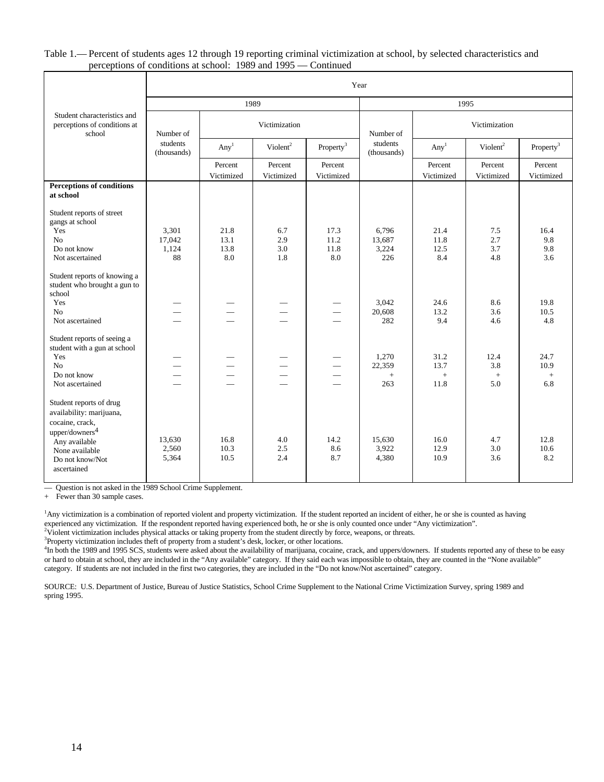#### Table 1.— Percent of students ages 12 through 19 reporting criminal victimization at school, by selected characteristics and perceptions of conditions at school: 1989 and 1995 — Continued

|                                                                                                                                                                           | Year                                 |                                          |                                                      |                                                                                  |                                 |                             |                           |                            |  |  |
|---------------------------------------------------------------------------------------------------------------------------------------------------------------------------|--------------------------------------|------------------------------------------|------------------------------------------------------|----------------------------------------------------------------------------------|---------------------------------|-----------------------------|---------------------------|----------------------------|--|--|
|                                                                                                                                                                           |                                      | 1989                                     |                                                      |                                                                                  | 1995                            |                             |                           |                            |  |  |
| Student characteristics and<br>perceptions of conditions at<br>school                                                                                                     | Number of<br>students<br>(thousands) |                                          | Victimization                                        |                                                                                  | Number of                       | Victimization               |                           |                            |  |  |
|                                                                                                                                                                           |                                      | Any <sup>1</sup><br>Violent <sup>2</sup> |                                                      | Property <sup>3</sup>                                                            | students<br>(thousands)         | Any <sup>1</sup>            | Violent <sup>2</sup>      | Property <sup>3</sup>      |  |  |
|                                                                                                                                                                           |                                      | Percent<br>Victimized                    | Percent<br>Victimized                                | Percent<br>Victimized                                                            |                                 | Percent<br>Victimized       | Percent<br>Victimized     | Percent<br>Victimized      |  |  |
| <b>Perceptions of conditions</b><br>at school                                                                                                                             |                                      |                                          |                                                      |                                                                                  |                                 |                             |                           |                            |  |  |
| Student reports of street<br>gangs at school<br>Yes<br>N <sub>o</sub><br>Do not know<br>Not ascertained                                                                   | 3,301<br>17,042<br>1,124<br>88       | 21.8<br>13.1<br>13.8<br>8.0              | 6.7<br>2.9<br>3.0<br>1.8                             | 17.3<br>11.2<br>11.8<br>8.0                                                      | 6,796<br>13,687<br>3,224<br>226 | 21.4<br>11.8<br>12.5<br>8.4 | 7.5<br>2.7<br>3.7<br>4.8  | 16.4<br>9.8<br>9.8<br>3.6  |  |  |
| Student reports of knowing a<br>student who brought a gun to<br>school<br>Yes<br>No<br>Not ascertained                                                                    |                                      |                                          |                                                      | $\overline{\phantom{0}}$<br>$\overline{\phantom{0}}$                             | 3.042<br>20,608<br>282          | 24.6<br>13.2<br>9.4         | 8.6<br>3.6<br>4.6         | 19.8<br>10.5<br>4.8        |  |  |
| Student reports of seeing a<br>student with a gun at school<br>Yes<br>No<br>Do not know<br>Not ascertained                                                                |                                      |                                          | $\overline{\phantom{0}}$<br>$\overline{\phantom{0}}$ | $\overline{\phantom{0}}$<br>$\overline{\phantom{m}}$<br>$\overline{\phantom{0}}$ | 1,270<br>22,359<br>$+$<br>263   | 31.2<br>13.7<br>$+$<br>11.8 | 12.4<br>3.8<br>$+$<br>5.0 | 24.7<br>10.9<br>$+$<br>6.8 |  |  |
| Student reports of drug<br>availability: marijuana,<br>cocaine, crack,<br>upper/downers <sup>4</sup><br>Any available<br>None available<br>Do not know/Not<br>ascertained | 13,630<br>2,560<br>5,364             | 16.8<br>10.3<br>10.5                     | 4.0<br>2.5<br>2.4                                    | 14.2<br>8.6<br>8.7                                                               | 15,630<br>3,922<br>4,380        | 16.0<br>12.9<br>10.9        | 4.7<br>3.0<br>3.6         | 12.8<br>10.6<br>8.2        |  |  |

— Question is not asked in the 1989 School Crime Supplement.

+ Fewer than 30 sample cases.

<sup>1</sup>Any victimization is a combination of reported violent and property victimization. If the student reported an incident of either, he or she is counted as having experienced any victimization. If the respondent reported having experienced both, he or she is only counted once under "Any victimization".

<sup>2</sup>Violent victimization includes physical attacks or taking property from the student directly by force, weapons, or threats.

<sup>3</sup>Property victimization includes theft of property from a student's desk, locker, or other locations.

<sup>4</sup>In both the 1989 and 1995 SCS, students were asked about the availability of marijuana, cocaine, crack, and uppers/downers. If students reported any of these to be easy or hard to obtain at school, they are included in the "Any available" category. If they said each was impossible to obtain, they are counted in the "None available" category. If students are not included in the first two categories, they are included in the "Do not know/Not ascertained" category.

SOURCE: U.S. Department of Justice, Bureau of Justice Statistics, School Crime Supplement to the National Crime Victimization Survey, spring 1989 and spring 1995.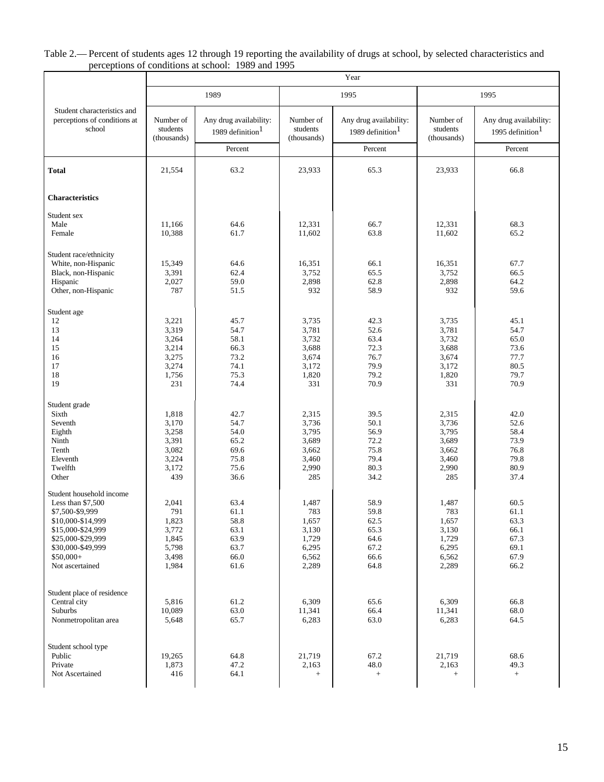#### Table 2.— Percent of students ages 12 through 19 reporting the availability of drugs at school, by selected characteristics and perceptions of conditions at school: 1989 and 1995

|                                                                       |                                      | 1989                                                              |                                      | 1995                                                              | 1995                                 |                                                                   |  |
|-----------------------------------------------------------------------|--------------------------------------|-------------------------------------------------------------------|--------------------------------------|-------------------------------------------------------------------|--------------------------------------|-------------------------------------------------------------------|--|
| Student characteristics and<br>perceptions of conditions at<br>school | Number of<br>students<br>(thousands) | Any drug availability:<br>1989 definition <sup>1</sup><br>Percent | Number of<br>students<br>(thousands) | Any drug availability:<br>1989 definition <sup>1</sup><br>Percent | Number of<br>students<br>(thousands) | Any drug availability:<br>1995 definition <sup>1</sup><br>Percent |  |
|                                                                       |                                      |                                                                   |                                      |                                                                   |                                      |                                                                   |  |
| <b>Total</b>                                                          | 21.554                               | 63.2                                                              | 23,933                               | 65.3                                                              | 23,933                               | 66.8                                                              |  |
| <b>Characteristics</b>                                                |                                      |                                                                   |                                      |                                                                   |                                      |                                                                   |  |
| Student sex                                                           |                                      |                                                                   |                                      |                                                                   |                                      |                                                                   |  |
| Male                                                                  | 11,166                               | 64.6                                                              | 12,331                               | 66.7                                                              | 12,331                               | 68.3                                                              |  |
| Female                                                                | 10,388                               | 61.7                                                              | 11,602                               | 63.8                                                              | 11,602                               | 65.2                                                              |  |
| Student race/ethnicity                                                |                                      |                                                                   |                                      |                                                                   |                                      |                                                                   |  |
| White, non-Hispanic                                                   | 15,349                               | 64.6                                                              | 16,351                               | 66.1                                                              | 16,351                               | 67.7                                                              |  |
| Black, non-Hispanic                                                   | 3,391                                | 62.4                                                              | 3,752                                | 65.5                                                              | 3,752                                | 66.5                                                              |  |
| Hispanic                                                              | 2,027                                | 59.0                                                              | 2,898                                | 62.8                                                              | 2,898                                | 64.2                                                              |  |
| Other, non-Hispanic                                                   | 787                                  | 51.5                                                              | 932                                  | 58.9                                                              | 932                                  | 59.6                                                              |  |
| Student age                                                           |                                      |                                                                   |                                      |                                                                   |                                      |                                                                   |  |
| 12                                                                    | 3,221                                | 45.7                                                              | 3,735                                | 42.3                                                              | 3,735                                | 45.1                                                              |  |
| 13                                                                    | 3,319                                | 54.7                                                              | 3,781                                | 52.6                                                              | 3,781                                | 54.7                                                              |  |
| 14                                                                    | 3,264                                | 58.1                                                              | 3,732                                | 63.4                                                              | 3,732                                | 65.0                                                              |  |
| 15                                                                    | 3,214                                | 66.3                                                              | 3,688                                | 72.3                                                              | 3,688                                | 73.6                                                              |  |
| 16                                                                    | 3,275                                | 73.2                                                              | 3,674                                | 76.7                                                              | 3,674                                | 77.7                                                              |  |
| 17                                                                    | 3,274                                | 74.1                                                              | 3,172                                | 79.9                                                              | 3,172                                | 80.5                                                              |  |
| 18<br>19                                                              | 1,756<br>231                         | 75.3<br>74.4                                                      | 1,820<br>331                         | 79.2<br>70.9                                                      | 1,820<br>331                         | 79.7<br>70.9                                                      |  |
|                                                                       |                                      |                                                                   |                                      |                                                                   |                                      |                                                                   |  |
| Student grade                                                         |                                      |                                                                   |                                      |                                                                   |                                      |                                                                   |  |
| Sixth                                                                 | 1,818                                | 42.7                                                              | 2,315                                | 39.5                                                              | 2,315                                | 42.0                                                              |  |
| Seventh                                                               | 3,170                                | 54.7                                                              | 3,736                                | 50.1                                                              | 3,736                                | 52.6                                                              |  |
| Eighth                                                                | 3,258                                | 54.0                                                              | 3,795                                | 56.9                                                              | 3,795                                | 58.4                                                              |  |
| Ninth                                                                 | 3,391                                | 65.2                                                              | 3,689                                | 72.2                                                              | 3,689                                | 73.9                                                              |  |
| Tenth                                                                 | 3,082                                | 69.6                                                              | 3,662                                | 75.8                                                              | 3,662                                | 76.8                                                              |  |
| Eleventh                                                              | 3,224                                | 75.8                                                              | 3,460                                | 79.4                                                              | 3,460                                | 79.8                                                              |  |
| Twelfth<br>Other                                                      | 3,172<br>439                         | 75.6<br>36.6                                                      | 2,990<br>285                         | 80.3<br>34.2                                                      | 2,990<br>285                         | 80.9<br>37.4                                                      |  |
| Student household income                                              |                                      |                                                                   |                                      |                                                                   |                                      |                                                                   |  |
| Less than $$7,500$                                                    | 2,041                                | 63.4                                                              | 1,487                                | 58.9                                                              | 1,487                                | 60.5                                                              |  |
| \$7,500-\$9,999                                                       | 791                                  | 61.1                                                              | 783                                  | 59.8                                                              | 783                                  | 61.1                                                              |  |
| \$10,000-\$14,999                                                     | 1,823                                | 58.8                                                              | 1,657                                | 62.5                                                              | 1,657                                | 63.3                                                              |  |
| \$15,000-\$24,999                                                     | 3,772                                | 63.1                                                              | 3,130                                | 65.3                                                              | 3,130                                | 66.1                                                              |  |
| \$25,000-\$29,999                                                     | 1,845                                | 63.9                                                              | 1,729                                | 64.6                                                              | 1,729                                | 67.3                                                              |  |
| \$30,000-\$49,999                                                     | 5,798                                | 63.7                                                              | 6,295                                | 67.2                                                              | 6,295                                | 69.1                                                              |  |
| $$50,000+$                                                            | 3,498                                | 66.0                                                              | 6,562                                | 66.6                                                              | 6,562                                | 67.9                                                              |  |
| Not ascertained                                                       | 1,984                                | 61.6                                                              | 2,289                                | 64.8                                                              | 2,289                                | 66.2                                                              |  |
|                                                                       |                                      |                                                                   |                                      |                                                                   |                                      |                                                                   |  |
| Student place of residence                                            |                                      |                                                                   |                                      |                                                                   |                                      |                                                                   |  |
| Central city<br>Suburbs                                               | 5,816<br>10,089                      | 61.2<br>63.0                                                      | 6,309<br>11,341                      | 65.6<br>66.4                                                      | 6,309<br>11,341                      | 66.8<br>68.0                                                      |  |
| Nonmetropolitan area                                                  | 5,648                                | 65.7                                                              | 6,283                                | 63.0                                                              | 6,283                                | 64.5                                                              |  |
|                                                                       |                                      |                                                                   |                                      |                                                                   |                                      |                                                                   |  |
| Student school type                                                   |                                      |                                                                   |                                      |                                                                   |                                      |                                                                   |  |
| Public                                                                | 19,265                               | 64.8                                                              | 21,719                               | 67.2                                                              | 21,719                               | 68.6                                                              |  |
| Private                                                               | 1,873                                | 47.2<br>64.1                                                      | 2,163                                | 48.0                                                              | 2,163                                | 49.3                                                              |  |
| Not Ascertained                                                       | 416                                  |                                                                   | $+$                                  | $\qquad \qquad +$                                                 | $\qquad \qquad +$                    | $+$                                                               |  |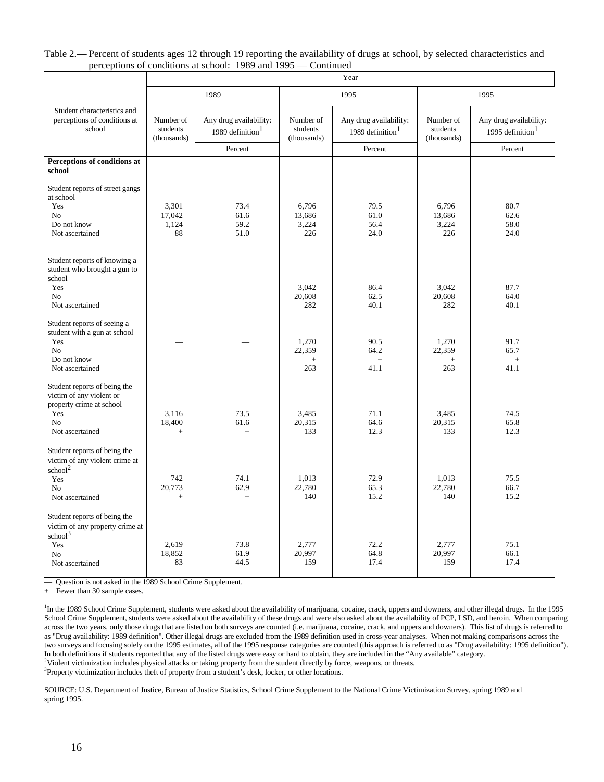#### Table 2.— Percent of students ages 12 through 19 reporting the availability of drugs at school, by selected characteristics and perceptions of conditions at school: 1989 and 1995 — Continued

|                                                                                        | Year                                 |                                               |                                      |                                                        |                                      |                                                        |  |  |  |
|----------------------------------------------------------------------------------------|--------------------------------------|-----------------------------------------------|--------------------------------------|--------------------------------------------------------|--------------------------------------|--------------------------------------------------------|--|--|--|
|                                                                                        |                                      | 1989                                          |                                      | 1995                                                   |                                      | 1995                                                   |  |  |  |
| Student characteristics and<br>perceptions of conditions at<br>school                  | Number of<br>students<br>(thousands) | Any drug availability:<br>1989 definition $1$ | Number of<br>students<br>(thousands) | Any drug availability:<br>1989 definition <sup>1</sup> | Number of<br>students<br>(thousands) | Any drug availability:<br>1995 definition <sup>1</sup> |  |  |  |
|                                                                                        |                                      | Percent                                       |                                      | Percent                                                |                                      | Percent                                                |  |  |  |
| Perceptions of conditions at<br>school                                                 |                                      |                                               |                                      |                                                        |                                      |                                                        |  |  |  |
| Student reports of street gangs<br>at school<br>Yes                                    | 3,301                                | 73.4                                          | 6,796                                | 79.5                                                   | 6,796                                | 80.7                                                   |  |  |  |
| No                                                                                     | 17,042                               | 61.6                                          | 13.686                               | 61.0                                                   | 13,686                               | 62.6                                                   |  |  |  |
| Do not know<br>Not ascertained                                                         | 1,124<br>88                          | 59.2<br>51.0                                  | 3,224<br>226                         | 56.4<br>24.0                                           | 3,224<br>226                         | 58.0<br>24.0                                           |  |  |  |
| Student reports of knowing a<br>student who brought a gun to<br>school                 |                                      |                                               |                                      |                                                        |                                      |                                                        |  |  |  |
| Yes<br>N <sub>o</sub>                                                                  |                                      |                                               | 3,042<br>20,608                      | 86.4                                                   | 3,042                                | 87.7                                                   |  |  |  |
| Not ascertained                                                                        |                                      |                                               | 282                                  | 62.5<br>40.1                                           | 20,608<br>282                        | 64.0<br>40.1                                           |  |  |  |
| Student reports of seeing a<br>student with a gun at school<br>Yes                     |                                      |                                               | 1,270                                | 90.5                                                   | 1.270                                | 91.7                                                   |  |  |  |
| N <sub>o</sub>                                                                         |                                      |                                               | 22,359                               | 64.2                                                   | 22,359                               | 65.7                                                   |  |  |  |
| Do not know<br>Not ascertained                                                         |                                      | $\overline{\phantom{0}}$                      | $^{+}$<br>263                        | $+$<br>41.1                                            | $\! +$<br>263                        | $+$<br>41.1                                            |  |  |  |
| Student reports of being the<br>victim of any violent or<br>property crime at school   |                                      |                                               |                                      |                                                        |                                      |                                                        |  |  |  |
| Yes<br>N <sub>o</sub>                                                                  | 3,116<br>18,400                      | 73.5<br>61.6                                  | 3,485<br>20,315                      | 71.1<br>64.6                                           | 3.485<br>20,315                      | 74.5<br>65.8                                           |  |  |  |
| Not ascertained                                                                        | $^{+}$                               | $+$                                           | 133                                  | 12.3                                                   | 133                                  | 12.3                                                   |  |  |  |
| Student reports of being the<br>victim of any violent crime at<br>school <sup>2</sup>  |                                      |                                               |                                      |                                                        |                                      |                                                        |  |  |  |
| Yes                                                                                    | 742                                  | 74.1                                          | 1,013                                | 72.9                                                   | 1,013                                | 75.5                                                   |  |  |  |
| N <sub>0</sub><br>Not ascertained                                                      | 20,773<br>$+$                        | 62.9<br>$+$                                   | 22,780<br>140                        | 65.3<br>15.2                                           | 22,780<br>140                        | 66.7<br>15.2                                           |  |  |  |
| Student reports of being the<br>victim of any property crime at<br>school <sup>3</sup> |                                      |                                               |                                      |                                                        |                                      |                                                        |  |  |  |
| Yes                                                                                    | 2,619                                | 73.8                                          | 2,777                                | 72.2                                                   | 2,777                                | 75.1                                                   |  |  |  |
| N <sub>0</sub>                                                                         | 18,852<br>83                         | 61.9<br>44.5                                  | 20,997<br>159                        | 64.8<br>17.4                                           | 20,997<br>159                        | 66.1<br>17.4                                           |  |  |  |
| Not ascertained                                                                        |                                      |                                               |                                      |                                                        |                                      |                                                        |  |  |  |

— Question is not asked in the 1989 School Crime Supplement.

+ Fewer than 30 sample cases.

<sup>1</sup>In the 1989 School Crime Supplement, students were asked about the availability of marijuana, cocaine, crack, uppers and downers, and other illegal drugs. In the 1995 School Crime Supplement, students were asked about the availability of these drugs and were also asked about the availability of PCP, LSD, and heroin. When comparing across the two years, only those drugs that are listed on both surveys are counted (i.e. marijuana, cocaine, crack, and uppers and downers). This list of drugs is referred to as "Drug availability: 1989 definition". Other illegal drugs are excluded from the 1989 definition used in cross-year analyses. When not making comparisons across the two surveys and focusing solely on the 1995 estimates, all of the 1995 response categories are counted (this approach is referred to as "Drug availability: 1995 definition"). In both definitions if students reported that any of the listed drugs were easy or hard to obtain, they are included in the "Any available" category. <sup>2</sup>Violent victimization includes physical attacks or taking property from the student directly by force, weapons, or threats.

<sup>3</sup>Property victimization includes theft of property from a student's desk, locker, or other locations.

SOURCE: U.S. Department of Justice, Bureau of Justice Statistics, School Crime Supplement to the National Crime Victimization Survey, spring 1989 and spring 1995.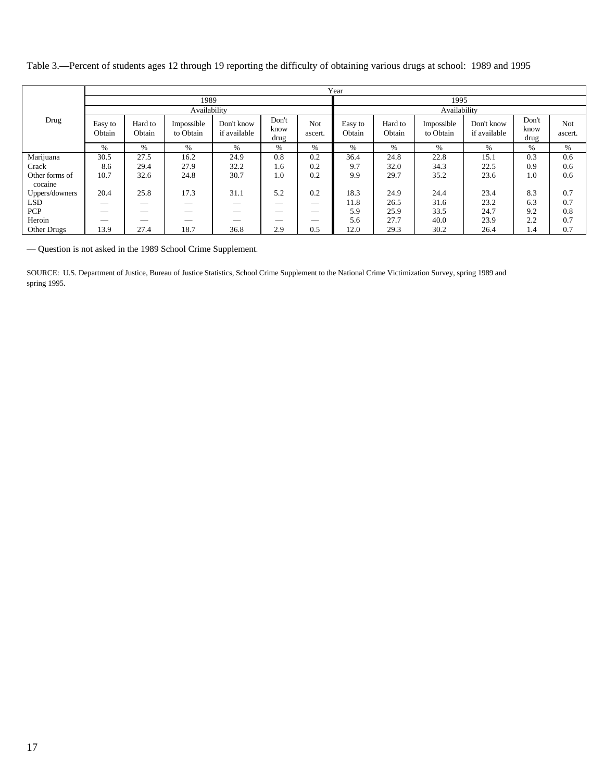|                           |                   | Year              |                         |                            |                       |                |                   |                   |                         |                            |                       |                |  |  |
|---------------------------|-------------------|-------------------|-------------------------|----------------------------|-----------------------|----------------|-------------------|-------------------|-------------------------|----------------------------|-----------------------|----------------|--|--|
|                           |                   |                   | 1989                    |                            |                       | 1995           |                   |                   |                         |                            |                       |                |  |  |
|                           |                   |                   | Availability            |                            |                       |                |                   | Availability      |                         |                            |                       |                |  |  |
| Drug                      | Easy to<br>Obtain | Hard to<br>Obtain | Impossible<br>to Obtain | Don't know<br>if available | Don't<br>know<br>drug | Not<br>ascert. | Easy to<br>Obtain | Hard to<br>Obtain | Impossible<br>to Obtain | Don't know<br>if available | Don't<br>know<br>drug | Not<br>ascert. |  |  |
|                           | $\%$              | $\%$              | %                       | $\%$                       | %                     | %              | $\%$              | $\%$              | $\%$                    | $\%$                       | %                     | $\%$           |  |  |
| Marijuana                 | 30.5              | 27.5              | 16.2                    | 24.9                       | 0.8                   | 0.2            | 36.4              | 24.8              | 22.8                    | 15.1                       | 0.3                   | 0.6            |  |  |
| Crack                     | 8.6               | 29.4              | 27.9                    | 32.2                       | 1.6                   | 0.2            | 9.7               | 32.0              | 34.3                    | 22.5                       | 0.9                   | 0.6            |  |  |
| Other forms of<br>cocaine | 10.7              | 32.6              | 24.8                    | 30.7                       | 1.0                   | 0.2            | 9.9               | 29.7              | 35.2                    | 23.6                       | 1.0                   | 0.6            |  |  |
| Uppers/downers            | 20.4              | 25.8              | 17.3                    | 31.1                       | 5.2                   | 0.2            | 18.3              | 24.9              | 24.4                    | 23.4                       | 8.3                   | 0.7            |  |  |
| <b>LSD</b>                |                   | __                | __                      |                            |                       |                | 11.8              | 26.5              | 31.6                    | 23.2                       | 6.3                   | 0.7            |  |  |
| <b>PCP</b>                |                   |                   |                         | __                         |                       |                | 5.9               | 25.9              | 33.5                    | 24.7                       | 9.2                   | 0.8            |  |  |
| Heroin                    |                   |                   |                         |                            | __                    |                | 5.6               | 27.7              | 40.0                    | 23.9                       | 2.2                   | 0.7            |  |  |
| Other Drugs               | 13.9              | 27.4              | 18.7                    | 36.8                       | 2.9                   | 0.5            | 12.0              | 29.3              | 30.2                    | 26.4                       | 1.4                   | 0.7            |  |  |

Table 3.—Percent of students ages 12 through 19 reporting the difficulty of obtaining various drugs at school: 1989 and 1995

— Question is not asked in the 1989 School Crime Supplement.

SOURCE: U.S. Department of Justice, Bureau of Justice Statistics, School Crime Supplement to the National Crime Victimization Survey, spring 1989 and spring 1995.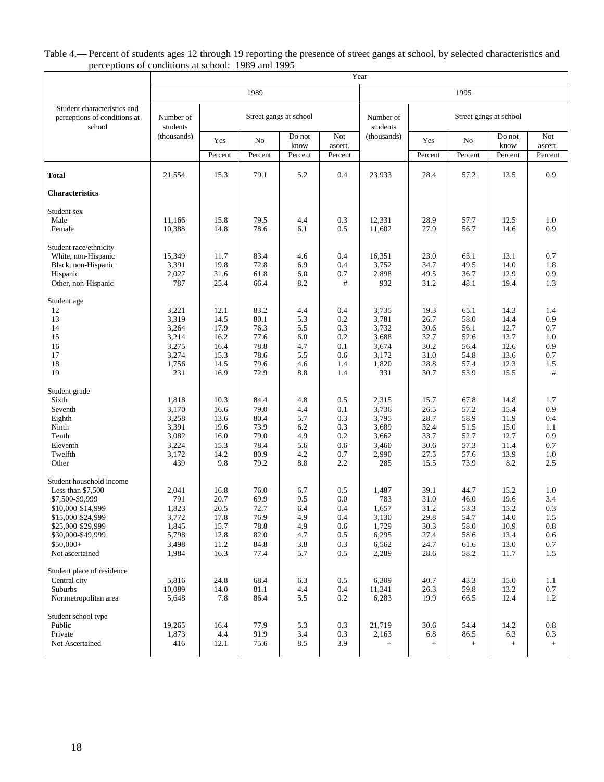#### Table 4.— Percent of students ages 12 through 19 reporting the presence of street gangs at school, by selected characteristics and perceptions of conditions at school: 1989 and 1995

|                                                                       |                       |                 |              |                        |                | Year                  |                        |                                          |                |                |
|-----------------------------------------------------------------------|-----------------------|-----------------|--------------|------------------------|----------------|-----------------------|------------------------|------------------------------------------|----------------|----------------|
|                                                                       |                       |                 | 1989         |                        |                |                       |                        | 1995                                     |                |                |
| Student characteristics and<br>perceptions of conditions at<br>school | Number of<br>students |                 |              | Street gangs at school |                | Number of<br>students | Street gangs at school |                                          |                |                |
|                                                                       | (thousands)           | Yes             | No           | Do not<br>know         | Not<br>ascert. | (thousands)           | Yes                    | No                                       | Do not<br>know | Not<br>ascert. |
|                                                                       |                       | Percent         | Percent      | Percent                | Percent        |                       | Percent                | Percent                                  | Percent        | Percent        |
| Total                                                                 | 21,554                | 15.3            | 79.1         | 5.2                    | 0.4            | 23,933                | 28.4                   | 57.2                                     | 13.5           | 0.9            |
| Characteristics                                                       |                       |                 |              |                        |                |                       |                        |                                          |                |                |
| Student sex                                                           |                       |                 |              |                        |                |                       |                        |                                          |                |                |
| Male<br>Female                                                        | 11,166<br>10,388      | 15.8<br>14.8    | 79.5<br>78.6 | 4.4<br>6.1             | 0.3<br>0.5     | 12,331<br>11,602      | 28.9<br>27.9           | 57.7<br>56.7                             | 12.5<br>14.6   | 1.0<br>0.9     |
|                                                                       |                       |                 |              |                        |                |                       |                        |                                          |                |                |
| Student race/ethnicity                                                |                       |                 |              |                        |                |                       |                        |                                          |                |                |
| White, non-Hispanic                                                   | 15,349                | 11.7            | 83.4         | 4.6                    | 0.4            | 16,351                | 23.0                   | 63.1                                     | 13.1           | 0.7            |
| Black, non-Hispanic<br>Hispanic                                       | 3,391<br>2,027        | 19.8<br>31.6    | 72.8<br>61.8 | 6.9<br>6.0             | 0.4<br>0.7     | 3,752<br>2,898        | 34.7<br>49.5           | 49.5<br>36.7                             | 14.0<br>12.9   | 1.8<br>0.9     |
| Other, non-Hispanic                                                   | 787                   | 25.4            | 66.4         | 8.2                    | #              | 932                   | 31.2                   | 48.1                                     | 19.4           | 1.3            |
| Student age                                                           |                       |                 |              |                        |                |                       |                        |                                          |                |                |
| 12                                                                    | 3,221                 | 12.1            | 83.2         | 4.4                    | 0.4            | 3,735                 | 19.3                   | 65.1                                     | 14.3           | 1.4            |
| 13                                                                    | 3,319                 | 14.5            | 80.1         | 5.3                    | 0.2            | 3,781                 | 26.7                   | 58.0                                     | 14.4           | 0.9            |
| 14<br>15                                                              | 3,264<br>3,214        | 17.9<br>16.2    | 76.3<br>77.6 | 5.5<br>6.0             | 0.3<br>0.2     | 3,732<br>3,688        | 30.6<br>32.7           | 56.1<br>52.6                             | 12.7<br>13.7   | 0.7<br>1.0     |
| 16                                                                    | 3,275                 | 16.4            | 78.8         | 4.7                    | 0.1            | 3,674                 | 30.2                   | 56.4                                     | 12.6           | 0.9            |
| 17                                                                    | 3,274                 | 15.3            | 78.6         | 5.5                    | 0.6            | 3,172                 | 31.0                   | 54.8                                     | 13.6           | 0.7            |
| 18                                                                    | 1,756                 | 14.5            | 79.6         | 4.6                    | 1.4            | 1,820                 | 28.8                   | 57.4                                     | 12.3           | 1.5            |
| 19                                                                    | 231                   | 16.9            | 72.9         | 8.8                    | 1.4            | 331                   | 30.7                   | 53.9                                     | 15.5           | #              |
| Student grade                                                         |                       |                 |              |                        |                |                       |                        |                                          |                |                |
| Sixth                                                                 | 1,818                 | 10.3            | 84.4         | 4.8                    | 0.5            | 2,315                 | 15.7                   | 67.8                                     | 14.8           | 1.7            |
| Seventh                                                               | 3,170                 | 16.6            | 79.0         | 4.4                    | 0.1            | 3,736                 | 26.5                   | 57.2                                     | 15.4           | 0.9            |
| Eighth<br>Ninth                                                       | 3,258<br>3,391        | 13.6<br>19.6    | 80.4<br>73.9 | 5.7<br>6.2             | 0.3<br>0.3     | 3,795<br>3,689        | 28.7<br>32.4           | 58.9<br>51.5                             | 11.9<br>15.0   | 0.4<br>1.1     |
| Tenth                                                                 | 3,082                 | 16.0            | 79.0         | 4.9                    | 0.2            | 3,662                 | 33.7                   | 52.7                                     | 12.7           | 0.9            |
| Eleventh                                                              | 3,224                 | 15.3            | 78.4         | 5.6                    | 0.6            | 3,460                 | 30.6                   | 57.3                                     | 11.4           | 0.7            |
| Twelfth                                                               | 3,172                 | 14.2            | 80.9         | 4.2                    | 0.7            | 2,990                 | 27.5                   | 57.6                                     | 13.9           | 1.0            |
| Other                                                                 | 439                   | 9.8             | 79.2         | 8.8                    | 2.2            | 285                   | 15.5                   | 73.9                                     | 8.2            | 2.5            |
| Student household income                                              |                       |                 |              |                        |                |                       |                        |                                          |                |                |
| Less than $$7,500$                                                    | 2,041                 | 16.8            | 76.0         | 6.7                    | 0.5            | 1,487                 | 39.1                   | 44.7                                     | 15.2           | 1.0            |
| \$7,500-\$9,999                                                       | 791<br>1,823          | 20.7            | 69.9         | 9.5                    | 0.0            | 783                   | 31.0                   | 46.0                                     | 19.6           | 3.4<br>0.3     |
| \$10,000-\$14,999<br>\$15,000-\$24,999                                | 3,772                 | 20.5<br>17.8    | 72.7<br>76.9 | 6.4<br>4.9             | 0.4<br>0.4     | 1,657<br>3,130        | 31.2<br>29.8           | 53.3<br>54.7                             | 15.2<br>14.0   | 1.5            |
| \$25,000-\$29,999                                                     | 1,845                 | 15.7            | 78.8         | 4.9                    | 0.6            | 1,729                 | 30.3                   | 58.0                                     | 10.9           | 0.8            |
| \$30,000-\$49,999                                                     | 5,798                 | 12.8            | 82.0         | 4.7                    | 0.5            | 6,295                 | 27.4                   | 58.6                                     | 13.4           | 0.6            |
| $$50,000+$                                                            | 3,498                 | 11.2            | 84.8         | 3.8                    | 0.3            | 6,562                 | 24.7                   | 61.6                                     | 13.0           | 0.7            |
| Not ascertained                                                       | 1,984                 | 16.3            | 77.4         | 5.7                    | 0.5            | 2,289                 | 28.6                   | 58.2                                     | 11.7           | 1.5            |
| Student place of residence                                            |                       |                 |              |                        |                |                       |                        |                                          |                |                |
| Central city                                                          | 5,816                 | 24.8            | 68.4         | 6.3                    | 0.5            | 6,309                 | 40.7                   | 43.3                                     | 15.0           | 1.1            |
| Suburbs                                                               | 10,089                | 14.0            | 81.1         | 4.4                    | 0.4            | 11,341                | 26.3                   | 59.8                                     | 13.2           | 0.7            |
| Nonmetropolitan area                                                  | 5,648                 | 7.8             | 86.4         | 5.5                    | 0.2            | 6,283                 | 19.9                   | 66.5                                     | 12.4           | 1.2            |
| Student school type                                                   |                       |                 |              |                        |                |                       |                        |                                          |                |                |
| Public                                                                | 19,265                | 16.4            | 77.9         | 5.3                    | 0.3            | 21,719                | 30.6                   | 54.4                                     | 14.2           | 0.8            |
| Private<br>Not Ascertained                                            | 1,873<br>416          | $4.4\,$<br>12.1 | 91.9<br>75.6 | 3.4<br>8.5             | 0.3<br>3.9     | 2,163<br>$+$          | 6.8<br>$+$             | 86.5<br>$\begin{array}{c} + \end{array}$ | 6.3<br>$\! +$  | 0.3<br>$\! +$  |
|                                                                       |                       |                 |              |                        |                |                       |                        |                                          |                |                |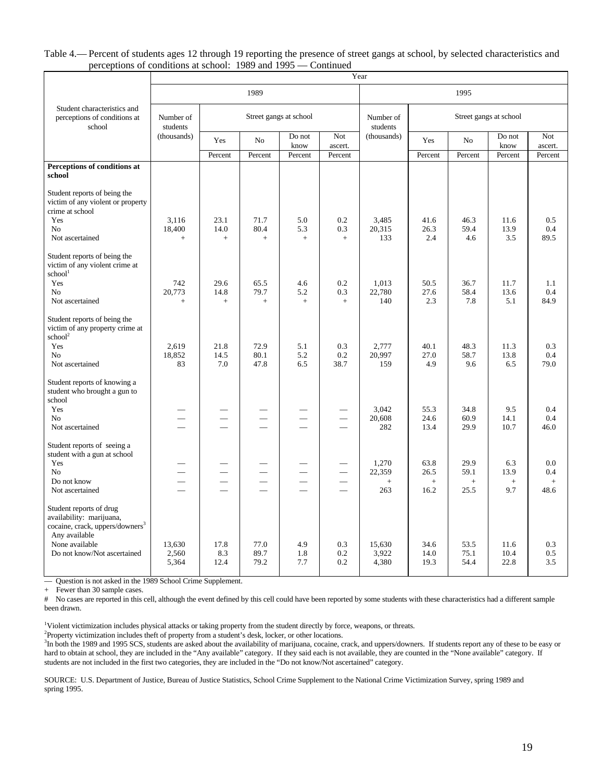#### Table 4.— Percent of students ages 12 through 19 reporting the presence of street gangs at school, by selected characteristics and perceptions of conditions at school: 1989 and 1995 — Continued

|                                                                                                                     | Year                     |                                             |                                      |                          |                |                       |                        |                          |                          |                |
|---------------------------------------------------------------------------------------------------------------------|--------------------------|---------------------------------------------|--------------------------------------|--------------------------|----------------|-----------------------|------------------------|--------------------------|--------------------------|----------------|
|                                                                                                                     |                          |                                             | 1989                                 |                          |                | 1995                  |                        |                          |                          |                |
| Student characteristics and<br>perceptions of conditions at<br>school                                               | Number of<br>students    |                                             | Street gangs at school               |                          |                | Number of<br>students | Street gangs at school |                          |                          |                |
|                                                                                                                     | (thousands)              | Yes                                         | N <sub>o</sub>                       | Do not<br>know           | Not<br>ascert. | (thousands)           | Yes                    | No                       | Do not<br>know           | Not<br>ascert. |
|                                                                                                                     |                          | Percent                                     | Percent                              | Percent                  | Percent        |                       | Percent                | Percent                  | Percent                  | Percent        |
| Perceptions of conditions at<br>school                                                                              |                          |                                             |                                      |                          |                |                       |                        |                          |                          |                |
| Student reports of being the<br>victim of any violent or property<br>crime at school                                |                          |                                             |                                      |                          |                |                       |                        |                          |                          |                |
| Yes                                                                                                                 | 3,116                    | 23.1                                        | 71.7                                 | 5.0                      | 0.2            | 3,485                 | 41.6                   | 46.3                     | 11.6                     | 0.5            |
| N <sub>0</sub>                                                                                                      | 18,400                   | 14.0                                        | 80.4                                 | 5.3                      | 0.3            | 20,315                | 26.3                   | 59.4                     | 13.9                     | 0.4            |
| Not ascertained                                                                                                     | $+$                      | $+$                                         | $+$                                  | $+$                      | $^{+}$         | 133                   | 2.4                    | 4.6                      | 3.5                      | 89.5           |
| Student reports of being the<br>victim of any violent crime at<br>school <sup>1</sup>                               |                          |                                             |                                      |                          |                |                       |                        |                          |                          |                |
| Yes                                                                                                                 | 742                      | 29.6                                        | 65.5                                 | 4.6                      | 0.2            | 1,013                 | 50.5                   | 36.7                     | 11.7                     | 1.1            |
| N <sub>0</sub>                                                                                                      | 20,773                   | 14.8                                        | 79.7                                 | 5.2                      | 0.3            | 22,780                | 27.6                   | 58.4                     | 13.6                     | 0.4            |
| Not ascertained                                                                                                     | $+$                      | $+$                                         | $\! +$                               | $+$                      | $^{+}$         | 140                   | 2.3                    | 7.8                      | 5.1                      | 84.9           |
| Student reports of being the<br>victim of any property crime at<br>school <sup>2</sup>                              |                          |                                             |                                      |                          |                |                       |                        |                          |                          |                |
| Yes                                                                                                                 | 2,619                    | 21.8                                        | 72.9                                 | 5.1                      | 0.3            | 2,777                 | 40.1                   | 48.3                     | 11.3                     | 0.3            |
| N <sub>0</sub>                                                                                                      | 18,852                   | 14.5                                        | 80.1                                 | 5.2                      | 0.2            | 20,997                | 27.0                   | 58.7                     | 13.8                     | 0.4            |
| Not ascertained                                                                                                     | 83                       | 7.0                                         | 47.8                                 | 6.5                      | 38.7           | 159                   | 4.9                    | 9.6                      | 6.5                      | 79.0           |
| Student reports of knowing a<br>student who brought a gun to<br>school                                              |                          |                                             |                                      |                          |                |                       |                        |                          |                          |                |
| Yes<br>N <sub>0</sub>                                                                                               |                          |                                             |                                      |                          |                | 3,042<br>20,608       | 55.3<br>24.6           | 34.8<br>60.9             | 9.5<br>14.1              | 0.4<br>0.4     |
| Not ascertained                                                                                                     |                          |                                             |                                      |                          |                | 282                   | 13.4                   | 29.9                     | 10.7                     | 46.0           |
| Student reports of seeing a<br>student with a gun at school                                                         |                          |                                             |                                      |                          |                |                       |                        |                          |                          |                |
| Yes                                                                                                                 |                          |                                             |                                      |                          |                | 1,270                 | 63.8                   | 29.9                     | 6.3                      | 0.0            |
| No<br>Do not know                                                                                                   | $\overline{\phantom{0}}$ | $\qquad \qquad$<br>$\overline{\phantom{0}}$ | $\overline{\phantom{0}}$<br>$\equiv$ | $\overline{\phantom{0}}$ | $\sim$         | 22,359                | 26.5                   | 59.1                     | 13.9                     | 0.4            |
| Not ascertained                                                                                                     |                          |                                             |                                      |                          |                | $+$<br>263            | $+$<br>16.2            | $\boldsymbol{+}$<br>25.5 | $\qquad \qquad +$<br>9.7 | $+$<br>48.6    |
|                                                                                                                     |                          |                                             |                                      |                          |                |                       |                        |                          |                          |                |
| Student reports of drug<br>availability: marijuana,<br>cocaine, crack, uppers/downers <sup>3</sup><br>Any available |                          |                                             |                                      |                          |                |                       |                        |                          |                          |                |
| None available<br>Do not know/Not ascertained                                                                       | 13,630<br>2,560          | 17.8<br>8.3                                 | 77.0<br>89.7                         | 4.9<br>1.8               | 0.3<br>0.2     | 15,630<br>3,922       | 34.6<br>14.0           | 53.5<br>75.1             | 11.6<br>10.4             | 0.3<br>0.5     |
|                                                                                                                     | 5,364                    | 12.4                                        | 79.2                                 | 7.7                      | 0.2            | 4,380                 | 19.3                   | 54.4                     | 22.8                     | 3.5            |
|                                                                                                                     |                          |                                             |                                      |                          |                |                       |                        |                          |                          |                |

— Question is not asked in the 1989 School Crime Supplement.

+ Fewer than 30 sample cases.

# No cases are reported in this cell, although the event defined by this cell could have been reported by some students with these characteristics had a different sample been drawn.

<sup>1</sup>Violent victimization includes physical attacks or taking property from the student directly by force, weapons, or threats.

<sup>2</sup>Property victimization includes theft of property from a student's desk, locker, or other locations.

<sup>3</sup>In both the 1989 and 1995 SCS, students are asked about the availability of marijuana, cocaine, crack, and uppers/downers. If students report any of these to be easy or hard to obtain at school, they are included in the "Any available" category. If they said each is not available, they are counted in the "None available" category. If students are not included in the first two categories, they are included in the "Do not know/Not ascertained" category.

SOURCE: U.S. Department of Justice, Bureau of Justice Statistics, School Crime Supplement to the National Crime Victimization Survey, spring 1989 and spring 1995.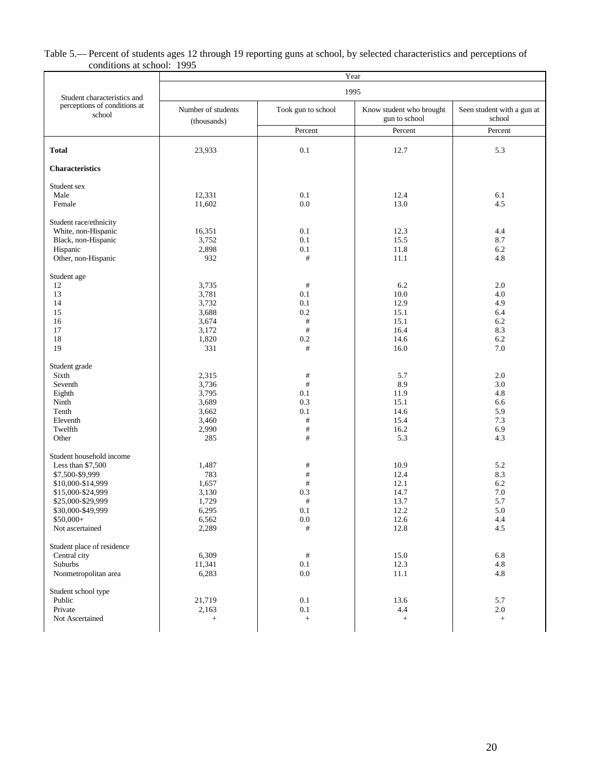#### Table 5.— Percent of students ages 12 through 19 reporting guns at school, by selected characteristics and perceptions of conditions at school: 1995

|                                        | Year                              |                    |                                           |                                      |  |  |  |  |  |  |
|----------------------------------------|-----------------------------------|--------------------|-------------------------------------------|--------------------------------------|--|--|--|--|--|--|
| Student characteristics and            |                                   |                    | 1995                                      |                                      |  |  |  |  |  |  |
| perceptions of conditions at<br>school | Number of students<br>(thousands) | Took gun to school | Know student who brought<br>gun to school | Seen student with a gun at<br>school |  |  |  |  |  |  |
|                                        |                                   | Percent            | Percent                                   | Percent                              |  |  |  |  |  |  |
| <b>Total</b>                           | 23,933                            | 0.1                | 12.7                                      | 5.3                                  |  |  |  |  |  |  |
| <b>Characteristics</b>                 |                                   |                    |                                           |                                      |  |  |  |  |  |  |
| Student sex                            |                                   |                    |                                           |                                      |  |  |  |  |  |  |
| Male                                   | 12,331                            | 0.1                | 12.4                                      | 6.1                                  |  |  |  |  |  |  |
| Female                                 | 11,602                            | $0.0\,$            | 13.0                                      | 4.5                                  |  |  |  |  |  |  |
| Student race/ethnicity                 |                                   |                    |                                           |                                      |  |  |  |  |  |  |
| White, non-Hispanic                    | 16,351                            | 0.1                | 12.3                                      | 4.4                                  |  |  |  |  |  |  |
| Black, non-Hispanic                    | 3,752                             | 0.1                | 15.5                                      | 8.7                                  |  |  |  |  |  |  |
| Hispanic                               | 2,898                             | 0.1                | 11.8                                      | 6.2                                  |  |  |  |  |  |  |
| Other, non-Hispanic                    | 932                               | $\#$               | 11.1                                      | 4.8                                  |  |  |  |  |  |  |
| Student age                            |                                   |                    |                                           |                                      |  |  |  |  |  |  |
| 12                                     | 3,735                             | $\#$               | 6.2                                       | 2.0                                  |  |  |  |  |  |  |
| 13                                     | 3,781                             | 0.1                | 10.0                                      | 4.0                                  |  |  |  |  |  |  |
| 14                                     | 3,732                             | 0.1                | 12.9                                      | 4.9                                  |  |  |  |  |  |  |
| 15                                     | 3,688                             | 0.2                | 15.1                                      | 6.4                                  |  |  |  |  |  |  |
| 16                                     | 3,674                             | $\#$               | 15.1                                      | 6.2                                  |  |  |  |  |  |  |
| 17                                     | 3,172                             | $\#$               | 16.4                                      | 8.3                                  |  |  |  |  |  |  |
| 18                                     | 1,820                             | $0.2\,$            | 14.6                                      | 6.2                                  |  |  |  |  |  |  |
| 19                                     | 331                               | $\#$               | 16.0                                      | 7.0                                  |  |  |  |  |  |  |
| Student grade                          |                                   |                    |                                           |                                      |  |  |  |  |  |  |
| Sixth                                  | 2,315                             | $\#$               | 5.7                                       | 2.0                                  |  |  |  |  |  |  |
| Seventh                                | 3,736                             | $\#$               | 8.9                                       | 3.0                                  |  |  |  |  |  |  |
| Eighth                                 | 3,795                             | 0.1                | 11.9                                      | 4.8                                  |  |  |  |  |  |  |
| Ninth                                  | 3,689                             | 0.3                | 15.1                                      | 6.6                                  |  |  |  |  |  |  |
| Tenth                                  | 3,662                             | 0.1                | 14.6                                      | 5.9                                  |  |  |  |  |  |  |
| Eleventh                               | 3,460                             | $\#$               | 15.4                                      | 7.3                                  |  |  |  |  |  |  |
| Twelfth                                | 2,990                             | $\#$               | 16.2                                      | 6.9                                  |  |  |  |  |  |  |
| Other                                  | 285                               | $\#$               | 5.3                                       | 4.3                                  |  |  |  |  |  |  |
| Student household income               |                                   |                    |                                           |                                      |  |  |  |  |  |  |
| Less than $$7,500$                     | 1,487                             | #                  | 10.9                                      | 5.2                                  |  |  |  |  |  |  |
| \$7,500-\$9,999                        | 783                               | $\#$               | 12.4                                      | 8.3                                  |  |  |  |  |  |  |
| \$10,000-\$14,999                      | 1,657                             | $\#$               | 12.1                                      | 6.2                                  |  |  |  |  |  |  |
| \$15,000-\$24,999                      | 3,130                             | 0.3                | 14.7                                      | 7.0                                  |  |  |  |  |  |  |
| \$25,000-\$29,999                      | 1,729                             | $\#$               | 13.7                                      | 5.7                                  |  |  |  |  |  |  |
| \$30,000-\$49,999                      | 6,295                             | 0.1                | 12.2                                      | 5.0                                  |  |  |  |  |  |  |
| $$50,000+$                             | 6,562                             | $0.0\,$            | 12.6                                      | 4.4                                  |  |  |  |  |  |  |
| Not ascertained                        | 2,289                             | $\#$               | 12.8                                      | 4.5                                  |  |  |  |  |  |  |
|                                        |                                   |                    |                                           |                                      |  |  |  |  |  |  |
| Student place of residence             |                                   |                    |                                           |                                      |  |  |  |  |  |  |
| Central city                           | 6,309                             | $\#$               | 15.0                                      | 6.8                                  |  |  |  |  |  |  |
| Suburbs<br>Nonmetropolitan area        | 11,341<br>6,283                   | 0.1<br>$0.0\,$     | 12.3<br>11.1                              | 4.8<br>4.8                           |  |  |  |  |  |  |
|                                        |                                   |                    |                                           |                                      |  |  |  |  |  |  |
| Student school type<br>Public          | 21,719                            | $0.1\,$            | 13.6                                      | 5.7                                  |  |  |  |  |  |  |
| Private                                | 2,163                             | 0.1                | 4.4                                       | 2.0                                  |  |  |  |  |  |  |
| Not Ascertained                        | $\qquad \qquad +$                 | $+$                | $^+$                                      | $\qquad \qquad +$                    |  |  |  |  |  |  |
|                                        |                                   |                    |                                           |                                      |  |  |  |  |  |  |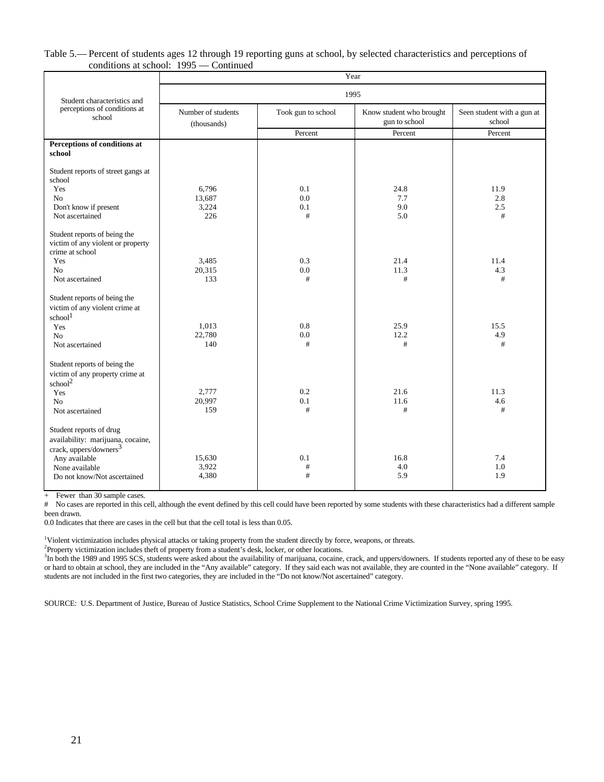#### Table 5.— Percent of students ages 12 through 19 reporting guns at school, by selected characteristics and perceptions of conditions at school: 1995 — Continued

|                                                                                                                | Year                              |                    |                                           |                                      |  |  |  |  |  |
|----------------------------------------------------------------------------------------------------------------|-----------------------------------|--------------------|-------------------------------------------|--------------------------------------|--|--|--|--|--|
| Student characteristics and                                                                                    |                                   |                    | 1995                                      |                                      |  |  |  |  |  |
| perceptions of conditions at<br>school                                                                         | Number of students<br>(thousands) | Took gun to school | Know student who brought<br>gun to school | Seen student with a gun at<br>school |  |  |  |  |  |
|                                                                                                                |                                   | Percent            | Percent                                   | Percent                              |  |  |  |  |  |
| Perceptions of conditions at<br>school                                                                         |                                   |                    |                                           |                                      |  |  |  |  |  |
| Student reports of street gangs at<br>school                                                                   |                                   |                    |                                           |                                      |  |  |  |  |  |
| Yes                                                                                                            | 6,796                             | 0.1                | 24.8                                      | 11.9                                 |  |  |  |  |  |
| N <sub>0</sub>                                                                                                 | 13.687                            | 0.0                | 7.7                                       | 2.8                                  |  |  |  |  |  |
| Don't know if present                                                                                          | 3,224                             | 0.1                | 9.0                                       | 2.5                                  |  |  |  |  |  |
| Not ascertained                                                                                                | 226                               | #                  | 5.0                                       | #                                    |  |  |  |  |  |
| Student reports of being the<br>victim of any violent or property<br>crime at school                           |                                   |                    |                                           |                                      |  |  |  |  |  |
| Yes                                                                                                            | 3,485                             | 0.3                | 21.4                                      | 11.4                                 |  |  |  |  |  |
| No                                                                                                             | 20,315                            | 0.0                | 11.3                                      | 4.3                                  |  |  |  |  |  |
| Not ascertained                                                                                                | 133                               | #                  | #                                         | #                                    |  |  |  |  |  |
| Student reports of being the<br>victim of any violent crime at<br>school <sup>1</sup><br>Yes<br>N <sub>o</sub> | 1,013<br>22,780                   | 0.8<br>0.0         | 25.9<br>12.2                              | 15.5<br>4.9                          |  |  |  |  |  |
| Not ascertained                                                                                                | 140                               | #                  | #                                         | #                                    |  |  |  |  |  |
| Student reports of being the<br>victim of any property crime at<br>school <sup>2</sup>                         |                                   |                    |                                           |                                      |  |  |  |  |  |
| Yes                                                                                                            | 2,777                             | 0.2                | 21.6                                      | 11.3                                 |  |  |  |  |  |
| N <sub>0</sub>                                                                                                 | 20,997                            | 0.1                | 11.6                                      | 4.6                                  |  |  |  |  |  |
| Not ascertained                                                                                                | 159                               | #                  | #                                         | #                                    |  |  |  |  |  |
| Student reports of drug<br>availability: marijuana, cocaine,<br>crack, uppers/downers <sup>3</sup>             |                                   |                    |                                           |                                      |  |  |  |  |  |
| Any available                                                                                                  | 15,630                            | 0.1                | 16.8                                      | 7.4                                  |  |  |  |  |  |
| None available                                                                                                 | 3,922                             | $\#$               | 4.0                                       | 1.0                                  |  |  |  |  |  |
| Do not know/Not ascertained                                                                                    | 4,380                             | #                  | 5.9                                       | 1.9                                  |  |  |  |  |  |
|                                                                                                                |                                   |                    |                                           |                                      |  |  |  |  |  |

+ Fewer than 30 sample cases.

# No cases are reported in this cell, although the event defined by this cell could have been reported by some students with these characteristics had a different sample been drawn.

0.0 Indicates that there are cases in the cell but that the cell total is less than 0.05.

<sup>1</sup>Violent victimization includes physical attacks or taking property from the student directly by force, weapons, or threats.

<sup>2</sup>Property victimization includes theft of property from a student's desk, locker, or other locations.

<sup>3</sup>In both the 1989 and 1995 SCS, students were asked about the availability of marijuana, cocaine, crack, and uppers/downers. If students reported any of these to be easy or hard to obtain at school, they are included in the "Any available" category. If they said each was not available, they are counted in the "None available" category. If students are not included in the first two categories, they are included in the "Do not know/Not ascertained" category.

SOURCE: U.S. Department of Justice, Bureau of Justice Statistics, School Crime Supplement to the National Crime Victimization Survey, spring 1995.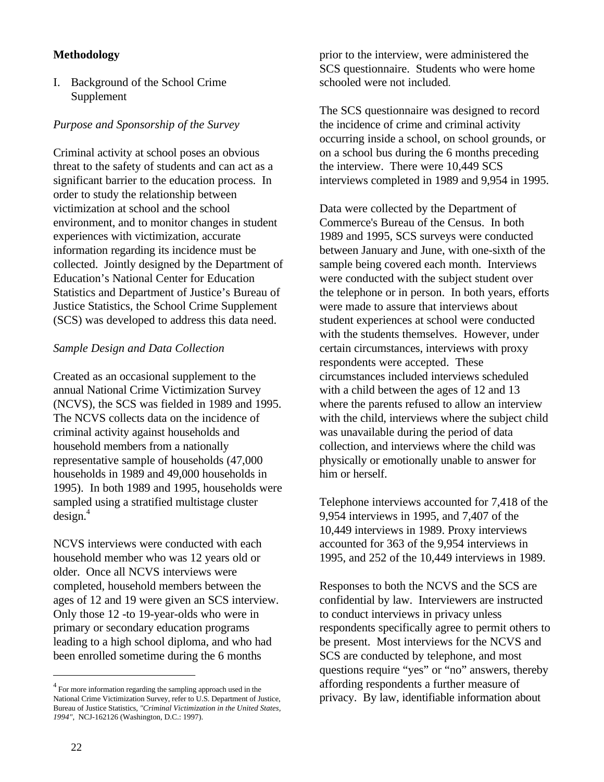#### **Methodology**

I. Background of the School Crime Supplement

#### *Purpose and Sponsorship of the Survey*

Criminal activity at school poses an obvious threat to the safety of students and can act as a significant barrier to the education process. In order to study the relationship between victimization at school and the school environment, and to monitor changes in student experiences with victimization, accurate information regarding its incidence must be collected. Jointly designed by the Department of Education's National Center for Education Statistics and Department of Justice's Bureau of Justice Statistics, the School Crime Supplement (SCS) was developed to address this data need.

#### *Sample Design and Data Collection*

Created as an occasional supplement to the annual National Crime Victimization Survey (NCVS), the SCS was fielded in 1989 and 1995. The NCVS collects data on the incidence of criminal activity against households and household members from a nationally representative sample of households (47,000 households in 1989 and 49,000 households in 1995). In both 1989 and 1995, households were sampled using a stratified multistage cluster  $design.<sup>4</sup>$ 

NCVS interviews were conducted with each household member who was 12 years old or older. Once all NCVS interviews were completed, household members between the ages of 12 and 19 were given an SCS interview. Only those 12 -to 19-year-olds who were in primary or secondary education programs leading to a high school diploma, and who had been enrolled sometime during the 6 months

prior to the interview, were administered the SCS questionnaire. Students who were home schooled were not included.

The SCS questionnaire was designed to record the incidence of crime and criminal activity occurring inside a school, on school grounds, or on a school bus during the 6 months preceding the interview. There were 10,449 SCS interviews completed in 1989 and 9,954 in 1995.

Data were collected by the Department of Commerce's Bureau of the Census. In both 1989 and 1995, SCS surveys were conducted between January and June, with one-sixth of the sample being covered each month. Interviews were conducted with the subject student over the telephone or in person. In both years, efforts were made to assure that interviews about student experiences at school were conducted with the students themselves. However, under certain circumstances, interviews with proxy respondents were accepted. These circumstances included interviews scheduled with a child between the ages of 12 and 13 where the parents refused to allow an interview with the child, interviews where the subject child was unavailable during the period of data collection, and interviews where the child was physically or emotionally unable to answer for him or herself.

Telephone interviews accounted for 7,418 of the 9,954 interviews in 1995, and 7,407 of the 10,449 interviews in 1989. Proxy interviews accounted for 363 of the 9,954 interviews in 1995, and 252 of the 10,449 interviews in 1989.

Responses to both the NCVS and the SCS are confidential by law. Interviewers are instructed to conduct interviews in privacy unless respondents specifically agree to permit others to be present. Most interviews for the NCVS and SCS are conducted by telephone, and most questions require "yes" or "no" answers, thereby affording respondents a further measure of privacy. By law, identifiable information about

<sup>&</sup>lt;sup>4</sup> For more information regarding the sampling approach used in the National Crime Victimization Survey, refer to U.S. Department of Justice, Bureau of Justice Statistics, *"Criminal Victimization in the United States, 1994"*, NCJ-162126 (Washington, D.C.: 1997).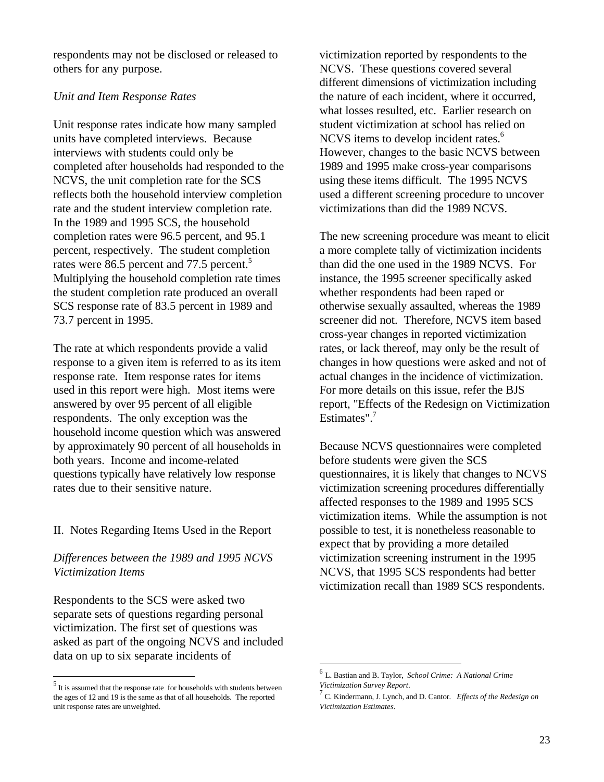respondents may not be disclosed or released to others for any purpose.

#### *Unit and Item Response Rates*

Unit response rates indicate how many sampled units have completed interviews. Because interviews with students could only be completed after households had responded to the NCVS, the unit completion rate for the SCS reflects both the household interview completion rate and the student interview completion rate. In the 1989 and 1995 SCS, the household completion rates were 96.5 percent, and 95.1 percent, respectively. The student completion rates were 86.5 percent and 77.5 percent.<sup>5</sup> Multiplying the household completion rate times the student completion rate produced an overall SCS response rate of 83.5 percent in 1989 and 73.7 percent in 1995.

The rate at which respondents provide a valid response to a given item is referred to as its item response rate. Item response rates for items used in this report were high. Most items were answered by over 95 percent of all eligible respondents. The only exception was the household income question which was answered by approximately 90 percent of all households in both years. Income and income-related questions typically have relatively low response rates due to their sensitive nature.

#### II. Notes Regarding Items Used in the Report

#### *Differences between the 1989 and 1995 NCVS Victimization Items*

Respondents to the SCS were asked two separate sets of questions regarding personal victimization. The first set of questions was asked as part of the ongoing NCVS and included data on up to six separate incidents of

 $\overline{a}$ 

victimization reported by respondents to the NCVS. These questions covered several different dimensions of victimization including the nature of each incident, where it occurred, what losses resulted, etc. Earlier research on student victimization at school has relied on NCVS items to develop incident rates.<sup>6</sup> However, changes to the basic NCVS between 1989 and 1995 make cross-year comparisons using these items difficult. The 1995 NCVS used a different screening procedure to uncover victimizations than did the 1989 NCVS.

The new screening procedure was meant to elicit a more complete tally of victimization incidents than did the one used in the 1989 NCVS. For instance, the 1995 screener specifically asked whether respondents had been raped or otherwise sexually assaulted, whereas the 1989 screener did not. Therefore, NCVS item based cross-year changes in reported victimization rates, or lack thereof, may only be the result of changes in how questions were asked and not of actual changes in the incidence of victimization. For more details on this issue, refer the BJS report, "Effects of the Redesign on Victimization Estimates". $7$ 

Because NCVS questionnaires were completed before students were given the SCS questionnaires, it is likely that changes to NCVS victimization screening procedures differentially affected responses to the 1989 and 1995 SCS victimization items. While the assumption is not possible to test, it is nonetheless reasonable to expect that by providing a more detailed victimization screening instrument in the 1995 NCVS, that 1995 SCS respondents had better victimization recall than 1989 SCS respondents.

 $\overline{a}$ 

 $<sup>5</sup>$  It is assumed that the response rate for households with students between</sup> the ages of 12 and 19 is the same as that of all households. The reported unit response rates are unweighted.

<sup>6</sup> L. Bastian and B. Taylor, *School Crime: A National Crime Victimization Survey Report*.

<sup>7</sup> C. Kindermann, J. Lynch, and D. Cantor. *Effects of the Redesign on Victimization Estimates*.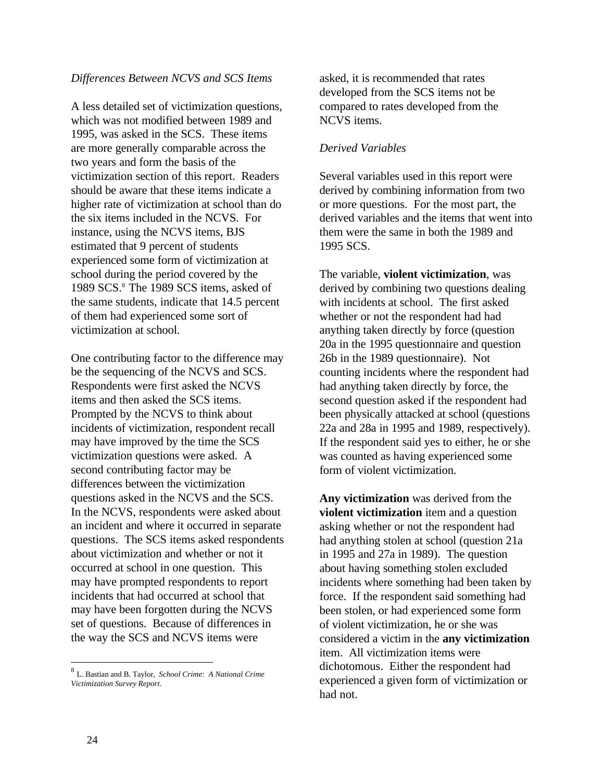#### *Differences Between NCVS and SCS Items*

A less detailed set of victimization questions, which was not modified between 1989 and 1995, was asked in the SCS. These items are more generally comparable across the two years and form the basis of the victimization section of this report. Readers should be aware that these items indicate a higher rate of victimization at school than do the six items included in the NCVS. For instance, using the NCVS items, BJS estimated that 9 percent of students experienced some form of victimization at school during the period covered by the 1989 SCS.<sup>8</sup> The 1989 SCS items, asked of the same students, indicate that 14.5 percent of them had experienced some sort of victimization at school.

One contributing factor to the difference may be the sequencing of the NCVS and SCS. Respondents were first asked the NCVS items and then asked the SCS items. Prompted by the NCVS to think about incidents of victimization, respondent recall may have improved by the time the SCS victimization questions were asked. A second contributing factor may be differences between the victimization questions asked in the NCVS and the SCS. In the NCVS, respondents were asked about an incident and where it occurred in separate questions. The SCS items asked respondents about victimization and whether or not it occurred at school in one question. This may have prompted respondents to report incidents that had occurred at school that may have been forgotten during the NCVS set of questions. Because of differences in the way the SCS and NCVS items were

asked, it is recommended that rates developed from the SCS items not be compared to rates developed from the NCVS items.

#### *Derived Variables*

Several variables used in this report were derived by combining information from two or more questions. For the most part, the derived variables and the items that went into them were the same in both the 1989 and 1995 SCS.

The variable, **violent victimization**, was derived by combining two questions dealing with incidents at school. The first asked whether or not the respondent had had anything taken directly by force (question 20a in the 1995 questionnaire and question 26b in the 1989 questionnaire). Not counting incidents where the respondent had had anything taken directly by force, the second question asked if the respondent had been physically attacked at school (questions 22a and 28a in 1995 and 1989, respectively). If the respondent said yes to either, he or she was counted as having experienced some form of violent victimization.

**Any victimization** was derived from the **violent victimization** item and a question asking whether or not the respondent had had anything stolen at school (question 21a in 1995 and 27a in 1989). The question about having something stolen excluded incidents where something had been taken by force. If the respondent said something had been stolen, or had experienced some form of violent victimization, he or she was considered a victim in the **any victimization** item. All victimization items were dichotomous. Either the respondent had experienced a given form of victimization or had not.

 $\overline{a}$ 

<sup>8</sup> L. Bastian and B. Taylor, *School Crime: A National Crime Victimization Survey Report*.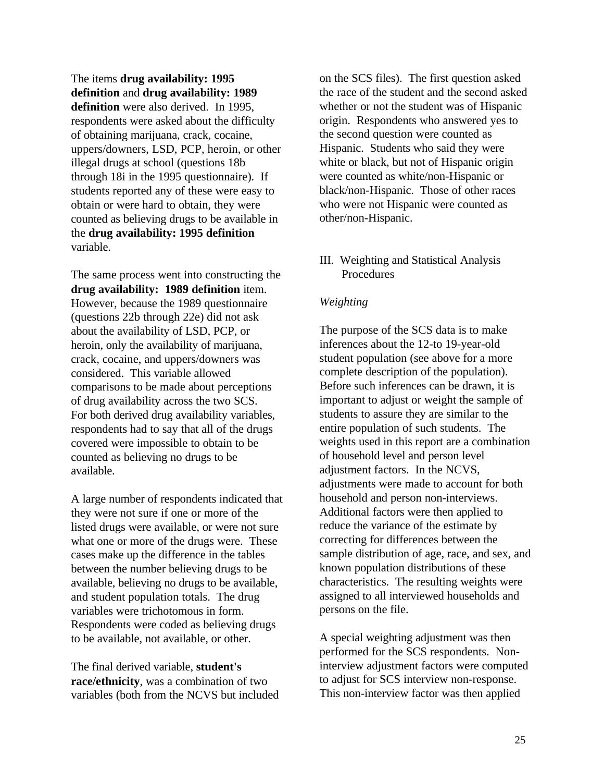The items **drug availability: 1995 definition** and **drug availability: 1989 definition** were also derived. In 1995, respondents were asked about the difficulty of obtaining marijuana, crack, cocaine, uppers/downers, LSD, PCP, heroin, or other illegal drugs at school (questions 18b through 18i in the 1995 questionnaire). If students reported any of these were easy to obtain or were hard to obtain, they were counted as believing drugs to be available in the **drug availability: 1995 definition** variable.

The same process went into constructing the **drug availability: 1989 definition** item. However, because the 1989 questionnaire (questions 22b through 22e) did not ask about the availability of LSD, PCP, or heroin, only the availability of marijuana, crack, cocaine, and uppers/downers was considered. This variable allowed comparisons to be made about perceptions of drug availability across the two SCS. For both derived drug availability variables, respondents had to say that all of the drugs covered were impossible to obtain to be counted as believing no drugs to be available.

A large number of respondents indicated that they were not sure if one or more of the listed drugs were available, or were not sure what one or more of the drugs were. These cases make up the difference in the tables between the number believing drugs to be available, believing no drugs to be available, and student population totals. The drug variables were trichotomous in form. Respondents were coded as believing drugs to be available, not available, or other.

The final derived variable, **student's race/ethnicity**, was a combination of two variables (both from the NCVS but included on the SCS files). The first question asked the race of the student and the second asked whether or not the student was of Hispanic origin. Respondents who answered yes to the second question were counted as Hispanic. Students who said they were white or black, but not of Hispanic origin were counted as white/non-Hispanic or black/non-Hispanic. Those of other races who were not Hispanic were counted as other/non-Hispanic.

#### III. Weighting and Statistical Analysis Procedures

### *Weighting*

The purpose of the SCS data is to make inferences about the 12-to 19-year-old student population (see above for a more complete description of the population). Before such inferences can be drawn, it is important to adjust or weight the sample of students to assure they are similar to the entire population of such students. The weights used in this report are a combination of household level and person level adjustment factors. In the NCVS, adjustments were made to account for both household and person non-interviews. Additional factors were then applied to reduce the variance of the estimate by correcting for differences between the sample distribution of age, race, and sex, and known population distributions of these characteristics. The resulting weights were assigned to all interviewed households and persons on the file.

A special weighting adjustment was then performed for the SCS respondents. Noninterview adjustment factors were computed to adjust for SCS interview non-response. This non-interview factor was then applied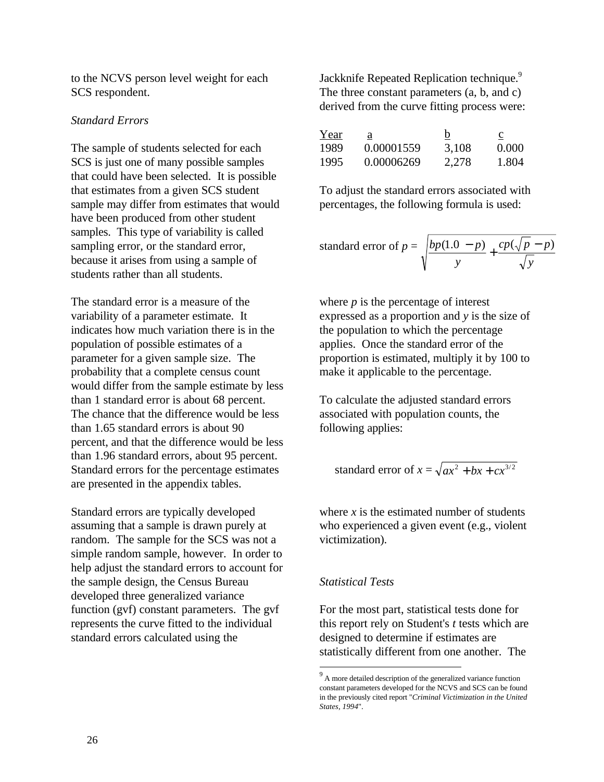to the NCVS person level weight for each SCS respondent.

#### *Standard Errors*

The sample of students selected for each SCS is just one of many possible samples that could have been selected. It is possible that estimates from a given SCS student sample may differ from estimates that would have been produced from other student samples. This type of variability is called sampling error, or the standard error, because it arises from using a sample of students rather than all students.

The standard error is a measure of the variability of a parameter estimate. It indicates how much variation there is in the population of possible estimates of a parameter for a given sample size. The probability that a complete census count would differ from the sample estimate by less than 1 standard error is about 68 percent. The chance that the difference would be less than 1.65 standard errors is about 90 percent, and that the difference would be less than 1.96 standard errors, about 95 percent. Standard errors for the percentage estimates are presented in the appendix tables.

Standard errors are typically developed assuming that a sample is drawn purely at random. The sample for the SCS was not a simple random sample, however. In order to help adjust the standard errors to account for the sample design, the Census Bureau developed three generalized variance function (gvf) constant parameters. The gvf represents the curve fitted to the individual standard errors calculated using the

Jackknife Repeated Replication technique.<sup>9</sup> The three constant parameters (a, b, and c) derived from the curve fitting process were:

| Year | ä          | b     | $\mathbf c$ |
|------|------------|-------|-------------|
| 1989 | 0.00001559 | 3,108 | 0.000       |
| 1995 | 0.00006269 | 2,278 | 1.804       |

To adjust the standard errors associated with percentages, the following formula is used:

standard error of 
$$
p = \sqrt{\frac{bp(1.0 - p)}{y} + \frac{cp(\sqrt{p} - p)}{\sqrt{y}}}
$$

where *p* is the percentage of interest expressed as a proportion and *y* is the size of the population to which the percentage applies. Once the standard error of the proportion is estimated, multiply it by 100 to make it applicable to the percentage.

To calculate the adjusted standard errors associated with population counts, the following applies:

standard error of 
$$
x = \sqrt{ax^2 + bx + cx^{3/2}}
$$

where *x* is the estimated number of students who experienced a given event (e.g., violent victimization).

#### *Statistical Tests*

 $\overline{a}$ 

For the most part, statistical tests done for this report rely on Student's *t* tests which are designed to determine if estimates are statistically different from one another. The

<sup>&</sup>lt;sup>9</sup> A more detailed description of the generalized variance function constant parameters developed for the NCVS and SCS can be found in the previously cited report "*Criminal Victimization in the United States, 1994*".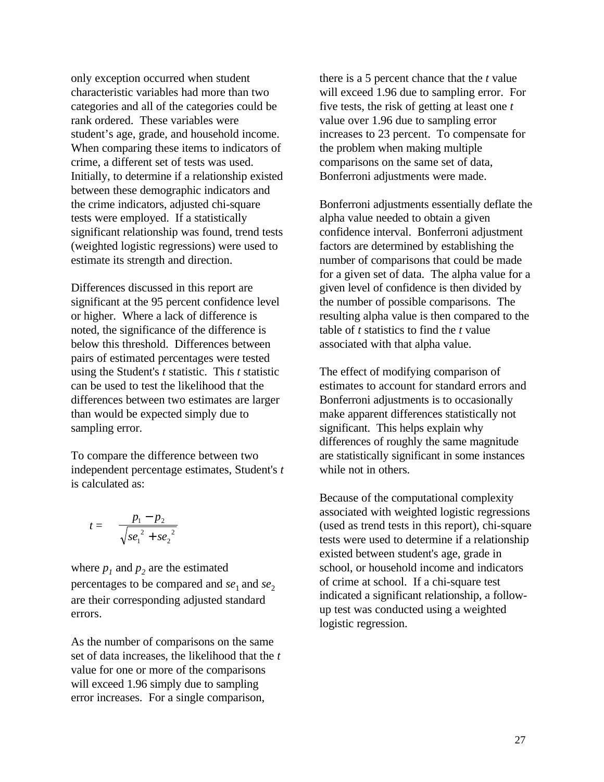only exception occurred when student characteristic variables had more than two categories and all of the categories could be rank ordered. These variables were student's age, grade, and household income. When comparing these items to indicators of crime, a different set of tests was used. Initially, to determine if a relationship existed between these demographic indicators and the crime indicators, adjusted chi-square tests were employed. If a statistically significant relationship was found, trend tests (weighted logistic regressions) were used to estimate its strength and direction.

Differences discussed in this report are significant at the 95 percent confidence level or higher. Where a lack of difference is noted, the significance of the difference is below this threshold. Differences between pairs of estimated percentages were tested using the Student's *t* statistic. This *t* statistic can be used to test the likelihood that the differences between two estimates are larger than would be expected simply due to sampling error.

To compare the difference between two independent percentage estimates, Student's *t* is calculated as:

$$
t = \frac{p_1 - p_2}{\sqrt{se_1^2 + se_2^2}}
$$

where  $p_1$  and  $p_2$  are the estimated percentages to be compared and *se*<sub>1</sub> and *se*<sub>2</sub> are their corresponding adjusted standard errors.

As the number of comparisons on the same set of data increases, the likelihood that the *t* value for one or more of the comparisons will exceed 1.96 simply due to sampling error increases. For a single comparison,

there is a 5 percent chance that the *t* value will exceed 1.96 due to sampling error. For five tests, the risk of getting at least one *t* value over 1.96 due to sampling error increases to 23 percent. To compensate for the problem when making multiple comparisons on the same set of data, Bonferroni adjustments were made.

Bonferroni adjustments essentially deflate the alpha value needed to obtain a given confidence interval. Bonferroni adjustment factors are determined by establishing the number of comparisons that could be made for a given set of data. The alpha value for a given level of confidence is then divided by the number of possible comparisons. The resulting alpha value is then compared to the table of *t* statistics to find the *t* value associated with that alpha value.

The effect of modifying comparison of estimates to account for standard errors and Bonferroni adjustments is to occasionally make apparent differences statistically not significant. This helps explain why differences of roughly the same magnitude are statistically significant in some instances while not in others.

Because of the computational complexity associated with weighted logistic regressions (used as trend tests in this report), chi-square tests were used to determine if a relationship existed between student's age, grade in school, or household income and indicators of crime at school. If a chi-square test indicated a significant relationship, a followup test was conducted using a weighted logistic regression.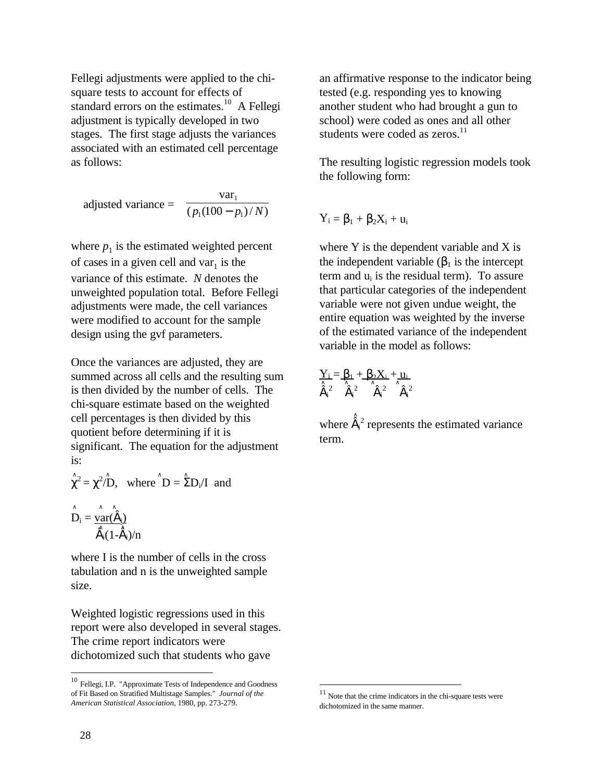Fellegi adjustments were applied to the chisquare tests to account for effects of standard errors on the estimates.<sup>10</sup> A Fellegi adjustment is typically developed in two stages. The first stage adjusts the variances associated with an estimated cell percentage as follows:

 $(p_1(100 - p_1)/N)$ var  $p_1$ (100 –  $p_1$  1 adjusted variance =  $\frac{p_1}{(p_1(100 - p_1)/N)}$ 

where  $p_1$  is the estimated weighted percent of cases in a given cell and  $var_1$  is the variance of this estimate. *N* denotes the unweighted population total. Before Fellegi adjustments were made, the cell variances were modified to account for the sample design using the gvf parameters.

Once the variances are adjusted, they are summed across all cells and the resulting sum is then divided by the number of cells. The chi-square estimate based on the weighted cell percentages is then divided by this quotient before determining if it is significant. The equation for the adjustment is:

$$
\hat{\chi}^2 = \chi^2 / D
$$
, where  $\hat{D} = \hat{\Sigma} D_i / I$  and

∧ ∧ ∧  $D_i = \frac{var(\dot{a}_i)}{\hat{a}_i}$  $\dot{\mathbf{a}}_i(1-\dot{\mathbf{a}}_i)/n$ 

where I is the number of cells in the cross tabulation and n is the unweighted sample size.

Weighted logistic regressions used in this report were also developed in several stages. The crime report indicators were dichotomized such that students who gave

an affirmative response to the indicator being tested (e.g. responding yes to knowing another student who had brought a gun to school) were coded as ones and all other students were coded as zeros. $^{11}$ 

The resulting logistic regression models took the following form:

 $Y_i = \beta_1 + \beta_2 X_i + u_i$ 

where Y is the dependent variable and X is the independent variable  $(\beta_1$  is the intercept term and  $u_i$  is the residual term). To assure that particular categories of the independent variable were not given undue weight, the entire equation was weighted by the inverse of the estimated variance of the independent variable in the model as follows:

$$
\sum_{\hat{\boldsymbol{a}}_i^2}=\beta_1+\beta_2X_i+\mu_i
$$

 <sup>∧</sup> where  $\dot{a}_i^2$  represents the estimated variance term.

 $\overline{a}$ 

 $\overline{a}$ 

<sup>10</sup> Fellegi, I.P. "Approximate Tests of Independence and Goodness of Fit Based on Stratified Multistage Samples." *Journal of the American Statistical Association*, 1980, pp. 273-279.

Note that the crime indicators in the chi-square tests were dichotomized in the same manner.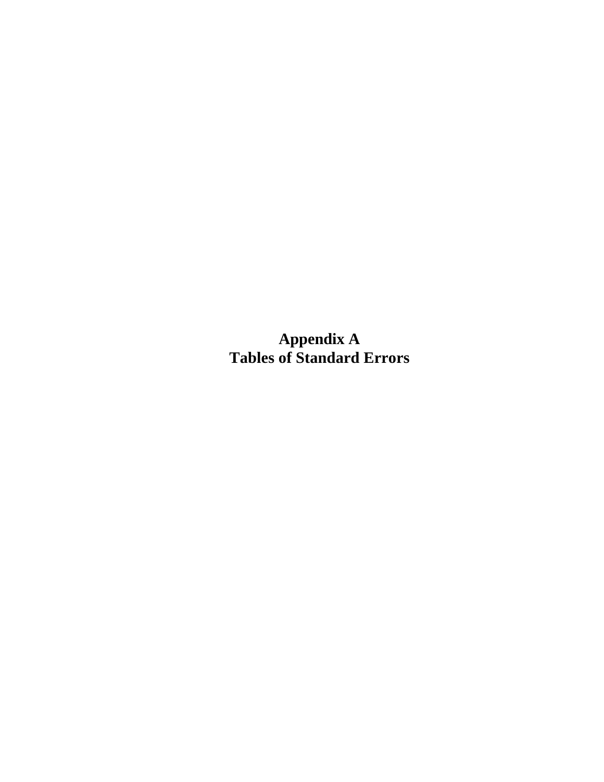**Appendix A Tables of Standard Errors**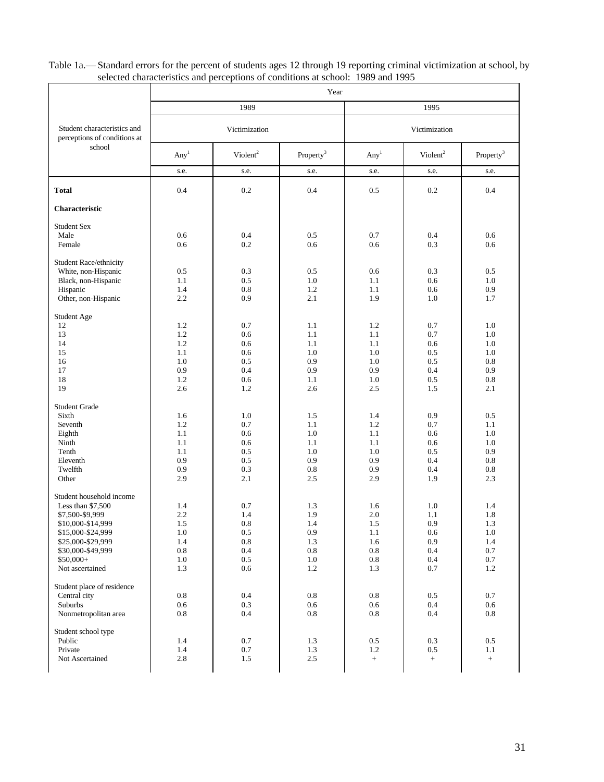|                                                                                                                                                                                      |                                                      |                                                                  | Year                                                             |                                                                    |                                                          |                                                      |  |  |
|--------------------------------------------------------------------------------------------------------------------------------------------------------------------------------------|------------------------------------------------------|------------------------------------------------------------------|------------------------------------------------------------------|--------------------------------------------------------------------|----------------------------------------------------------|------------------------------------------------------|--|--|
|                                                                                                                                                                                      |                                                      | 1989                                                             |                                                                  |                                                                    | 1995                                                     |                                                      |  |  |
| Student characteristics and<br>perceptions of conditions at                                                                                                                          |                                                      | Victimization                                                    |                                                                  |                                                                    | Victimization                                            |                                                      |  |  |
| school                                                                                                                                                                               | Any <sup>1</sup>                                     | Violent <sup>2</sup>                                             | Property <sup>3</sup>                                            | Any <sup>1</sup>                                                   | Violent <sup>2</sup>                                     | Property <sup>3</sup>                                |  |  |
|                                                                                                                                                                                      | s.e.                                                 | s.e.                                                             | s.e.                                                             | s.e.                                                               | s.e.                                                     | s.e.                                                 |  |  |
| <b>Total</b>                                                                                                                                                                         | 0.4                                                  | 0.2                                                              | 0.4                                                              | 0.5                                                                | 0.2                                                      | 0.4                                                  |  |  |
| <b>Characteristic</b>                                                                                                                                                                |                                                      |                                                                  |                                                                  |                                                                    |                                                          |                                                      |  |  |
| <b>Student Sex</b><br>Male<br>Female                                                                                                                                                 | 0.6<br>0.6                                           | 0.4<br>0.2                                                       | 0.5<br>0.6                                                       | 0.7<br>0.6                                                         | 0.4<br>0.3                                               | 0.6<br>0.6                                           |  |  |
| Student Race/ethnicity<br>White, non-Hispanic<br>Black, non-Hispanic<br>Hispanic<br>Other, non-Hispanic                                                                              | 0.5<br>1.1<br>1.4<br>2.2                             | 0.3<br>0.5<br>0.8<br>0.9                                         | 0.5<br>1.0<br>1.2<br>2.1                                         | 0.6<br>1.1<br>1.1<br>1.9                                           | 0.3<br>0.6<br>0.6<br>1.0                                 | 0.5<br>1.0<br>0.9<br>1.7                             |  |  |
| Student Age<br>12<br>13<br>14<br>15<br>16<br>17<br>18<br>19                                                                                                                          | 1.2<br>1.2<br>1.2<br>1.1<br>1.0<br>0.9<br>1.2<br>2.6 | 0.7<br>0.6<br>0.6<br>0.6<br>0.5<br>0.4<br>0.6<br>1.2             | 1.1<br>1.1<br>1.1<br>1.0<br>0.9<br>0.9<br>1.1<br>2.6             | 1.2<br>1.1<br>1.1<br>1.0<br>1.0<br>0.9<br>1.0<br>2.5               | 0.7<br>0.7<br>0.6<br>0.5<br>0.5<br>0.4<br>0.5<br>1.5     | 1.0<br>1.0<br>1.0<br>1.0<br>0.8<br>0.9<br>0.8<br>2.1 |  |  |
| <b>Student Grade</b><br>Sixth<br>Seventh<br>Eighth<br>Ninth<br>Tenth<br>Eleventh<br>Twelfth<br>Other                                                                                 | 1.6<br>1.2<br>1.1<br>1.1<br>1.1<br>0.9<br>0.9<br>2.9 | 1.0<br>0.7<br>0.6<br>0.6<br>0.5<br>0.5<br>0.3<br>2.1             | 1.5<br>1.1<br>1.0<br>1.1<br>1.0<br>0.9<br>0.8<br>2.5             | 1.4<br>1.2<br>1.1<br>1.1<br>1.0<br>0.9<br>0.9<br>2.9               | 0.9<br>0.7<br>0.6<br>0.6<br>0.5<br>0.4<br>0.4<br>1.9     | 0.5<br>1.1<br>1.0<br>1.0<br>0.9<br>0.8<br>0.8<br>2.3 |  |  |
| Student household income<br>Less than \$7,500<br>\$7,500-\$9,999<br>\$10,000-\$14,999<br>\$15,000-\$24,999<br>\$25,000-\$29,999<br>\$30,000-\$49,999<br>\$50,000+<br>Not ascertained | 1.4<br>2.2<br>1.5<br>1.0<br>1.4<br>0.8<br>1.0<br>1.3 | 0.7<br>1.4<br>0.8<br>$0.5\,$<br>0.8<br>$0.4\,$<br>$0.5\,$<br>0.6 | 1.3<br>1.9<br>1.4<br>$0.9\,$<br>1.3<br>$0.8\,$<br>$1.0\,$<br>1.2 | 1.6<br>$2.0\,$<br>1.5<br>1.1<br>1.6<br>$\rm 0.8$<br>$0.8\,$<br>1.3 | 1.0<br>1.1<br>0.9<br>0.6<br>0.9<br>0.4<br>$0.4\,$<br>0.7 | 1.4<br>1.8<br>1.3<br>1.0<br>1.4<br>0.7<br>0.7<br>1.2 |  |  |
| Student place of residence<br>Central city<br>Suburbs<br>Nonmetropolitan area                                                                                                        | $0.8\,$<br>0.6<br>0.8                                | $0.4\,$<br>0.3<br>0.4                                            | $0.8\,$<br>0.6<br>0.8                                            | $0.8\,$<br>0.6<br>0.8                                              | $0.5\,$<br>0.4<br>0.4                                    | 0.7<br>0.6<br>0.8                                    |  |  |
| Student school type<br>Public<br>Private<br>Not Ascertained                                                                                                                          | 1.4<br>1.4<br>2.8                                    | 0.7<br>0.7<br>1.5                                                | 1.3<br>1.3<br>2.5                                                | 0.5<br>1.2<br>$^{+}$                                               | 0.3<br>0.5<br>$+$                                        | 0.5<br>1.1<br>$^+$                                   |  |  |

#### Table 1a.— Standard errors for the percent of students ages 12 through 19 reporting criminal victimization at school, by selected characteristics and perceptions of conditions at school: 1989 and 1995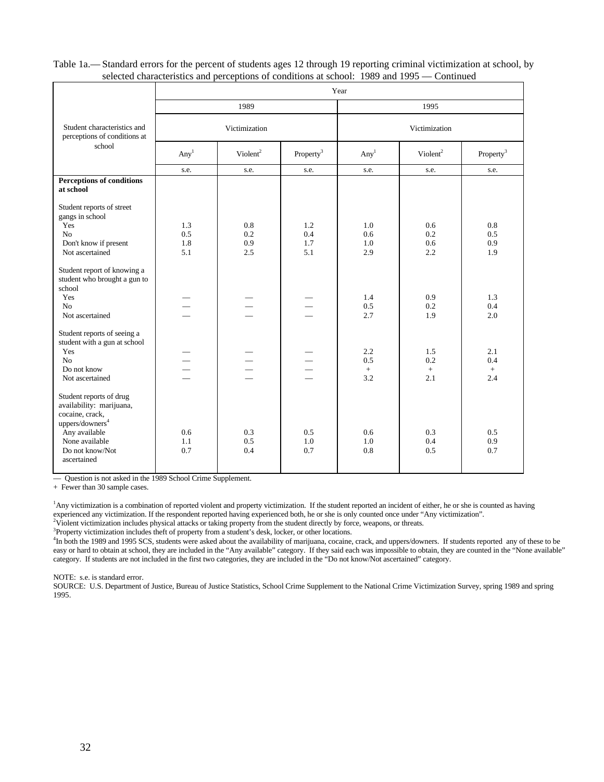Table 1a.— Standard errors for the percent of students ages 12 through 19 reporting criminal victimization at school, by selected characteristics and perceptions of conditions at school: 1989 and 1995 — Continued

|                                                                                                       |                          |                      |                       | Year              |                      |                       |  |  |
|-------------------------------------------------------------------------------------------------------|--------------------------|----------------------|-----------------------|-------------------|----------------------|-----------------------|--|--|
|                                                                                                       |                          | 1989                 |                       |                   | 1995                 |                       |  |  |
| Student characteristics and<br>perceptions of conditions at                                           |                          | Victimization        |                       |                   | Victimization        |                       |  |  |
| school                                                                                                | Any <sup>1</sup>         | Violent <sup>2</sup> | Property <sup>3</sup> | Any <sup>1</sup>  | Violent <sup>2</sup> | Property <sup>3</sup> |  |  |
|                                                                                                       | s.e.                     | s.e.                 | s.e.                  | s.e.              | s.e.                 | s.e.                  |  |  |
| <b>Perceptions of conditions</b><br>at school                                                         |                          |                      |                       |                   |                      |                       |  |  |
| Student reports of street<br>gangs in school                                                          |                          |                      |                       |                   |                      |                       |  |  |
| Yes                                                                                                   | 1.3                      | 0.8                  | 1.2                   | 1.0               | 0.6                  | 0.8                   |  |  |
| No<br>Don't know if present                                                                           | 0.5<br>1.8               | 0.2<br>0.9           | 0.4<br>1.7            | 0.6<br>1.0        | 0.2<br>0.6           | 0.5<br>0.9            |  |  |
| Not ascertained                                                                                       | 5.1                      | 2.5                  | 5.1                   | 2.9               | 2.2                  | 1.9                   |  |  |
| Student report of knowing a<br>student who brought a gun to<br>school                                 |                          |                      |                       |                   |                      |                       |  |  |
| Yes<br>N <sub>o</sub>                                                                                 |                          |                      |                       | 1.4<br>0.5        | 0.9<br>0.2           | 1.3<br>0.4            |  |  |
| Not ascertained                                                                                       |                          |                      |                       | 2.7               | 1.9                  | 2.0                   |  |  |
| Student reports of seeing a<br>student with a gun at school                                           |                          |                      |                       |                   |                      |                       |  |  |
| Yes<br>N <sub>o</sub>                                                                                 |                          |                      |                       | 2.2<br>0.5        | 1.5<br>0.2           | 2.1<br>0.4            |  |  |
| Do not know                                                                                           | $\overline{\phantom{0}}$ |                      |                       | $+$               | $\pm$                | $\pm$                 |  |  |
| Not ascertained                                                                                       |                          |                      |                       | 3.2               | 2.1                  | 2.4                   |  |  |
| Student reports of drug<br>availability: marijuana,<br>cocaine, crack,<br>uppers/downers <sup>4</sup> |                          |                      |                       |                   |                      |                       |  |  |
| Any available<br>None available<br>Do not know/Not<br>ascertained                                     | 0.6<br>1.1<br>0.7        | 0.3<br>0.5<br>0.4    | 0.5<br>1.0<br>0.7     | 0.6<br>1.0<br>0.8 | 0.3<br>0.4<br>0.5    | 0.5<br>0.9<br>0.7     |  |  |

— Question is not asked in the 1989 School Crime Supplement.

+ Fewer than 30 sample cases.

<sup>1</sup>Any victimization is a combination of reported violent and property victimization. If the student reported an incident of either, he or she is counted as having experienced any victimization. If the respondent reported having experienced both, he or she is only counted once under "Any victimization".<br><sup>2</sup>Violent victimization includes physical attacks or taking property from the st

<sup>3</sup>Property victimization includes theft of property from a student's desk, locker, or other locations.

<sup>4</sup>In both the 1989 and 1995 SCS, students were asked about the availability of marijuana, cocaine, crack, and uppers/downers. If students reported any of these to be easy or hard to obtain at school, they are included in the "Any available" category. If they said each was impossible to obtain, they are counted in the "None available" category. If students are not included in the first two categories, they are included in the "Do not know/Not ascertained" category.

NOTE: s.e. is standard error.

SOURCE: U.S. Department of Justice, Bureau of Justice Statistics, School Crime Supplement to the National Crime Victimization Survey, spring 1989 and spring 1995.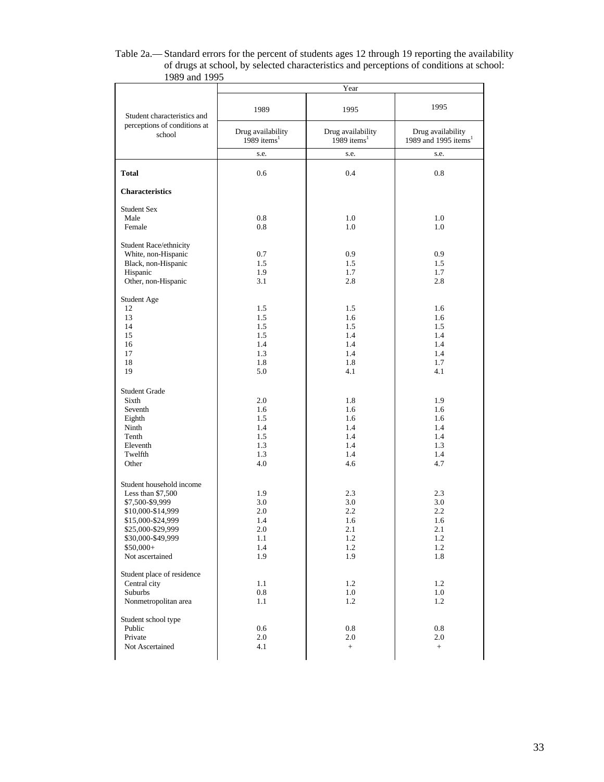| Table 2a.—Standard errors for the percent of students ages 12 through 19 reporting the availability |
|-----------------------------------------------------------------------------------------------------|
| of drugs at school, by selected characteristics and perceptions of conditions at school:            |
| 1989 and 1995                                                                                       |

|                                                                                                                                                                                       |                                                          | Year                                                 |                                                          |  |  |
|---------------------------------------------------------------------------------------------------------------------------------------------------------------------------------------|----------------------------------------------------------|------------------------------------------------------|----------------------------------------------------------|--|--|
| Student characteristics and                                                                                                                                                           | 1989                                                     | 1995                                                 | 1995                                                     |  |  |
| perceptions of conditions at<br>school                                                                                                                                                | Drug availability<br>1989 items $1$                      | Drug availability<br>1989 items $1$                  | Drug availability<br>1989 and 1995 items <sup>1</sup>    |  |  |
|                                                                                                                                                                                       | s.e.                                                     | s.e.                                                 | s.e.                                                     |  |  |
| <b>Total</b>                                                                                                                                                                          | 0.6                                                      | 0.4                                                  | 0.8                                                      |  |  |
| <b>Characteristics</b>                                                                                                                                                                |                                                          |                                                      |                                                          |  |  |
| <b>Student Sex</b>                                                                                                                                                                    |                                                          |                                                      |                                                          |  |  |
| Male<br>Female                                                                                                                                                                        | 0.8<br>0.8                                               | 1.0<br>1.0                                           | 1.0<br>1.0                                               |  |  |
| Student Race/ethnicity<br>White, non-Hispanic<br>Black, non-Hispanic<br>Hispanic<br>Other, non-Hispanic                                                                               | 0.7<br>1.5<br>1.9<br>3.1                                 | 0.9<br>1.5<br>1.7<br>2.8                             | 0.9<br>1.5<br>1.7<br>2.8                                 |  |  |
| Student Age                                                                                                                                                                           |                                                          |                                                      |                                                          |  |  |
| 12<br>13<br>14<br>15<br>16<br>17<br>18                                                                                                                                                | 1.5<br>1.5<br>1.5<br>1.5<br>1.4<br>1.3<br>1.8            | 1.5<br>1.6<br>1.5<br>1.4<br>1.4<br>1.4<br>1.8        | 1.6<br>1.6<br>1.5<br>1.4<br>1.4<br>1.4<br>1.7            |  |  |
| 19                                                                                                                                                                                    | 5.0                                                      | 4.1                                                  | 4.1                                                      |  |  |
| <b>Student Grade</b><br>Sixth<br>Seventh<br>Eighth<br>Ninth<br>Tenth<br>Eleventh<br>Twelfth<br>Other                                                                                  | 2.0<br>1.6<br>1.5<br>1.4<br>1.5<br>1.3<br>1.3<br>4.0     | 1.8<br>1.6<br>1.6<br>1.4<br>1.4<br>1.4<br>1.4<br>4.6 | 1.9<br>1.6<br>1.6<br>1.4<br>1.4<br>1.3<br>1.4<br>4.7     |  |  |
| Student household income<br>Less than \$7,500<br>\$7,500-\$9,999<br>\$10,000-\$14,999<br>\$15,000-\$24,999<br>\$25,000-\$29,999<br>\$30,000-\$49,999<br>$$50,000+$<br>Not ascertained | 1.9<br>3.0<br>2.0<br>1.4<br>$2.0\,$<br>1.1<br>1.4<br>1.9 | 2.3<br>3.0<br>2.2<br>1.6<br>2.1<br>1.2<br>1.2<br>1.9 | 2.3<br>3.0<br>2.2<br>1.6<br>$2.1\,$<br>1.2<br>1.2<br>1.8 |  |  |
| Student place of residence<br>Central city<br>Suburbs<br>Nonmetropolitan area                                                                                                         | 1.1<br>$0.8\,$<br>1.1                                    | 1.2<br>1.0<br>1.2                                    | 1.2<br>1.0<br>1.2                                        |  |  |
| Student school type<br>Public<br>Private<br>Not Ascertained                                                                                                                           | 0.6<br>$2.0\,$<br>4.1                                    | 0.8<br>2.0<br>$+$                                    | 0.8<br>2.0<br>$+$                                        |  |  |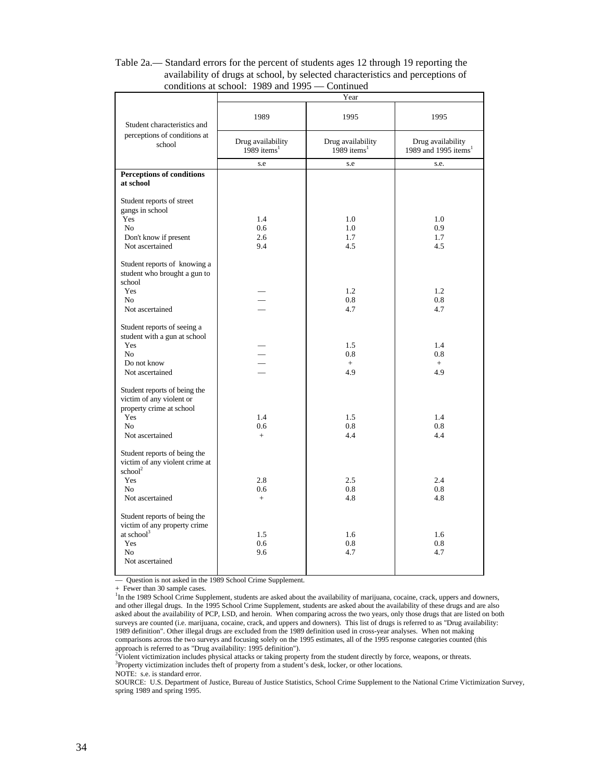| CONGRUME at SCHOOL.              | $1707$ and $1777$       | Community<br>Year |                                  |
|----------------------------------|-------------------------|-------------------|----------------------------------|
|                                  |                         |                   |                                  |
|                                  | 1989                    | 1995              | 1995                             |
| Student characteristics and      |                         |                   |                                  |
| perceptions of conditions at     |                         |                   |                                  |
| school                           | Drug availability       | Drug availability | Drug availability                |
|                                  | 1989 items <sup>1</sup> | 1989 items $1$    | 1989 and 1995 items <sup>1</sup> |
|                                  | s.e                     | s.e               | s.e.                             |
| <b>Perceptions of conditions</b> |                         |                   |                                  |
| at school                        |                         |                   |                                  |
|                                  |                         |                   |                                  |
| Student reports of street        |                         |                   |                                  |
| gangs in school                  |                         |                   |                                  |
| Yes                              | 1.4                     | 1.0               | 1.0                              |
| N <sub>0</sub>                   | 0.6                     | 1.0               | 0.9                              |
| Don't know if present            | 2.6                     | 1.7               | 1.7                              |
| Not ascertained                  | 9.4                     | 4.5               | 4.5                              |
|                                  |                         |                   |                                  |
| Student reports of knowing a     |                         |                   |                                  |
| student who brought a gun to     |                         |                   |                                  |
| school<br>Yes                    |                         | 1.2               | 1.2                              |
| No                               |                         | 0.8               | 0.8                              |
| Not ascertained                  |                         | 4.7               | 4.7                              |
|                                  |                         |                   |                                  |
| Student reports of seeing a      |                         |                   |                                  |
| student with a gun at school     |                         |                   |                                  |
| Yes                              |                         | 1.5               | 1.4                              |
| N <sub>o</sub>                   |                         | 0.8               | 0.8                              |
| Do not know                      |                         | $+$               | $^{+}$                           |
| Not ascertained                  |                         | 4.9               | 4.9                              |
|                                  |                         |                   |                                  |
| Student reports of being the     |                         |                   |                                  |
| victim of any violent or         |                         |                   |                                  |
| property crime at school         |                         |                   |                                  |
| Yes<br>N <sub>0</sub>            | 1.4<br>0.6              | 1.5<br>0.8        | 1.4<br>0.8                       |
| Not ascertained                  | $+$                     | 4.4               | 4.4                              |
|                                  |                         |                   |                                  |
| Student reports of being the     |                         |                   |                                  |
| victim of any violent crime at   |                         |                   |                                  |
| $\mathrm{school}^2$              |                         |                   |                                  |
| Yes                              | 2.8                     | 2.5               | 2.4                              |
| No                               | 0.6                     | 0.8               | 0.8                              |
| Not ascertained                  | $+$                     | 4.8               | 4.8                              |
|                                  |                         |                   |                                  |
| Student reports of being the     |                         |                   |                                  |
| victim of any property crime     |                         |                   |                                  |
| at school <sup>3</sup>           | 1.5                     | 1.6               | 1.6                              |
| Yes                              | 0.6                     | 0.8               | 0.8                              |
| N <sub>o</sub>                   | 9.6                     | 4.7               | 4.7                              |
| Not ascertained                  |                         |                   |                                  |
|                                  |                         |                   |                                  |

#### Table 2a.— Standard errors for the percent of students ages 12 through 19 reporting the availability of drugs at school, by selected characteristics and perceptions of conditions at school: 1989 and 1995 — Continued

— Question is not asked in the 1989 School Crime Supplement.

+ Fewer than 30 sample cases.

<sup>1</sup>In the 1989 School Crime Supplement, students are asked about the availability of marijuana, cocaine, crack, uppers and downers, and other illegal drugs. In the 1995 School Crime Supplement, students are asked about the availability of these drugs and are also asked about the availability of PCP, LSD, and heroin. When comparing across the two years, only those drugs that are listed on both surveys are counted (i.e. marijuana, cocaine, crack, and uppers and downers). This list of drugs is referred to as "Drug availability: 1989 definition". Other illegal drugs are excluded from the 1989 definition used in cross-year analyses. When not making comparisons across the two surveys and focusing solely on the 1995 estimates, all of the 1995 response categories counted (this

approach is referred to as "Drug availability: 1995 definition").<br><sup>2</sup>Violent victimization includes physical attacks or taking property from the student directly by force, weapons, or threats. <sup>3</sup>Property victimization includes theft of property from a student's desk, locker, or other locations.

NOTE: s.e. is standard error.

SOURCE: U.S. Department of Justice, Bureau of Justice Statistics, School Crime Supplement to the National Crime Victimization Survey, spring 1989 and spring 1995.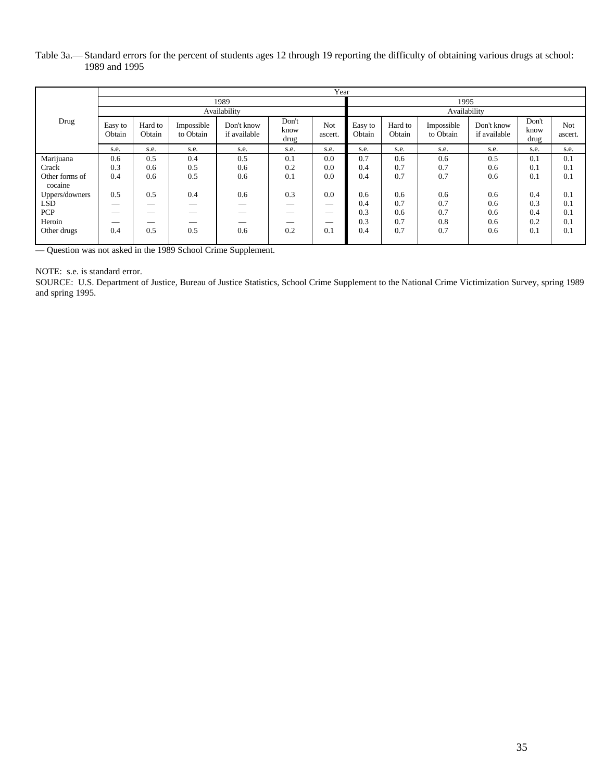#### Table 3a.— Standard errors for the percent of students ages 12 through 19 reporting the difficulty of obtaining various drugs at school: 1989 and 1995

|                |                   | Year              |                         |                            |                       |                                |                   |                   |                         |                            |                       |                |  |
|----------------|-------------------|-------------------|-------------------------|----------------------------|-----------------------|--------------------------------|-------------------|-------------------|-------------------------|----------------------------|-----------------------|----------------|--|
|                | 1989              |                   |                         |                            |                       |                                |                   |                   | 1995                    |                            |                       |                |  |
|                | Availability      |                   |                         |                            |                       |                                |                   | Availability      |                         |                            |                       |                |  |
| Drug           | Easy to<br>Obtain | Hard to<br>Obtain | Impossible<br>to Obtain | Don't know<br>if available | Don't<br>know<br>drug | Not<br>ascert.                 | Easy to<br>Obtain | Hard to<br>Obtain | Impossible<br>to Obtain | Don't know<br>if available | Don't<br>know<br>drug | Not<br>ascert. |  |
|                | s.e.              | s.e.              | s.e.                    | s.e.                       | s.e.                  | s.e.                           | s.e.              | s.e.              | s.e.                    | s.e.                       | s.e.                  | s.e.           |  |
| Marijuana      | 0.6               | 0.5               | 0.4                     | 0.5                        | 0.1                   | 0.0                            | 0.7               | 0.6               | 0.6                     | 0.5                        | 0.1                   | 0.1            |  |
| Crack          | 0.3               | 0.6               | 0.5                     | 0.6                        | 0.2                   | 0.0                            | 0.4               | 0.7               | 0.7                     | 0.6                        | 0.1                   | 0.1            |  |
| Other forms of | 0.4               | 0.6               | 0.5                     | 0.6                        | 0.1                   | 0.0                            | 0.4               | 0.7               | 0.7                     | 0.6                        | 0.1                   | 0.1            |  |
| cocaine        |                   |                   |                         |                            |                       |                                |                   |                   |                         |                            |                       |                |  |
| Uppers/downers | 0.5               | 0.5               | 0.4                     | 0.6                        | 0.3                   | 0.0                            | 0.6               | 0.6               | 0.6                     | 0.6                        | 0.4                   | 0.1            |  |
| LSD            |                   |                   |                         |                            |                       |                                | 0.4               | 0.7               | 0.7                     | 0.6                        | 0.3                   | 0.1            |  |
| <b>PCP</b>     |                   | __                |                         | $-$                        |                       | $\overbrace{\hspace{25mm}}^{}$ | 0.3               | 0.6               | 0.7                     | 0.6                        | 0.4                   | 0.1            |  |
| Heroin         |                   |                   | __                      | __                         | __                    | $\overbrace{\hspace{25mm}}^{}$ | 0.3               | 0.7               | 0.8                     | 0.6                        | 0.2                   | 0.1            |  |
| Other drugs    | 0.4               | 0.5               | 0.5                     | 0.6                        | 0.2                   | 0.1                            | 0.4               | 0.7               | 0.7                     | 0.6                        | 0.1                   | 0.1            |  |
|                |                   |                   |                         |                            |                       |                                |                   |                   |                         |                            |                       |                |  |

— Question was not asked in the 1989 School Crime Supplement.

#### NOTE: s.e. is standard error.

SOURCE: U.S. Department of Justice, Bureau of Justice Statistics, School Crime Supplement to the National Crime Victimization Survey, spring 1989 and spring 1995.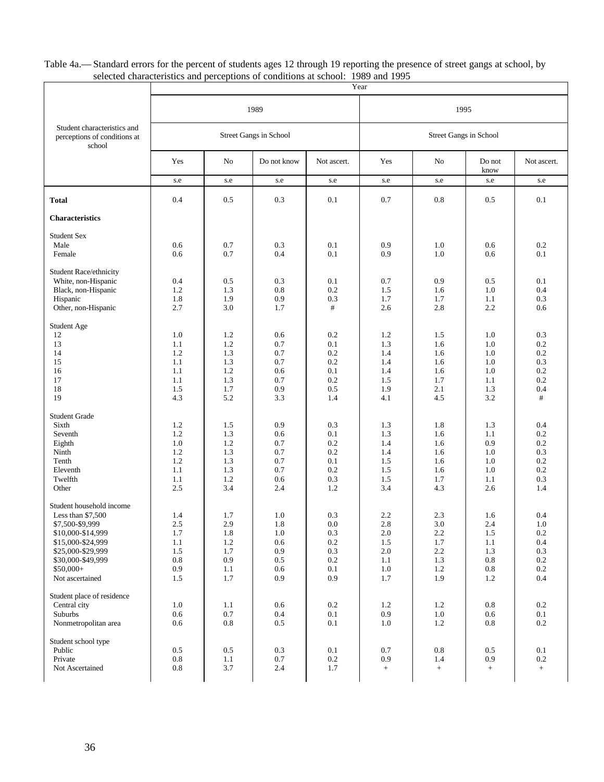Table 4a.— Standard errors for the percent of students ages 12 through 19 reporting the presence of street gangs at school, by selected characteristics and perceptions of conditions at school: 1989 and 1995

|                                                                       | Year       |            |                        |             |                   |                        |                |             |  |
|-----------------------------------------------------------------------|------------|------------|------------------------|-------------|-------------------|------------------------|----------------|-------------|--|
|                                                                       |            |            | 1989                   |             | 1995              |                        |                |             |  |
| Student characteristics and<br>perceptions of conditions at<br>school |            |            | Street Gangs in School |             |                   | Street Gangs in School |                |             |  |
|                                                                       | Yes        | No         | Do not know            | Not ascert. | Yes               | No                     | Do not<br>know | Not ascert. |  |
|                                                                       | s.e        | s.e        | s.e                    | s.e         | s.e               | s.e                    | s.e            | s.e         |  |
| <b>Total</b>                                                          | 0.4        | 0.5        | 0.3                    | 0.1         | 0.7               | 0.8                    | 0.5            | 0.1         |  |
| <b>Characteristics</b>                                                |            |            |                        |             |                   |                        |                |             |  |
| <b>Student Sex</b>                                                    |            |            |                        |             |                   |                        |                |             |  |
| Male                                                                  | 0.6        | 0.7        | 0.3                    | 0.1         | 0.9               | 1.0                    | 0.6            | 0.2         |  |
| Female                                                                | 0.6        | 0.7        | 0.4                    | 0.1         | 0.9               | 1.0                    | 0.6            | 0.1         |  |
| Student Race/ethnicity                                                |            |            |                        |             |                   |                        |                |             |  |
| White, non-Hispanic                                                   | 0.4        | 0.5        | 0.3                    | 0.1         | 0.7               | 0.9                    | 0.5            | 0.1         |  |
| Black, non-Hispanic                                                   | 1.2        | 1.3        | 0.8                    | 0.2         | 1.5               | 1.6                    | 1.0            | 0.4         |  |
| Hispanic                                                              | 1.8        | 1.9        | 0.9                    | 0.3         | 1.7               | 1.7                    | 1.1            | 0.3         |  |
| Other, non-Hispanic                                                   | 2.7        | 3.0        | 1.7                    | #           | 2.6               | 2.8                    | 2.2            | 0.6         |  |
| Student Age                                                           |            |            |                        |             |                   |                        |                |             |  |
| 12                                                                    | 1.0        | 1.2        | 0.6                    | 0.2         | 1.2               | 1.5                    | 1.0            | 0.3         |  |
| 13                                                                    | 1.1        | 1.2        | 0.7                    | 0.1         | 1.3               | 1.6                    | 1.0            | $0.2\,$     |  |
| 14                                                                    | 1.2        | 1.3        | 0.7                    | 0.2         | 1.4               | 1.6                    | 1.0            | 0.2         |  |
| 15                                                                    | 1.1        | 1.3        | 0.7                    | 0.2         | 1.4               | 1.6                    | 1.0            | 0.3         |  |
| 16                                                                    | 1.1        | 1.2        | 0.6                    | 0.1         | 1.4               | 1.6                    | 1.0            | 0.2         |  |
| 17                                                                    | 1.1        | 1.3        | 0.7                    | 0.2         | 1.5               | 1.7                    | 1.1            | 0.2         |  |
| 18<br>19                                                              | 1.5<br>4.3 | 1.7<br>5.2 | 0.9<br>3.3             | 0.5<br>1.4  | 1.9<br>4.1        | 2.1<br>4.5             | 1.3<br>3.2     | 0.4<br>#    |  |
|                                                                       |            |            |                        |             |                   |                        |                |             |  |
| <b>Student Grade</b>                                                  |            |            |                        |             |                   |                        |                |             |  |
| Sixth                                                                 | 1.2        | 1.5        | 0.9                    | 0.3         | 1.3               | 1.8                    | 1.3            | 0.4         |  |
| Seventh                                                               | $1.2\,$    | 1.3        | 0.6                    | 0.1         | 1.3               | 1.6                    | 1.1            | 0.2         |  |
| Eighth                                                                | 1.0        | 1.2        | 0.7                    | 0.2         | 1.4               | 1.6                    | 0.9            | 0.2         |  |
| Ninth                                                                 | 1.2        | 1.3        | 0.7                    | 0.2         | 1.4               | 1.6                    | 1.0            | 0.3         |  |
| Tenth                                                                 | 1.2        | 1.3        | 0.7                    | 0.1         | 1.5               | 1.6                    | 1.0            | 0.2         |  |
| Eleventh                                                              | 1.1        | 1.3        | 0.7                    | 0.2         | 1.5               | 1.6                    | 1.0            | 0.2         |  |
| Twelfth                                                               | 1.1<br>2.5 | 1.2<br>3.4 | 0.6                    | 0.3<br>1.2  | 1.5<br>3.4        | 1.7<br>4.3             | 1.1            | 0.3<br>1.4  |  |
| Other                                                                 |            |            | 2.4                    |             |                   |                        | 2.6            |             |  |
| Student household income                                              |            |            |                        |             |                   |                        |                |             |  |
| Less than \$7,500                                                     | 1.4        | 1.7        | 1.0                    | 0.3         | 2.2               | 2.3                    | 1.6            | 0.4         |  |
| \$7,500-\$9,999                                                       | 2.5        | 2.9        | 1.8                    | 0.0         | 2.8               | 3.0                    | 2.4            | 1.0         |  |
| \$10,000-\$14,999                                                     | 1.7        | 1.8        | 1.0                    | 0.3         | 2.0               | 2.2                    | 1.5            | $0.2\,$     |  |
| \$15,000-\$24,999                                                     | 1.1        | 1.2        | 0.6                    | $0.2\,$     | 1.5               | 1.7                    | 1.1            | 0.4         |  |
| \$25,000-\$29,999                                                     | 1.5        | 1.7        | 0.9                    | 0.3         | $2.0\,$           | 2.2                    | 1.3            | 0.3         |  |
| \$30,000-\$49,999                                                     | $\rm 0.8$  | 0.9        | $0.5\,$                | $0.2\,$     | 1.1               | 1.3                    | $0.8\,$        | $0.2\,$     |  |
| $$50,000+$                                                            | 0.9        | $1.1\,$    | 0.6                    | $0.1\,$     | $1.0\,$           | $1.2\,$                | 0.8            | $0.2\,$     |  |
| Not ascertained                                                       | 1.5        | 1.7        | 0.9                    | 0.9         | 1.7               | 1.9                    | 1.2            | 0.4         |  |
| Student place of residence                                            |            |            |                        |             |                   |                        |                |             |  |
| Central city                                                          | 1.0        | 1.1        | 0.6                    | $0.2\,$     | 1.2               | 1.2                    | 0.8            | $0.2\,$     |  |
| Suburbs                                                               | 0.6        | $0.7\,$    | 0.4                    | 0.1         | 0.9               | $1.0\,$                | 0.6            | 0.1         |  |
| Nonmetropolitan area                                                  | 0.6        | 0.8        | 0.5                    | 0.1         | $1.0\,$           | 1.2                    | 0.8            | 0.2         |  |
| Student school type                                                   |            |            |                        |             |                   |                        |                |             |  |
| Public                                                                | $0.5\,$    | 0.5        | 0.3                    | $0.1\,$     | 0.7               | $\rm 0.8$              | 0.5            | 0.1         |  |
| Private                                                               | 0.8        | 1.1        | 0.7                    | 0.2         | 0.9               | 1.4                    | 0.9            | $0.2\,$     |  |
| Not Ascertained                                                       | 0.8        | 3.7        | 2.4                    | 1.7         | $\qquad \qquad +$ | $^+$                   | $^+$           | $+$         |  |
|                                                                       |            |            |                        |             |                   |                        |                |             |  |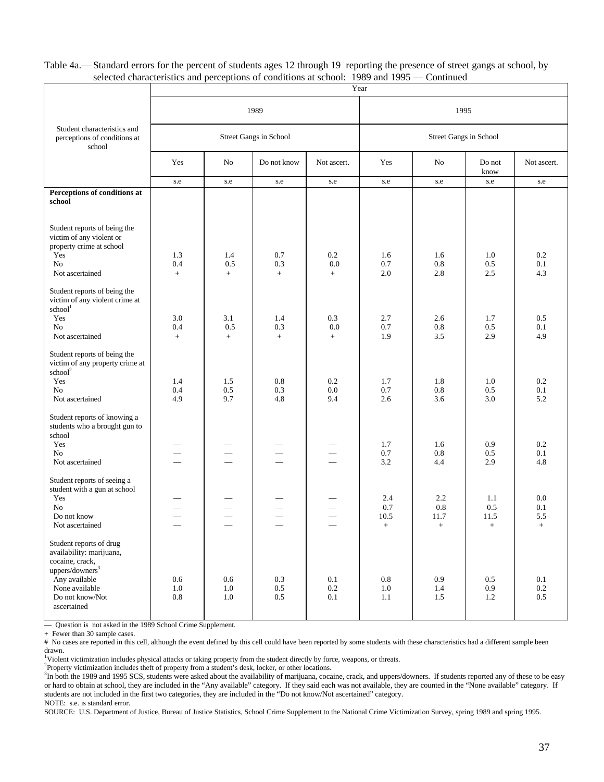Table 4a.— Standard errors for the percent of students ages 12 through 19 reporting the presence of street gangs at school, by selected characteristics and perceptions of conditions at school: 1989 and 1995 — Continued

|                                                                                                               | Year                  |                       |                           |                          |                       |                        |                           |                       |
|---------------------------------------------------------------------------------------------------------------|-----------------------|-----------------------|---------------------------|--------------------------|-----------------------|------------------------|---------------------------|-----------------------|
|                                                                                                               |                       |                       | 1989                      |                          | 1995                  |                        |                           |                       |
| Student characteristics and<br>perceptions of conditions at<br>school                                         |                       |                       | Street Gangs in School    |                          |                       | Street Gangs in School |                           |                       |
|                                                                                                               | Yes                   | No                    | Do not know               | Not ascert.              | Yes                   | No                     | Do not<br>know            | Not ascert.           |
|                                                                                                               | s.e                   | s.e                   | s.e                       | s.e                      | s.e                   | s.e                    | s.e                       | s.e                   |
| Perceptions of conditions at<br>school                                                                        |                       |                       |                           |                          |                       |                        |                           |                       |
| Student reports of being the<br>victim of any violent or<br>property crime at school<br>Yes<br>N <sub>o</sub> | 1.3<br>0.4            | 1.4<br>0.5            | 0.7<br>0.3                | 0.2<br>0.0               | 1.6<br>0.7            | 1.6<br>$0.8\,$         | 1.0<br>0.5                | 0.2<br>0.1            |
| Not ascertained                                                                                               | $+$                   | $+$                   | $+$                       | $+$                      | 2.0                   | 2.8                    | 2.5                       | 4.3                   |
| Student reports of being the<br>victim of any violent crime at<br>school <sup>1</sup>                         |                       |                       |                           |                          |                       |                        |                           |                       |
| Yes                                                                                                           | 3.0                   | 3.1                   | 1.4                       | 0.3                      | 2.7                   | 2.6                    | 1.7                       | 0.5                   |
| N <sub>0</sub>                                                                                                | 0.4                   | 0.5                   | 0.3                       | 0.0                      | 0.7                   | 0.8                    | 0.5                       | 0.1                   |
| Not ascertained                                                                                               | $+$                   | $+$                   | $+$                       | $+$                      | 1.9                   | 3.5                    | 2.9                       | 4.9                   |
| Student reports of being the<br>victim of any property crime at<br>school <sup>2</sup><br>Yes<br>No           | 1.4<br>0.4            | 1.5<br>0.5            | 0.8<br>0.3                | 0.2<br>0.0               | 1.7<br>$0.7\,$        | 1.8<br>0.8             | 1.0<br>0.5                | 0.2<br>0.1            |
| Not ascertained                                                                                               | 4.9                   | 9.7                   | 4.8                       | 9.4                      | 2.6                   | 3.6                    | 3.0                       | 5.2                   |
| Student reports of knowing a<br>students who a brought gun to<br>school<br>Yes                                |                       |                       |                           |                          | 1.7                   | 1.6                    | 0.9                       | 0.2                   |
| N <sub>0</sub>                                                                                                |                       |                       |                           |                          | 0.7                   | 0.8                    | 0.5                       | 0.1                   |
| Not ascertained                                                                                               |                       |                       |                           |                          | 3.2                   | 4.4                    | 2.9                       | 4.8                   |
| Student reports of seeing a<br>student with a gun at school<br>Yes                                            |                       |                       |                           |                          | 2.4                   | 2.2                    | 1.1                       | 0.0                   |
| No                                                                                                            |                       |                       |                           |                          | 0.7                   | 0.8                    | 0.5                       | 0.1                   |
| Do not know<br>Not ascertained                                                                                |                       |                       |                           | $\overline{\phantom{0}}$ | 10.5<br>$+$           | 11.7<br>$+$            | 11.5<br>$+$               | 5.5<br>$+$            |
| Student reports of drug<br>availability: marijuana,<br>cocaine, crack,<br>uppers/downers <sup>3</sup>         |                       |                       |                           |                          |                       |                        |                           |                       |
| Any available<br>None available<br>Do not know/Not<br>ascertained                                             | 0.6<br>1.0<br>$0.8\,$ | $0.6\,$<br>1.0<br>1.0 | 0.3<br>$0.5\,$<br>$0.5\,$ | 0.1<br>$0.2\,$<br>0.1    | $0.8\,$<br>1.0<br>1.1 | 0.9<br>1.4<br>1.5      | $0.5\,$<br>$0.9\,$<br>1.2 | 0.1<br>$0.2\,$<br>0.5 |

— Question is not asked in the 1989 School Crime Supplement.

+ Fewer than 30 sample cases.

# No cases are reported in this cell, although the event defined by this cell could have been reported by some students with these characteristics had a different sample been

drawn.<br><sup>1</sup>Violent victimization includes physical attacks or taking property from the student directly by force, weapons, or threats.

<sup>2</sup>Property victimization includes theft of property from a student's desk, locker, or other locations.

<sup>3</sup>In both the 1989 and 1995 SCS, students were asked about the availability of marijuana, cocaine, crack, and uppers/downers. If students reported any of these to be easy or hard to obtain at school, they are included in the "Any available" category. If they said each was not available, they are counted in the "None available" category. If students are not included in the first two categories, they are included in the "Do not know/Not ascertained" category. NOTE: s.e. is standard error.

SOURCE: U.S. Department of Justice, Bureau of Justice Statistics, School Crime Supplement to the National Crime Victimization Survey, spring 1989 and spring 1995.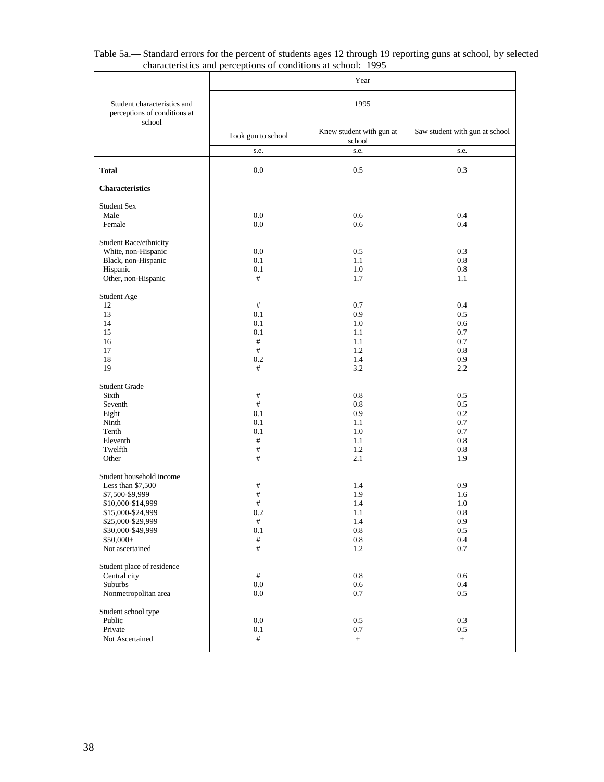|                                                                       |                    | Year                               |                                |  |  |  |  |
|-----------------------------------------------------------------------|--------------------|------------------------------------|--------------------------------|--|--|--|--|
| Student characteristics and<br>perceptions of conditions at<br>school | 1995               |                                    |                                |  |  |  |  |
|                                                                       | Took gun to school | Knew student with gun at<br>school | Saw student with gun at school |  |  |  |  |
|                                                                       | s.e.               | s.e.                               | s.e.                           |  |  |  |  |
| <b>Total</b>                                                          | $0.0\,$            | 0.5                                | 0.3                            |  |  |  |  |
| <b>Characteristics</b>                                                |                    |                                    |                                |  |  |  |  |
| <b>Student Sex</b>                                                    |                    |                                    |                                |  |  |  |  |
| Male                                                                  | 0.0                | 0.6                                | 0.4                            |  |  |  |  |
| Female                                                                | 0.0                | 0.6                                | 0.4                            |  |  |  |  |
| Student Race/ethnicity                                                |                    |                                    |                                |  |  |  |  |
| White, non-Hispanic                                                   | 0.0                | 0.5                                | 0.3                            |  |  |  |  |
| Black, non-Hispanic                                                   | 0.1                | 1.1                                | 0.8                            |  |  |  |  |
| Hispanic                                                              | 0.1                | 1.0                                | 0.8                            |  |  |  |  |
| Other, non-Hispanic                                                   | #                  | 1.7                                | 1.1                            |  |  |  |  |
| Student Age                                                           |                    |                                    |                                |  |  |  |  |
| 12                                                                    | $\#$               | 0.7                                | 0.4                            |  |  |  |  |
| 13                                                                    | 0.1                | 0.9                                | 0.5                            |  |  |  |  |
| 14                                                                    | 0.1                | 1.0                                | 0.6                            |  |  |  |  |
| 15                                                                    | 0.1                | 1.1                                | 0.7                            |  |  |  |  |
| 16                                                                    | #                  | 1.1                                | 0.7                            |  |  |  |  |
| 17                                                                    | #                  | 1.2                                | 0.8                            |  |  |  |  |
| 18                                                                    | 0.2                | 1.4                                | 0.9                            |  |  |  |  |
| 19                                                                    | #                  | 3.2                                | 2.2                            |  |  |  |  |
| <b>Student Grade</b>                                                  |                    |                                    |                                |  |  |  |  |
| Sixth                                                                 | #                  | 0.8                                | 0.5                            |  |  |  |  |
| Seventh                                                               | #                  | 0.8                                | 0.5                            |  |  |  |  |
| Eight                                                                 | 0.1                | 0.9                                | 0.2                            |  |  |  |  |
| Ninth                                                                 | 0.1                | 1.1                                | 0.7                            |  |  |  |  |
| Tenth                                                                 | 0.1                | 1.0                                | 0.7                            |  |  |  |  |
| Eleventh                                                              | #                  | 1.1                                | 0.8                            |  |  |  |  |
| Twelfth                                                               | #                  | 1.2                                | 0.8                            |  |  |  |  |
| Other                                                                 | #                  | 2.1                                | 1.9                            |  |  |  |  |
| Student household income                                              |                    |                                    |                                |  |  |  |  |
| Less than \$7,500                                                     | #                  | 1.4                                | 0.9                            |  |  |  |  |
| \$7,500-\$9,999                                                       | $\#$               | 1.9                                | 1.6                            |  |  |  |  |
| \$10,000-\$14,999                                                     | #                  | 1.4                                | 1.0                            |  |  |  |  |
| \$15,000-\$24,999                                                     | 0.2                | 1.1                                | 0.8                            |  |  |  |  |
| \$25,000-\$29,999                                                     | $\#$               | 1.4                                | 0.9                            |  |  |  |  |
| \$30,000-\$49,999                                                     | 0.1                | $0.8\,$                            | 0.5                            |  |  |  |  |
| \$50,000+                                                             | $\#$               | $0.8\,$                            | 0.4                            |  |  |  |  |
| Not ascertained                                                       | #                  | 1.2                                | 0.7                            |  |  |  |  |
| Student place of residence                                            |                    |                                    |                                |  |  |  |  |
| Central city                                                          | $\#$               | 0.8                                | 0.6                            |  |  |  |  |
| Suburbs                                                               | 0.0                | $0.6\,$                            | 0.4                            |  |  |  |  |
| Nonmetropolitan area                                                  | 0.0                | 0.7                                | 0.5                            |  |  |  |  |
| Student school type                                                   |                    |                                    |                                |  |  |  |  |
| Public                                                                | 0.0                | 0.5                                | 0.3                            |  |  |  |  |
| Private                                                               | 0.1                | $0.7\,$                            | 0.5                            |  |  |  |  |
| Not Ascertained                                                       | $\#$               | $^+$                               | $+$                            |  |  |  |  |
|                                                                       |                    |                                    |                                |  |  |  |  |

|  | Table 5a.— Standard errors for the percent of students ages 12 through 19 reporting guns at school, by selected |  |
|--|-----------------------------------------------------------------------------------------------------------------|--|
|  | characteristics and perceptions of conditions at school: 1995                                                   |  |
|  |                                                                                                                 |  |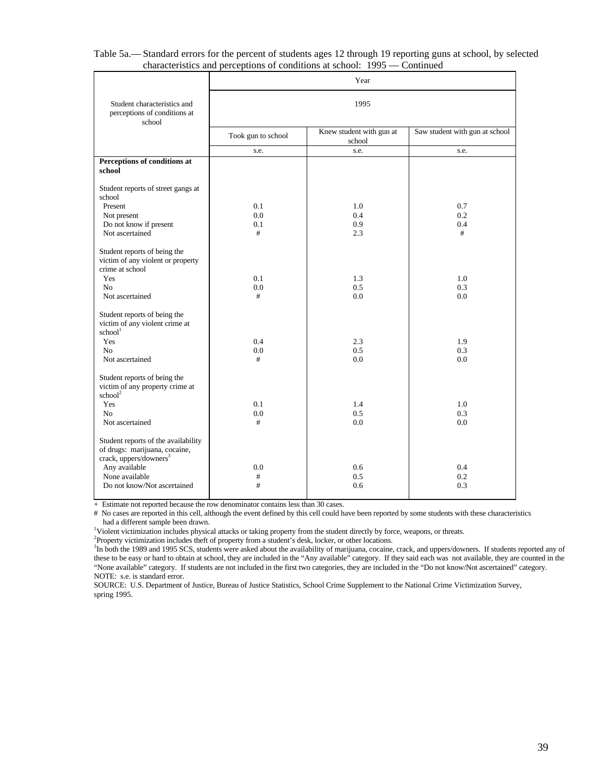| Student characteristics and<br>1995<br>perceptions of conditions at<br>school<br>Knew student with gun at<br>Saw student with gun at school<br>Took gun to school<br>school<br>s.e.<br>s.e.<br>s.e.<br>Perceptions of conditions at<br>school<br>Student reports of street gangs at<br>school<br>0.1<br>1.0<br>0.7<br>Present<br>0.0<br>0.2<br>Not present<br>0.4<br>Do not know if present<br>0.1<br>0.9<br>0.4<br>Not ascertained<br>#<br>#<br>2.3<br>Student reports of being the<br>victim of any violent or property<br>crime at school<br>0.1<br>1.3<br>Yes<br>1.0<br>0.0<br>0.5<br>0.3<br>N <sub>o</sub><br>Not ascertained<br>#<br>0.0<br>0.0<br>Student reports of being the<br>victim of any violent crime at<br>$\mathrm{school}^\mathrm{l}$ |     | Year |     |     |  |  |  |  |
|---------------------------------------------------------------------------------------------------------------------------------------------------------------------------------------------------------------------------------------------------------------------------------------------------------------------------------------------------------------------------------------------------------------------------------------------------------------------------------------------------------------------------------------------------------------------------------------------------------------------------------------------------------------------------------------------------------------------------------------------------------|-----|------|-----|-----|--|--|--|--|
|                                                                                                                                                                                                                                                                                                                                                                                                                                                                                                                                                                                                                                                                                                                                                         |     |      |     |     |  |  |  |  |
|                                                                                                                                                                                                                                                                                                                                                                                                                                                                                                                                                                                                                                                                                                                                                         |     |      |     |     |  |  |  |  |
|                                                                                                                                                                                                                                                                                                                                                                                                                                                                                                                                                                                                                                                                                                                                                         |     |      |     |     |  |  |  |  |
|                                                                                                                                                                                                                                                                                                                                                                                                                                                                                                                                                                                                                                                                                                                                                         |     |      |     |     |  |  |  |  |
|                                                                                                                                                                                                                                                                                                                                                                                                                                                                                                                                                                                                                                                                                                                                                         |     |      |     |     |  |  |  |  |
|                                                                                                                                                                                                                                                                                                                                                                                                                                                                                                                                                                                                                                                                                                                                                         |     |      |     |     |  |  |  |  |
|                                                                                                                                                                                                                                                                                                                                                                                                                                                                                                                                                                                                                                                                                                                                                         |     |      |     |     |  |  |  |  |
|                                                                                                                                                                                                                                                                                                                                                                                                                                                                                                                                                                                                                                                                                                                                                         |     |      |     |     |  |  |  |  |
|                                                                                                                                                                                                                                                                                                                                                                                                                                                                                                                                                                                                                                                                                                                                                         |     |      |     |     |  |  |  |  |
|                                                                                                                                                                                                                                                                                                                                                                                                                                                                                                                                                                                                                                                                                                                                                         |     |      |     |     |  |  |  |  |
|                                                                                                                                                                                                                                                                                                                                                                                                                                                                                                                                                                                                                                                                                                                                                         |     |      |     |     |  |  |  |  |
|                                                                                                                                                                                                                                                                                                                                                                                                                                                                                                                                                                                                                                                                                                                                                         |     |      |     |     |  |  |  |  |
|                                                                                                                                                                                                                                                                                                                                                                                                                                                                                                                                                                                                                                                                                                                                                         |     |      |     |     |  |  |  |  |
|                                                                                                                                                                                                                                                                                                                                                                                                                                                                                                                                                                                                                                                                                                                                                         |     |      |     |     |  |  |  |  |
|                                                                                                                                                                                                                                                                                                                                                                                                                                                                                                                                                                                                                                                                                                                                                         | Yes | 0.4  | 2.3 | 1.9 |  |  |  |  |
| N <sub>0</sub><br>0.0<br>0.5<br>0.3                                                                                                                                                                                                                                                                                                                                                                                                                                                                                                                                                                                                                                                                                                                     |     |      |     |     |  |  |  |  |
| Not ascertained<br>#<br>0.0<br>0.0                                                                                                                                                                                                                                                                                                                                                                                                                                                                                                                                                                                                                                                                                                                      |     |      |     |     |  |  |  |  |
| Student reports of being the<br>victim of any property crime at<br>school <sup>2</sup>                                                                                                                                                                                                                                                                                                                                                                                                                                                                                                                                                                                                                                                                  |     |      |     |     |  |  |  |  |
| Yes<br>0.1<br>1.4<br>1.0                                                                                                                                                                                                                                                                                                                                                                                                                                                                                                                                                                                                                                                                                                                                |     |      |     |     |  |  |  |  |
| N <sub>o</sub><br>0.0<br>0.5<br>0.3                                                                                                                                                                                                                                                                                                                                                                                                                                                                                                                                                                                                                                                                                                                     |     |      |     |     |  |  |  |  |
| Not ascertained<br>0.0<br>0.0<br>#                                                                                                                                                                                                                                                                                                                                                                                                                                                                                                                                                                                                                                                                                                                      |     |      |     |     |  |  |  |  |
| Student reports of the availability<br>of drugs: marijuana, cocaine,<br>crack, uppers/downers <sup>3</sup>                                                                                                                                                                                                                                                                                                                                                                                                                                                                                                                                                                                                                                              |     |      |     |     |  |  |  |  |
| Any available<br>0.0<br>0.6<br>0.4                                                                                                                                                                                                                                                                                                                                                                                                                                                                                                                                                                                                                                                                                                                      |     |      |     |     |  |  |  |  |
| None available<br>0.5<br>0.2<br>#                                                                                                                                                                                                                                                                                                                                                                                                                                                                                                                                                                                                                                                                                                                       |     |      |     |     |  |  |  |  |
| Do not know/Not ascertained<br>#<br>0.3<br>0.6                                                                                                                                                                                                                                                                                                                                                                                                                                                                                                                                                                                                                                                                                                          |     |      |     |     |  |  |  |  |

| Table 5a.— Standard errors for the percent of students ages 12 through 19 reporting guns at school, by selected |  |
|-----------------------------------------------------------------------------------------------------------------|--|
| characteristics and perceptions of conditions at school: $1995$ — Continued                                     |  |

+ Estimate not reported because the row denominator contains less than 30 cases.

# No cases are reported in this cell, although the event defined by this cell could have been reported by some students with these characteristics had a different sample been drawn.

<sup>1</sup>Violent victimization includes physical attacks or taking property from the student directly by force, weapons, or threats.

<sup>2</sup>Property victimization includes theft of property from a student's desk, locker, or other locations.

<sup>3</sup>In both the 1989 and 1995 SCS, students were asked about the availability of marijuana, cocaine, crack, and uppers/downers. If students reported any of these to be easy or hard to obtain at school, they are included in the "Any available" category. If they said each was not available, they are counted in the "None available" category. If students are not included in the first two categories, they are included in the "Do not know/Not ascertained" category. NOTE: s.e. is standard error.

SOURCE: U.S. Department of Justice, Bureau of Justice Statistics, School Crime Supplement to the National Crime Victimization Survey, spring 1995.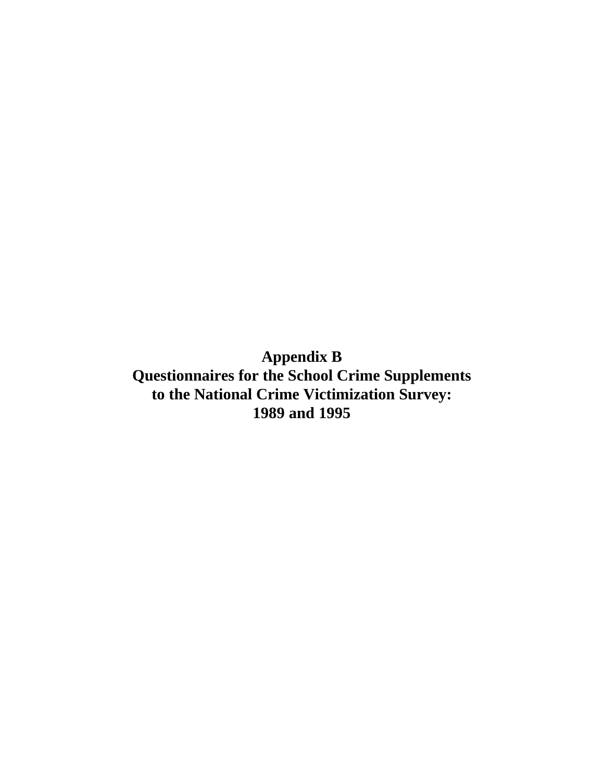**Appendix B Questionnaires for the School Crime Supplements to the National Crime Victimization Survey: 1989 and 1995**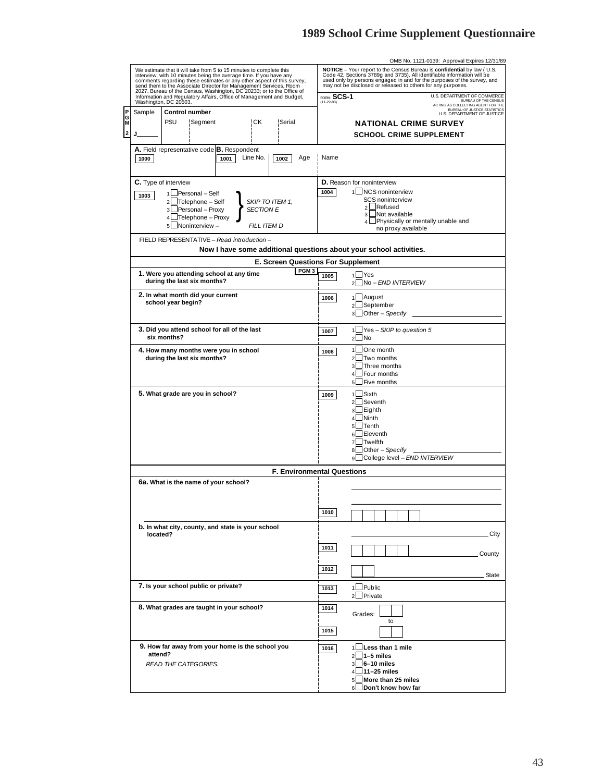|        |                                                                                                                                                                                                                                                                                                                                                                                                                                           |                       |                                   |                                                    |                  |                                           |              |                                |                                                                    | OMB No. 1121-0139: Approval Expires 12/31/89                                                                                                                                                                                                                                                                                |                                                                          |
|--------|-------------------------------------------------------------------------------------------------------------------------------------------------------------------------------------------------------------------------------------------------------------------------------------------------------------------------------------------------------------------------------------------------------------------------------------------|-----------------------|-----------------------------------|----------------------------------------------------|------------------|-------------------------------------------|--------------|--------------------------------|--------------------------------------------------------------------|-----------------------------------------------------------------------------------------------------------------------------------------------------------------------------------------------------------------------------------------------------------------------------------------------------------------------------|--------------------------------------------------------------------------|
|        | We estimate that it will take from 5 to 15 minutes to complete this<br>interview, with 10 minutes being the average time. If you have any<br>comments regarding these estimates or any other aspect of this survey,<br>Send them to the Associate Director for Management Services, Room<br>2027, Bureau of the Census, Washington, DC 20233; or to the Office of<br>Information and Regulatory Affairs, Office of Management and Budget, |                       |                                   |                                                    |                  |                                           | FORM SCS-1   |                                |                                                                    | NOTICE - Your report to the Census Bureau is confidential by law (U.S.<br>Code 42, Sections 3789g and 3735). All identifiable information will be<br>used only by persons engaged in and for the purposes of the survey, and<br>may not be disclosed or released to others for any purposes.<br>U.S. DEPARTMENT OF COMMERCE |                                                                          |
|        |                                                                                                                                                                                                                                                                                                                                                                                                                                           | Washington, DC 20503. |                                   |                                                    |                  |                                           | $(11-22-88)$ |                                |                                                                    |                                                                                                                                                                                                                                                                                                                             | <b>BUREAU OF THE CENSUS</b><br>ACTING AS COLLECTING AGENT FOR THE        |
|        | Sample                                                                                                                                                                                                                                                                                                                                                                                                                                    | <b>Control number</b> |                                   |                                                    |                  |                                           |              |                                |                                                                    |                                                                                                                                                                                                                                                                                                                             | <b>BUREAU OF JUSTICE STATISTICS</b><br><b>U.S. DEPARTMENT OF JUSTICE</b> |
| Ġ<br>M |                                                                                                                                                                                                                                                                                                                                                                                                                                           | PSU                   | Segment                           |                                                    | ¦CK              | ! Serial                                  |              |                                | <b>NATIONAL CRIME SURVEY</b>                                       |                                                                                                                                                                                                                                                                                                                             |                                                                          |
| 2      | J.                                                                                                                                                                                                                                                                                                                                                                                                                                        |                       |                                   |                                                    |                  |                                           |              |                                | <b>SCHOOL CRIME SUPPLEMENT</b>                                     |                                                                                                                                                                                                                                                                                                                             |                                                                          |
|        |                                                                                                                                                                                                                                                                                                                                                                                                                                           |                       |                                   |                                                    |                  |                                           |              |                                |                                                                    |                                                                                                                                                                                                                                                                                                                             |                                                                          |
|        | 1000                                                                                                                                                                                                                                                                                                                                                                                                                                      |                       |                                   | A. Field representative code B. Respondent<br>1001 | Line No.         | 1002<br>Age                               | Name         |                                |                                                                    |                                                                                                                                                                                                                                                                                                                             |                                                                          |
|        | <b>C.</b> Type of interview                                                                                                                                                                                                                                                                                                                                                                                                               |                       |                                   |                                                    |                  |                                           |              |                                | D. Reason for noninterview                                         |                                                                                                                                                                                                                                                                                                                             |                                                                          |
|        |                                                                                                                                                                                                                                                                                                                                                                                                                                           |                       |                                   |                                                    |                  |                                           |              |                                |                                                                    |                                                                                                                                                                                                                                                                                                                             |                                                                          |
|        | 1003                                                                                                                                                                                                                                                                                                                                                                                                                                      |                       | 1 Personal - Self                 |                                                    |                  |                                           | 1004         |                                | 1 NCS noninterview                                                 |                                                                                                                                                                                                                                                                                                                             |                                                                          |
|        |                                                                                                                                                                                                                                                                                                                                                                                                                                           |                       | 2 Telephone - Self                |                                                    | SKIP TO ITEM 1,  |                                           |              |                                | SCS noninterview<br>Refused<br>2 <sup>1</sup>                      |                                                                                                                                                                                                                                                                                                                             |                                                                          |
|        |                                                                                                                                                                                                                                                                                                                                                                                                                                           |                       | Personal - Proxy                  |                                                    | <b>SECTION E</b> |                                           |              |                                | Not available<br>3 L                                               |                                                                                                                                                                                                                                                                                                                             |                                                                          |
|        |                                                                                                                                                                                                                                                                                                                                                                                                                                           | $\overline{4}$        | ⊿Telephone – Proxy                |                                                    |                  |                                           |              |                                | 4 L                                                                | Physically or mentally unable and                                                                                                                                                                                                                                                                                           |                                                                          |
|        |                                                                                                                                                                                                                                                                                                                                                                                                                                           | 5                     | ⊿Noninterview –                   |                                                    | FILL ITEM D      |                                           |              |                                | no proxy available                                                 |                                                                                                                                                                                                                                                                                                                             |                                                                          |
|        |                                                                                                                                                                                                                                                                                                                                                                                                                                           |                       |                                   | FIELD REPRESENTATIVE - Read introduction -         |                  |                                           |              |                                |                                                                    |                                                                                                                                                                                                                                                                                                                             |                                                                          |
|        |                                                                                                                                                                                                                                                                                                                                                                                                                                           |                       |                                   |                                                    |                  |                                           |              |                                | Now I have some additional questions about your school activities. |                                                                                                                                                                                                                                                                                                                             |                                                                          |
|        |                                                                                                                                                                                                                                                                                                                                                                                                                                           |                       |                                   |                                                    |                  |                                           |              |                                |                                                                    |                                                                                                                                                                                                                                                                                                                             |                                                                          |
|        |                                                                                                                                                                                                                                                                                                                                                                                                                                           |                       |                                   |                                                    |                  | <b>E. Screen Questions For Supplement</b> |              |                                |                                                                    |                                                                                                                                                                                                                                                                                                                             |                                                                          |
|        |                                                                                                                                                                                                                                                                                                                                                                                                                                           |                       |                                   | 1. Were you attending school at any time           |                  | PGM <sub>3</sub>                          | 1005         |                                | $1 \cup Y$ es                                                      |                                                                                                                                                                                                                                                                                                                             |                                                                          |
|        |                                                                                                                                                                                                                                                                                                                                                                                                                                           |                       | during the last six months?       |                                                    |                  |                                           |              | $\mathcal{P}$                  | No - END INTERVIEW                                                 |                                                                                                                                                                                                                                                                                                                             |                                                                          |
|        |                                                                                                                                                                                                                                                                                                                                                                                                                                           |                       | 2. In what month did your current |                                                    |                  |                                           |              |                                |                                                                    |                                                                                                                                                                                                                                                                                                                             |                                                                          |
|        |                                                                                                                                                                                                                                                                                                                                                                                                                                           | school year begin?    |                                   |                                                    |                  |                                           | 1006         |                                | 1LAugust                                                           |                                                                                                                                                                                                                                                                                                                             |                                                                          |
|        |                                                                                                                                                                                                                                                                                                                                                                                                                                           |                       |                                   |                                                    |                  |                                           |              | $\overline{2}$                 | September                                                          |                                                                                                                                                                                                                                                                                                                             |                                                                          |
|        |                                                                                                                                                                                                                                                                                                                                                                                                                                           |                       |                                   |                                                    |                  |                                           |              | 3                              | Other - Specify                                                    |                                                                                                                                                                                                                                                                                                                             |                                                                          |
|        |                                                                                                                                                                                                                                                                                                                                                                                                                                           |                       |                                   |                                                    |                  |                                           |              |                                |                                                                    |                                                                                                                                                                                                                                                                                                                             |                                                                          |
|        |                                                                                                                                                                                                                                                                                                                                                                                                                                           | six months?           |                                   | 3. Did you attend school for all of the last       |                  |                                           | 1007         | $\mathbf{1}$<br>$\overline{2}$ | ⊿Yes – SKIP to question 5<br>$\overline{\mathsf{No}}$              |                                                                                                                                                                                                                                                                                                                             |                                                                          |
|        |                                                                                                                                                                                                                                                                                                                                                                                                                                           |                       |                                   |                                                    |                  |                                           |              |                                |                                                                    |                                                                                                                                                                                                                                                                                                                             |                                                                          |
|        |                                                                                                                                                                                                                                                                                                                                                                                                                                           |                       |                                   | 4. How many months were you in school              |                  |                                           | 1008         | 1                              | ⊿One month                                                         |                                                                                                                                                                                                                                                                                                                             |                                                                          |
|        |                                                                                                                                                                                                                                                                                                                                                                                                                                           |                       | during the last six months?       |                                                    |                  |                                           |              | $\mathfrak{p}$                 | Two months                                                         |                                                                                                                                                                                                                                                                                                                             |                                                                          |
|        |                                                                                                                                                                                                                                                                                                                                                                                                                                           |                       |                                   |                                                    |                  |                                           |              | 3                              | Three months                                                       |                                                                                                                                                                                                                                                                                                                             |                                                                          |
|        |                                                                                                                                                                                                                                                                                                                                                                                                                                           |                       |                                   |                                                    |                  |                                           |              | 4<br>5                         | Four months<br>⊿Five months                                        |                                                                                                                                                                                                                                                                                                                             |                                                                          |
|        |                                                                                                                                                                                                                                                                                                                                                                                                                                           |                       |                                   |                                                    |                  |                                           |              |                                |                                                                    |                                                                                                                                                                                                                                                                                                                             |                                                                          |
|        |                                                                                                                                                                                                                                                                                                                                                                                                                                           |                       | 5. What grade are you in school?  |                                                    |                  |                                           | 1009         | 1 <sup>1</sup>                 | $\Box$ Sixth                                                       |                                                                                                                                                                                                                                                                                                                             |                                                                          |
|        |                                                                                                                                                                                                                                                                                                                                                                                                                                           |                       |                                   |                                                    |                  |                                           |              | $\overline{2}$                 | Seventh                                                            |                                                                                                                                                                                                                                                                                                                             |                                                                          |
|        |                                                                                                                                                                                                                                                                                                                                                                                                                                           |                       |                                   |                                                    |                  |                                           |              | 3                              | $\sqcup$ Eighth                                                    |                                                                                                                                                                                                                                                                                                                             |                                                                          |
|        |                                                                                                                                                                                                                                                                                                                                                                                                                                           |                       |                                   |                                                    |                  |                                           |              |                                | $4 \Box$ Ninth                                                     |                                                                                                                                                                                                                                                                                                                             |                                                                          |
|        |                                                                                                                                                                                                                                                                                                                                                                                                                                           |                       |                                   |                                                    |                  |                                           |              | 5                              | $\Box$ Tenth<br>Eleventh                                           |                                                                                                                                                                                                                                                                                                                             |                                                                          |
|        |                                                                                                                                                                                                                                                                                                                                                                                                                                           |                       |                                   |                                                    |                  |                                           |              | 6<br>$\overline{7}$            | Twelfth                                                            |                                                                                                                                                                                                                                                                                                                             |                                                                          |
|        |                                                                                                                                                                                                                                                                                                                                                                                                                                           |                       |                                   |                                                    |                  |                                           |              | 8                              | $\Box$ Other – Specify –                                           |                                                                                                                                                                                                                                                                                                                             |                                                                          |
|        |                                                                                                                                                                                                                                                                                                                                                                                                                                           |                       |                                   |                                                    |                  |                                           |              | 9                              | ∟College level – END INTERVIEW                                     |                                                                                                                                                                                                                                                                                                                             |                                                                          |
|        |                                                                                                                                                                                                                                                                                                                                                                                                                                           |                       |                                   |                                                    |                  |                                           |              |                                |                                                                    |                                                                                                                                                                                                                                                                                                                             |                                                                          |
|        |                                                                                                                                                                                                                                                                                                                                                                                                                                           |                       |                                   |                                                    |                  | <b>F. Environmental Questions</b>         |              |                                |                                                                    |                                                                                                                                                                                                                                                                                                                             |                                                                          |
|        |                                                                                                                                                                                                                                                                                                                                                                                                                                           |                       |                                   | 6a. What is the name of your school?               |                  |                                           |              |                                |                                                                    |                                                                                                                                                                                                                                                                                                                             |                                                                          |
|        |                                                                                                                                                                                                                                                                                                                                                                                                                                           |                       |                                   |                                                    |                  |                                           |              |                                |                                                                    |                                                                                                                                                                                                                                                                                                                             |                                                                          |
|        |                                                                                                                                                                                                                                                                                                                                                                                                                                           |                       |                                   |                                                    |                  |                                           |              |                                |                                                                    |                                                                                                                                                                                                                                                                                                                             |                                                                          |
|        |                                                                                                                                                                                                                                                                                                                                                                                                                                           |                       |                                   |                                                    |                  |                                           | 1010         |                                |                                                                    |                                                                                                                                                                                                                                                                                                                             |                                                                          |
|        |                                                                                                                                                                                                                                                                                                                                                                                                                                           |                       |                                   |                                                    |                  |                                           |              |                                |                                                                    |                                                                                                                                                                                                                                                                                                                             |                                                                          |
|        |                                                                                                                                                                                                                                                                                                                                                                                                                                           |                       |                                   | b. In what city, county, and state is your school  |                  |                                           |              |                                |                                                                    |                                                                                                                                                                                                                                                                                                                             | City                                                                     |
|        | located?                                                                                                                                                                                                                                                                                                                                                                                                                                  |                       |                                   |                                                    |                  |                                           |              |                                |                                                                    |                                                                                                                                                                                                                                                                                                                             |                                                                          |
|        |                                                                                                                                                                                                                                                                                                                                                                                                                                           |                       |                                   |                                                    |                  |                                           | 1011         |                                |                                                                    |                                                                                                                                                                                                                                                                                                                             |                                                                          |
|        |                                                                                                                                                                                                                                                                                                                                                                                                                                           |                       |                                   |                                                    |                  |                                           |              |                                |                                                                    |                                                                                                                                                                                                                                                                                                                             | County                                                                   |
|        |                                                                                                                                                                                                                                                                                                                                                                                                                                           |                       |                                   |                                                    |                  |                                           |              |                                |                                                                    |                                                                                                                                                                                                                                                                                                                             |                                                                          |
|        |                                                                                                                                                                                                                                                                                                                                                                                                                                           |                       |                                   |                                                    |                  |                                           | 1012         |                                |                                                                    |                                                                                                                                                                                                                                                                                                                             | State                                                                    |
|        |                                                                                                                                                                                                                                                                                                                                                                                                                                           |                       |                                   | 7. Is your school public or private?               |                  |                                           |              |                                | $1$ Public                                                         |                                                                                                                                                                                                                                                                                                                             |                                                                          |
|        |                                                                                                                                                                                                                                                                                                                                                                                                                                           |                       |                                   |                                                    |                  |                                           | 1013         |                                | <sup>2</sup> Private                                               |                                                                                                                                                                                                                                                                                                                             |                                                                          |
|        |                                                                                                                                                                                                                                                                                                                                                                                                                                           |                       |                                   |                                                    |                  |                                           |              |                                |                                                                    |                                                                                                                                                                                                                                                                                                                             |                                                                          |
|        |                                                                                                                                                                                                                                                                                                                                                                                                                                           |                       |                                   | 8. What grades are taught in your school?          |                  |                                           | 1014         |                                | Grades:                                                            |                                                                                                                                                                                                                                                                                                                             |                                                                          |
|        |                                                                                                                                                                                                                                                                                                                                                                                                                                           |                       |                                   |                                                    |                  |                                           |              |                                | to                                                                 |                                                                                                                                                                                                                                                                                                                             |                                                                          |
|        |                                                                                                                                                                                                                                                                                                                                                                                                                                           |                       |                                   |                                                    |                  |                                           | 1015         |                                |                                                                    |                                                                                                                                                                                                                                                                                                                             |                                                                          |
|        |                                                                                                                                                                                                                                                                                                                                                                                                                                           |                       |                                   |                                                    |                  |                                           |              |                                |                                                                    |                                                                                                                                                                                                                                                                                                                             |                                                                          |
|        |                                                                                                                                                                                                                                                                                                                                                                                                                                           |                       |                                   | 9. How far away from your home is the school you   |                  |                                           | 1016         |                                | 1 Less than 1 mile                                                 |                                                                                                                                                                                                                                                                                                                             |                                                                          |
|        | attend?                                                                                                                                                                                                                                                                                                                                                                                                                                   |                       |                                   |                                                    |                  |                                           |              | $\overline{2}$                 | $\Box$ 1–5 miles                                                   |                                                                                                                                                                                                                                                                                                                             |                                                                          |
|        |                                                                                                                                                                                                                                                                                                                                                                                                                                           |                       | READ THE CATEGORIES.              |                                                    |                  |                                           |              | $\overline{\mathbf{a}}$        | $\Box$ 6–10 miles                                                  |                                                                                                                                                                                                                                                                                                                             |                                                                          |
|        |                                                                                                                                                                                                                                                                                                                                                                                                                                           |                       |                                   |                                                    |                  |                                           |              | $\overline{4}$                 | $\sqcup$ 11–25 miles                                               |                                                                                                                                                                                                                                                                                                                             |                                                                          |
|        |                                                                                                                                                                                                                                                                                                                                                                                                                                           |                       |                                   |                                                    |                  |                                           |              | 5 <sup>1</sup>                 | $\blacksquare$ More than 25 miles                                  |                                                                                                                                                                                                                                                                                                                             |                                                                          |
|        |                                                                                                                                                                                                                                                                                                                                                                                                                                           |                       |                                   |                                                    |                  |                                           |              |                                | 6 Don't know how far                                               |                                                                                                                                                                                                                                                                                                                             |                                                                          |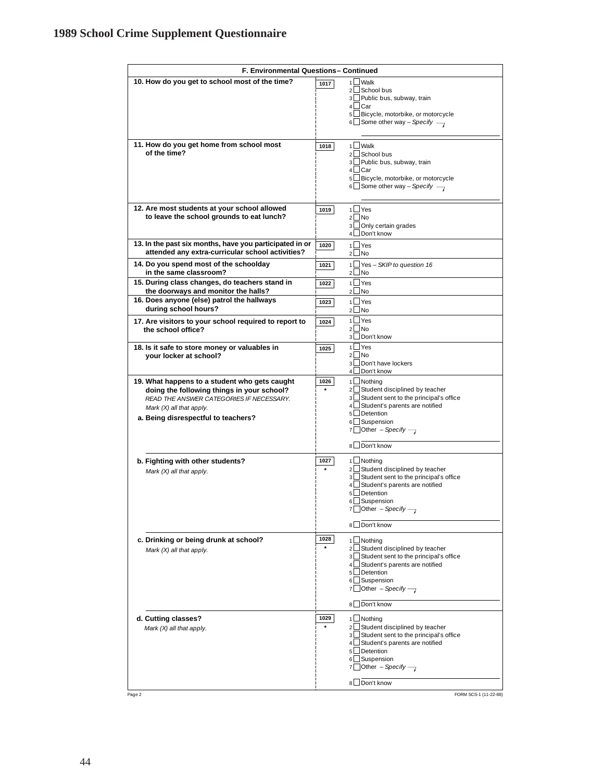| F. Environmental Questions-Continued                                                                                                                                                                       |                                                                                                                                                                                                                                                                 |  |  |  |
|------------------------------------------------------------------------------------------------------------------------------------------------------------------------------------------------------------|-----------------------------------------------------------------------------------------------------------------------------------------------------------------------------------------------------------------------------------------------------------------|--|--|--|
| 10. How do you get to school most of the time?                                                                                                                                                             | 1 Walk<br>1017<br>2LSchool bus<br>3∟Public bus, subway, train<br>4∟Car                                                                                                                                                                                          |  |  |  |
|                                                                                                                                                                                                            | 5∟Bicycle, motorbike, or motorcycle<br>6 Some other way - Specify $\rightarrow$                                                                                                                                                                                 |  |  |  |
| 11. How do you get home from school most<br>of the time?                                                                                                                                                   | 1 Walk<br>1018<br>$2 \square$ School bus<br>3 Public bus, subway, train<br>$4 \Box$ Car<br>5 Bicycle, motorbike, or motorcycle<br>$6 \square$ Some other way - Specify $\longrightarrow$                                                                        |  |  |  |
| 12. Are most students at your school allowed<br>to leave the school grounds to eat lunch?                                                                                                                  | $1$ Yes<br>1019<br>$2 \Box$ No<br>3∟Only certain grades<br>4 Don't know                                                                                                                                                                                         |  |  |  |
| 13. In the past six months, have you participated in or<br>attended any extra-curricular school activities?                                                                                                | $1$ Yes<br>1020<br>$2$ No                                                                                                                                                                                                                                       |  |  |  |
| 14. Do you spend most of the schoolday<br>in the same classroom?                                                                                                                                           | 1□ Yes - SKIP to question 16<br>1021<br>$2 \Box$ No                                                                                                                                                                                                             |  |  |  |
| 15. During class changes, do teachers stand in<br>the doorways and monitor the halls?<br>16. Does anyone (else) patrol the hallways                                                                        | $1 \square$ Yes<br>1022<br>$2 \Box$ No<br>$1$ Yes                                                                                                                                                                                                               |  |  |  |
| during school hours?                                                                                                                                                                                       | 1023<br>$2 \Box$ No<br>1 Yes                                                                                                                                                                                                                                    |  |  |  |
| 17. Are visitors to your school required to report to<br>the school office?                                                                                                                                | 1024<br>2 No<br>3LDon't know                                                                                                                                                                                                                                    |  |  |  |
| 18. Is it safe to store money or valuables in<br>your locker at school?                                                                                                                                    | $\sqcup$ Yes<br>1l<br>1025<br>2 No<br>3 <b>Don't have lockers</b><br>4□ Don't know                                                                                                                                                                              |  |  |  |
| 19. What happens to a student who gets caught<br>doing the following things in your school?<br>READ THE ANSWER CATEGORIES IF NECESSARY.<br>Mark (X) all that apply.<br>a. Being disrespectful to teachers? | 1LNothing<br>1026<br>2∟Student disciplined by teacher<br>$\star$<br>3 Student sent to the principal's office<br>4 Student's parents are notified<br>5□Detention<br>6 Suspension<br>7 Other - Specify $\rightarrow$<br>8 Don't know                              |  |  |  |
| b. Fighting with other students?<br>Mark (X) all that apply.                                                                                                                                               | 1027<br>1□ Nothing<br>2 Student disciplined by teacher<br>3∟Student sent to the principal's office<br>4 Student's parents are notified<br>5L Detention<br>6 Suspension<br>7 Other - Specify $\rightarrow$<br>Don't know                                         |  |  |  |
| c. Drinking or being drunk at school?<br>Mark (X) all that apply.                                                                                                                                          | 1028<br>1L Nothing<br>2LStudent disciplined by teacher<br>Student sent to the principal's office<br>3 <sup>l</sup><br>4 Student's parents are notified<br>5L Detention<br>6 Suspension<br>$\Box$ Other - Specify $\rightarrow$<br>7<br>Don't know<br>8l         |  |  |  |
| d. Cutting classes?<br>Mark (X) all that apply.<br>Page 2                                                                                                                                                  | 1029<br>1LNothing<br>$\star$<br>2 Student disciplined by teacher<br>3 Student sent to the principal's office<br>4 Student's parents are notified<br>5LDetention<br>6 Suspension<br>7 Other - Specify $\rightarrow$<br>Don't know<br>8l<br>FORM SCS-1 (11-22-88) |  |  |  |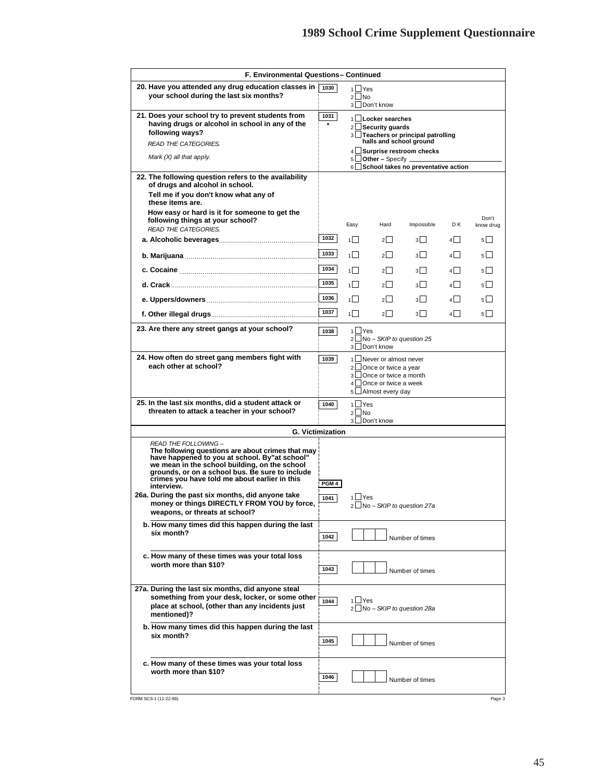| F. Environmental Questions-Continued                                                                                                                                                                                                                                                          |                  |                |                                                                                                                                        |                                                                   |         |                    |
|-----------------------------------------------------------------------------------------------------------------------------------------------------------------------------------------------------------------------------------------------------------------------------------------------|------------------|----------------|----------------------------------------------------------------------------------------------------------------------------------------|-------------------------------------------------------------------|---------|--------------------|
| 20. Have you attended any drug education classes in<br>your school during the last six months?                                                                                                                                                                                                | 1030             |                | $1 \cup Y$ es<br>$2 \Box$ No                                                                                                           |                                                                   |         |                    |
|                                                                                                                                                                                                                                                                                               |                  | $\overline{3}$ | Don't know                                                                                                                             |                                                                   |         |                    |
| 21. Does your school try to prevent students from<br>having drugs or alcohol in school in any of the<br>following ways?                                                                                                                                                                       | 1031<br>$\star$  |                | 1LILocker searches<br>$2 \Box$ Security guards                                                                                         | 3 Teachers or principal patrolling                                |         |                    |
| READ THE CATEGORIES.                                                                                                                                                                                                                                                                          |                  |                | halls and school ground                                                                                                                |                                                                   |         |                    |
| Mark (X) all that apply.                                                                                                                                                                                                                                                                      |                  | 5L<br>6L       | $\Box$ Other – Specify $\Box$                                                                                                          | 4 Surprise restroom checks<br>School takes no preventative action |         |                    |
| 22. The following question refers to the availability<br>of drugs and alcohol in school.                                                                                                                                                                                                      |                  |                |                                                                                                                                        |                                                                   |         |                    |
| Tell me if you don't know what any of<br>these items are.                                                                                                                                                                                                                                     |                  |                |                                                                                                                                        |                                                                   |         |                    |
| How easy or hard is it for someone to get the<br>following things at your school?<br>READ THE CATEGORIES.                                                                                                                                                                                     |                  | Easy           | Hard                                                                                                                                   | Impossible                                                        | D K     | Don't<br>know drug |
|                                                                                                                                                                                                                                                                                               | 1032             | $1 \mid$       | $2 \mid$                                                                                                                               | 3                                                                 | 4 I     | $5$                |
|                                                                                                                                                                                                                                                                                               | 1033             | 1              | $2$                                                                                                                                    | 3                                                                 | 4 I     | 5                  |
|                                                                                                                                                                                                                                                                                               | 1034             | 1   I          | $2^{\square}$                                                                                                                          | $3\Box$                                                           | 4 I     | $5$                |
|                                                                                                                                                                                                                                                                                               | 1035             | 1              | $2 \mid$                                                                                                                               | 3                                                                 | 4 I     | 5                  |
|                                                                                                                                                                                                                                                                                               | 1036             | 1              | $\overline{2}$                                                                                                                         | 3                                                                 | 4 I     | 5 <sup>1</sup>     |
|                                                                                                                                                                                                                                                                                               | 1037             | 1              | $\sqrt{ }$                                                                                                                             | $3\Box$                                                           | $4\Box$ | $5$                |
| 23. Are there any street gangs at your school?                                                                                                                                                                                                                                                | 1038             |                | $1$ $\sqrt{1}$ Yes<br>2 <u>No</u> - SKIP to question 25<br>3 Don't know                                                                |                                                                   |         |                    |
| 24. How often do street gang members fight with<br>each other at school?                                                                                                                                                                                                                      | 1039             |                | 1∟Never or almost never<br>2 Once or twice a year<br>3□ Once or twice a month<br>4 <u>□</u> Once or twice a week<br>5 Almost every day |                                                                   |         |                    |
| 25. In the last six months, did a student attack or<br>threaten to attack a teacher in your school?                                                                                                                                                                                           | 1040             | 3 <sup>1</sup> | $1 \cup Y$ es<br>$2 \Box$ No<br>Don't know                                                                                             |                                                                   |         |                    |
| <b>G. Victimization</b>                                                                                                                                                                                                                                                                       |                  |                |                                                                                                                                        |                                                                   |         |                    |
| READ THE FOLLOWING -<br>The following questions are about crimes that may<br>have happened to you at school. By"at school"<br>we mean in the school building, on the school<br>grounds, or on a school bus. Be sure to include<br>crimes you have told me about earlier in this<br>interview. | PGM <sub>4</sub> |                |                                                                                                                                        |                                                                   |         |                    |
| 26a. During the past six months, did anyone take<br>money or things DIRECTLY FROM YOU by force,<br>weapons, or threats at school?                                                                                                                                                             | 1041             |                | $1 \cup Y$ es<br>2∟No - SKIP to question 27a                                                                                           |                                                                   |         |                    |
| b. How many times did this happen during the last<br>six month?                                                                                                                                                                                                                               | 1042             |                |                                                                                                                                        | Number of times                                                   |         |                    |
| c. How many of these times was your total loss<br>worth more than \$10?                                                                                                                                                                                                                       | 1043             |                |                                                                                                                                        | Number of times                                                   |         |                    |
| 27a. During the last six months, did anyone steal<br>something from your desk, locker, or some other<br>place at school, (other than any incidents just<br>mentioned)?                                                                                                                        | 1044             |                | $1 \cup Y$ es<br>2∟No - SKIP to question 28a                                                                                           |                                                                   |         |                    |
| b. How many times did this happen during the last<br>six month?                                                                                                                                                                                                                               | 1045             |                |                                                                                                                                        | Number of times                                                   |         |                    |
| c. How many of these times was your total loss<br>worth more than \$10?                                                                                                                                                                                                                       | 1046             |                |                                                                                                                                        | Number of times                                                   |         |                    |
| FORM SCS-1 (11-22-88)                                                                                                                                                                                                                                                                         |                  |                |                                                                                                                                        |                                                                   |         | Page 3             |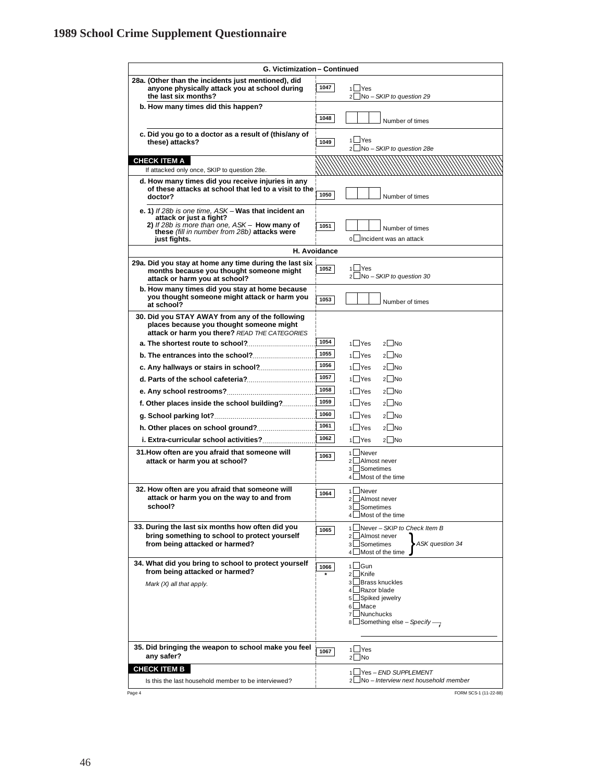| G. Victimization - Continued                                                                                                                                                                     |                                                                                                                                                                                         |  |  |  |
|--------------------------------------------------------------------------------------------------------------------------------------------------------------------------------------------------|-----------------------------------------------------------------------------------------------------------------------------------------------------------------------------------------|--|--|--|
| 28a. (Other than the incidents just mentioned), did<br>anyone physically attack you at school during<br>the last six months?                                                                     | 1047<br>$1 \square$ Yes<br>2□No - SKIP to question 29                                                                                                                                   |  |  |  |
| b. How many times did this happen?                                                                                                                                                               | 1048<br>Number of times                                                                                                                                                                 |  |  |  |
| c. Did you go to a doctor as a result of (this/any of<br>these) attacks?                                                                                                                         | 1⊿Yes<br>1049<br>2 No - SKIP to question 28e                                                                                                                                            |  |  |  |
| <b>CHECK ITEM A</b><br>If attacked only once, SKIP to question 28e.                                                                                                                              |                                                                                                                                                                                         |  |  |  |
| d. How many times did you receive injuries in any<br>of these attacks at school that led to a visit to the<br>doctor?                                                                            | 1050<br>Number of times                                                                                                                                                                 |  |  |  |
| e. 1) If 28b is one time, ASK - Was that incident an<br>attack or just a fight?<br>2) If 28b is more than one, ASK - How many of<br>these (fill in number from 28b) attacks were<br>just fights. | 1051<br>Number of times<br>n□Incident was an attack                                                                                                                                     |  |  |  |
|                                                                                                                                                                                                  | H. Avoidance                                                                                                                                                                            |  |  |  |
| 29a. Did you stay at home any time during the last six<br>months because you thought someone might<br>attack or harm you at school?                                                              | 1⊥Yes<br>1052<br>2∟No - SKIP to question 30                                                                                                                                             |  |  |  |
| b. How many times did you stay at home because<br>you thought someone might attack or harm you<br>at school?                                                                                     | 1053<br>Number of times                                                                                                                                                                 |  |  |  |
| 30. Did you STAY AWAY from any of the following<br>places because you thought someone might<br>attack or harm you there? READ THE CATEGORIES                                                     |                                                                                                                                                                                         |  |  |  |
| a. The shortest route to school?                                                                                                                                                                 | 1054<br>$1$ Yes<br>$2$ No                                                                                                                                                               |  |  |  |
| b. The entrances into the school?                                                                                                                                                                | 1055<br>$1$ Yes<br>$2$ No                                                                                                                                                               |  |  |  |
|                                                                                                                                                                                                  | 1056<br>$1$ Yes<br>$2$ No                                                                                                                                                               |  |  |  |
|                                                                                                                                                                                                  | 1057<br>1 Yes<br>$2$ No                                                                                                                                                                 |  |  |  |
|                                                                                                                                                                                                  | 1058<br>$2$ No<br>1 Yes                                                                                                                                                                 |  |  |  |
|                                                                                                                                                                                                  | 1059<br>$2$ No<br>1 Yes                                                                                                                                                                 |  |  |  |
| f. Other places inside the school building?                                                                                                                                                      |                                                                                                                                                                                         |  |  |  |
|                                                                                                                                                                                                  | 1060<br>$2$ No<br>$1 \cup$ Yes                                                                                                                                                          |  |  |  |
|                                                                                                                                                                                                  | 1061<br>$2$ No<br>$1 \cup Y$ es                                                                                                                                                         |  |  |  |
| i. Extra-curricular school activities?                                                                                                                                                           | 1062<br>1 Yes<br>$2$ No                                                                                                                                                                 |  |  |  |
| 31. How often are you afraid that someone will<br>attack or harm you at school?                                                                                                                  | 1l<br>$\Box$ Never<br>1063<br>2 Almost never<br>$\overline{3}$<br>Sometimes<br>4 <sup>1</sup><br>Most of the time                                                                       |  |  |  |
| 32. How often are you afraid that someone will<br>attack or harm you on the way to and from<br>school?                                                                                           | 1 Never<br>1064<br>Almost never<br>$\overline{\mathcal{L}}$<br>3 Sometimes<br>4 Most of the time                                                                                        |  |  |  |
| 33. During the last six months how often did you<br>bring something to school to protect yourself<br>from being attacked or harmed?                                                              | 1 Never - SKIP to Check Item B<br>1065<br>$\mathcal{P}$<br>Almost never<br>ASK question 34<br>3 <sup>L</sup><br>Sometimes<br>Most of the time<br>4 <sup>1</sup>                         |  |  |  |
| 34. What did you bring to school to protect yourself<br>from being attacked or harmed?                                                                                                           | $1 \square$ Gun<br>1066<br>2 Knife                                                                                                                                                      |  |  |  |
| Mark (X) all that apply.                                                                                                                                                                         | Brass knuckles<br>3<br>Razor blade<br>$\mathbf{A}$<br>Spiked jewelry<br>5<br><b>Mace</b><br>6 <sup>1</sup><br>Nunchucks<br>$\overline{7}$<br>$8$ Something else – Specify $\rightarrow$ |  |  |  |
| 35. Did bringing the weapon to school make you feel<br>any safer?                                                                                                                                | 1⊿Yes<br>1067<br>$2$ No                                                                                                                                                                 |  |  |  |
| <b>CHECK ITEM B</b>                                                                                                                                                                              | 1□ Yes - END SUPPLEMENT                                                                                                                                                                 |  |  |  |
| Is this the last household member to be interviewed?                                                                                                                                             | JNo – Interview next household member                                                                                                                                                   |  |  |  |
| Page 4                                                                                                                                                                                           | FORM SCS-1 (11-22-88)                                                                                                                                                                   |  |  |  |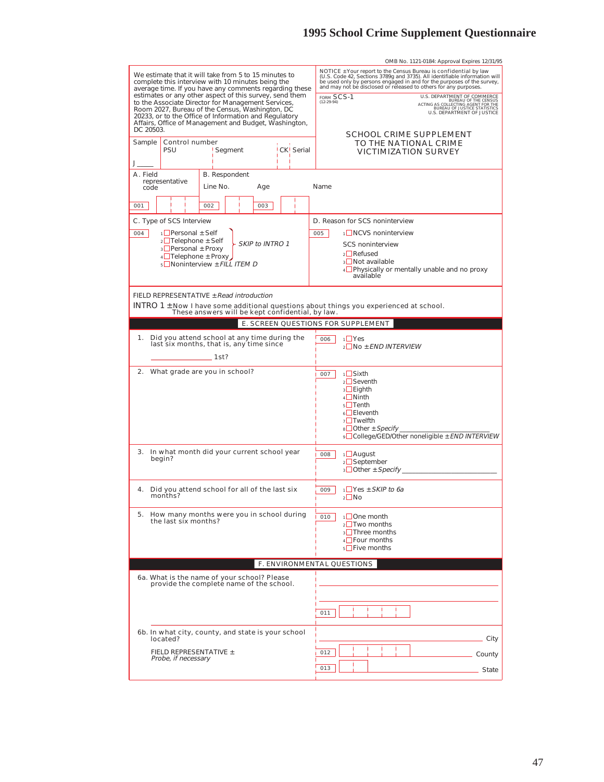|                                                                                                                                                                                                                                                                                                                                                                                                   | OMB No. 1121-0184: Approval Expires 12/31/95                                                                                                                                                                                                                                                                                                                                                                                                                       |
|---------------------------------------------------------------------------------------------------------------------------------------------------------------------------------------------------------------------------------------------------------------------------------------------------------------------------------------------------------------------------------------------------|--------------------------------------------------------------------------------------------------------------------------------------------------------------------------------------------------------------------------------------------------------------------------------------------------------------------------------------------------------------------------------------------------------------------------------------------------------------------|
| We estimate that it will take from 5 to 15 minutes to<br>complete this interview with 10 minutes being the<br>average time. If you have any comments regarding these<br>estimates or any other aspect of this survey, send them<br>to the Associate Director for Management Services,<br>Room 2027, Bureau of the Census, Washington, DC<br>20233, or to the Office of Information and Regulatory | NOTICE ± Your report to the Census Bureau is confidential by law<br>(U.S. Code 42, Sections 3789g and 3735). All identifiable information will be used only by persons engaged in and for the purposes of the survey,<br>and may not be disclosed or released to others for any purposes.<br>U.S. DEPARTMENT OF COMMERCE<br>FORM SCS-1<br>BUREAU OF THE CENSUS<br>ACTING AS COLLECTING AGENT FOR THE<br>BUREAU OF JUSTICE STATISTICS<br>U.S. DEPARTMENT OF JUSTICE |
| Affairs, Office of Management and Budget, Washington,<br>DC 20503.                                                                                                                                                                                                                                                                                                                                | SCHOOL CRIME SUPPLEMENT                                                                                                                                                                                                                                                                                                                                                                                                                                            |
| Control number<br>Sample<br>CK <sup>I</sup> Serial<br>PSU<br>Segment                                                                                                                                                                                                                                                                                                                              | TO THE NATIONAL CRIME<br><b>VICTIMIZATION SURVEY</b>                                                                                                                                                                                                                                                                                                                                                                                                               |
|                                                                                                                                                                                                                                                                                                                                                                                                   |                                                                                                                                                                                                                                                                                                                                                                                                                                                                    |
| A. Field<br><b>B.</b> Respondent<br>representative<br>Line No.<br>Age<br>code                                                                                                                                                                                                                                                                                                                     | Name                                                                                                                                                                                                                                                                                                                                                                                                                                                               |
| 001<br>002<br>003                                                                                                                                                                                                                                                                                                                                                                                 |                                                                                                                                                                                                                                                                                                                                                                                                                                                                    |
| C. Type of SCS Interview                                                                                                                                                                                                                                                                                                                                                                          | D. Reason for SCS noninterview                                                                                                                                                                                                                                                                                                                                                                                                                                     |
| $\frac{1}{2}$ Personal $\pm$ Self<br>004                                                                                                                                                                                                                                                                                                                                                          | 1□ NCVS noninterview<br>005                                                                                                                                                                                                                                                                                                                                                                                                                                        |
| $2 \Box$ Telephone $\pm$ Self<br>SKIP to INTRO 1<br>$\sqrt{3}$ Personal $\pm$ Proxy                                                                                                                                                                                                                                                                                                               | <b>SCS</b> noninterview                                                                                                                                                                                                                                                                                                                                                                                                                                            |
| $4\Box$ Telephone $\pm$ Proxy                                                                                                                                                                                                                                                                                                                                                                     | $2$ Refused                                                                                                                                                                                                                                                                                                                                                                                                                                                        |
| $5$ Noninterview $\pm$ FILL ITEM D                                                                                                                                                                                                                                                                                                                                                                | $3$ Not available<br>4 Physically or mentally unable and no proxy                                                                                                                                                                                                                                                                                                                                                                                                  |
|                                                                                                                                                                                                                                                                                                                                                                                                   | available                                                                                                                                                                                                                                                                                                                                                                                                                                                          |
| FIELD REPRESENTATIVE ± Read introduction<br>INTRO 1 $\pm$ Now I have some additional questions about things you experienced at school.<br>These answers will be kept confidential, by law.                                                                                                                                                                                                        |                                                                                                                                                                                                                                                                                                                                                                                                                                                                    |
|                                                                                                                                                                                                                                                                                                                                                                                                   | E. SCREEN QUESTIONS FOR SUPPLEMENT                                                                                                                                                                                                                                                                                                                                                                                                                                 |
| 1.<br>Did you attend school at any time during the<br>last six months, that is, any time since                                                                                                                                                                                                                                                                                                    | $1$ <sup><math>Y</math>es</sup><br>006<br>$2$ No $\pm$ END INTERVIEW                                                                                                                                                                                                                                                                                                                                                                                               |
| _______ 1st?                                                                                                                                                                                                                                                                                                                                                                                      |                                                                                                                                                                                                                                                                                                                                                                                                                                                                    |
| 2. What grade are you in school?                                                                                                                                                                                                                                                                                                                                                                  | <sub>1</sub> ∟Sixth<br>007<br>$2$ Seventh<br>$3 \Box$ Eighth<br>$4$ Ninth<br>$5$ Tenth<br>$6$ Eleventh<br><sub>7</sub> Twelfth<br>$8$ Other $\pm$ Specify<br>∘ College/GED/Other noneligible ± END INTERVIEW                                                                                                                                                                                                                                                       |
| In what month did your current school year<br>3.<br>begin?                                                                                                                                                                                                                                                                                                                                        | $1$ August<br>008<br>$2$ September<br>$\frac{1}{3}$ Other $\pm$ Specify _______                                                                                                                                                                                                                                                                                                                                                                                    |
| Did you attend school for all of the last six<br>4.<br>months?                                                                                                                                                                                                                                                                                                                                    | $1$ Yes $\pm$ SKIP to 6a<br>009<br>$2 \Box$ No                                                                                                                                                                                                                                                                                                                                                                                                                     |
| 5.<br>How many months were you in school during<br>the last six months?                                                                                                                                                                                                                                                                                                                           | $\Box$ One month<br>010<br>$2$ Two months<br>$\frac{1}{3}$ Three months<br>$4\Box$ Four months<br>$5\Box$ Five months                                                                                                                                                                                                                                                                                                                                              |
|                                                                                                                                                                                                                                                                                                                                                                                                   | F. ENVIRONMENTAL QUESTIONS                                                                                                                                                                                                                                                                                                                                                                                                                                         |
| 6a. What is the name of your school? Please<br>provide the complete name of the school.                                                                                                                                                                                                                                                                                                           |                                                                                                                                                                                                                                                                                                                                                                                                                                                                    |
|                                                                                                                                                                                                                                                                                                                                                                                                   | 011                                                                                                                                                                                                                                                                                                                                                                                                                                                                |
| 6b. In what city, county, and state is your school<br>located?                                                                                                                                                                                                                                                                                                                                    | City                                                                                                                                                                                                                                                                                                                                                                                                                                                               |
| FIELD REPRESENTATIVE ±                                                                                                                                                                                                                                                                                                                                                                            | 012                                                                                                                                                                                                                                                                                                                                                                                                                                                                |
| Probe, if necessary                                                                                                                                                                                                                                                                                                                                                                               | County                                                                                                                                                                                                                                                                                                                                                                                                                                                             |
|                                                                                                                                                                                                                                                                                                                                                                                                   | 013<br>State                                                                                                                                                                                                                                                                                                                                                                                                                                                       |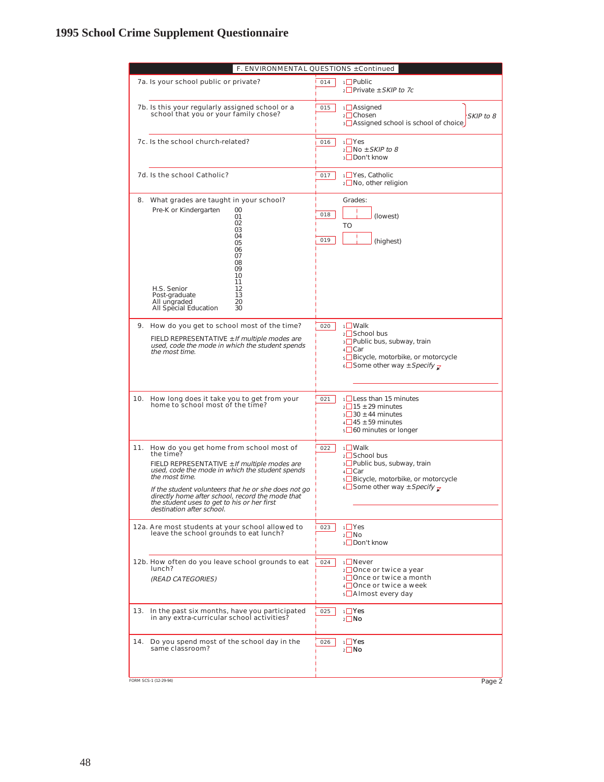|     | F. ENVIRONMENTAL QUESTIONS ± Continued                                                                                                                                                                                                                                                                                                                                |            |                                                                                                                                                                                         |  |  |  |
|-----|-----------------------------------------------------------------------------------------------------------------------------------------------------------------------------------------------------------------------------------------------------------------------------------------------------------------------------------------------------------------------|------------|-----------------------------------------------------------------------------------------------------------------------------------------------------------------------------------------|--|--|--|
|     | 7a. Is your school public or private?                                                                                                                                                                                                                                                                                                                                 | 014        | $1$ Public<br>$2$ Private ± SKIP to 7c                                                                                                                                                  |  |  |  |
|     | 7b. Is this your regularly assigned school or a<br>school that you or your family chose?                                                                                                                                                                                                                                                                              | 015        | $1$ Assigned<br>$2$ Chosen<br>SKIP to 8<br>3 Assigned school is school of choice                                                                                                        |  |  |  |
|     | 7c. Is the school church-related?                                                                                                                                                                                                                                                                                                                                     | 016        | $1 \square$ Yes<br>$2$ No $\pm$ SKIP to 8<br>3□Don't know                                                                                                                               |  |  |  |
|     | 7d. Is the school Catholic?                                                                                                                                                                                                                                                                                                                                           | 017        | 1□ Yes, Catholic<br>$2$ No, other religion                                                                                                                                              |  |  |  |
|     | 8. What grades are taught in your school?<br>Pre-K or Kindergarten<br>00<br>01<br>02<br>03<br>04<br>05<br>06<br>07<br>08<br>09<br>10<br>11<br>H.S. Senior<br>12<br>Post-graduate<br>13<br>All unqraded<br>20<br>All Special Education<br>30                                                                                                                           | 018<br>019 | Grades:<br>(lowest)<br>TO<br>(highest)                                                                                                                                                  |  |  |  |
|     | 9. How do you get to school most of the time?<br>FIELD REPRESENTATIVE $\pm$ If multiple modes are<br>used, code the mode in which the student spends<br>the most time.                                                                                                                                                                                                | 020        | $1$ Walk<br>$2$ School bus<br>3 <sup>D</sup> Public bus, subway, train<br>$4$ Car<br>5 <sup>□</sup> Bicycle, motorbike, or motorcycle<br>$\text{6}$ Some other way ± Specify $\text{z}$ |  |  |  |
|     | 10. How long does it take you to get from your<br>home to school most of the time?                                                                                                                                                                                                                                                                                    | 021        | $1$ Less than 15 minutes<br>$2 \square$ 15 ± 29 minutes<br>$3\overline{\square}30 \pm 44$ minutes<br>$4\overline{\square}$ 45 ± 59 minutes<br>$5\Box 60$ minutes or longer              |  |  |  |
| 11. | How do you get home from school most of<br>the time?<br>FIELD REPRESENTATIVE $\pm$ If multiple modes are<br>used, code the mode in which the student spends<br>the most time.<br>If the student volunteers that he or she does not go<br>directly home after school, record the mode that<br>the student uses to get to his or her first<br>destination after school. | 022        | $1$ Walk<br>$2$ School bus<br>3□ Public bus, subway, train<br>$4 \Box$ Car<br>5 <sup>□</sup> Bicycle, motorbike, or motorcycle<br>6 Some other way ± Specify $\bar{z}$                  |  |  |  |
|     | 12a. Are most students at your school allowed to<br>leave the school grounds to eat lunch?                                                                                                                                                                                                                                                                            | 023        | $1$ Yes<br>$2$ No<br><sub>3</sub> □Don't know                                                                                                                                           |  |  |  |
|     | 12b. How often do you leave school grounds to eat<br>lunch?<br>(READ CATEGORIES)                                                                                                                                                                                                                                                                                      | 024        | 1 <b>□</b> Never<br>2□ Once or twice a year<br>3□ Once or twice a month<br>$4\Box$ Once or twice a week<br>5 Almost every day                                                           |  |  |  |
| 13. | In the past six months, have you participated<br>in any extra-curricular school activities?                                                                                                                                                                                                                                                                           | 025        | $\sqrt{1 + Y}$<br>$2 \Box$ No                                                                                                                                                           |  |  |  |
| 14. | Do you spend most of the school day in the<br>same classroom?                                                                                                                                                                                                                                                                                                         | 026        | $1$ Yes<br>$2 \Box$ No                                                                                                                                                                  |  |  |  |
|     | FORM SCS-1 (12-29-94)                                                                                                                                                                                                                                                                                                                                                 |            | Page 2                                                                                                                                                                                  |  |  |  |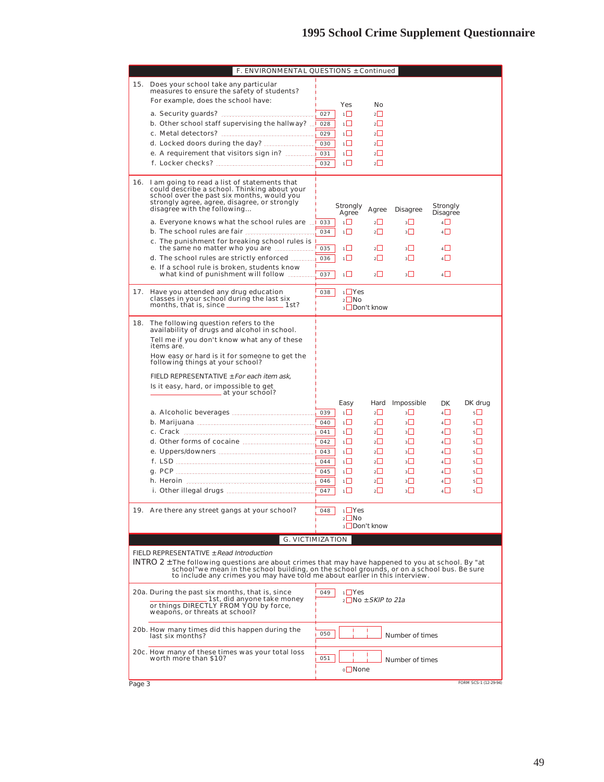|        | F. ENVIRONMENTAL QUESTIONS ± Continued                                                                                                                                                                                                                                             |     |                   |                                                |                                  |                 |                      |                       |
|--------|------------------------------------------------------------------------------------------------------------------------------------------------------------------------------------------------------------------------------------------------------------------------------------|-----|-------------------|------------------------------------------------|----------------------------------|-----------------|----------------------|-----------------------|
| 15.    | Does your school take any particular<br>measures to ensure the safety of students?                                                                                                                                                                                                 |     |                   |                                                |                                  |                 |                      |                       |
|        | For example, does the school have:                                                                                                                                                                                                                                                 |     | Yes               |                                                | No                               |                 |                      |                       |
|        |                                                                                                                                                                                                                                                                                    | 027 | $\overline{1}$    |                                                | $\overline{2}$                   |                 |                      |                       |
|        | b. Other school staff supervising the hallway?                                                                                                                                                                                                                                     | 028 | 1                 |                                                | $2$                              |                 |                      |                       |
|        | c. Metal detectors?<br>والمتحاد والمتحالة والمتحالة والمتحاد                                                                                                                                                                                                                       | 029 | 1                 |                                                | $2\Box$                          |                 |                      |                       |
|        | d. Locked doors during the day?                                                                                                                                                                                                                                                    | 030 | ıП                |                                                | $\overline{2}$                   |                 |                      |                       |
|        | e. A requirement that visitors sign in?                                                                                                                                                                                                                                            | 031 | $\overline{1}$    |                                                | $\overline{2}$                   |                 |                      |                       |
|        | f. Locker checks?                                                                                                                                                                                                                                                                  | 032 | 1∐                |                                                | $2\Box$                          |                 |                      |                       |
|        |                                                                                                                                                                                                                                                                                    |     |                   |                                                |                                  |                 |                      |                       |
| 16.    | I am going to read a list of statements that<br>could describe a school. Thinking about your<br>school over the past six months, would you<br>strongly agree, agree, disagree, or strongly<br>disagree with the following                                                          |     | Strongly<br>Agree |                                                | Agree                            | Disagree        | Strongly<br>Disagree |                       |
|        | a. Everyone knows what the school rules are                                                                                                                                                                                                                                        | 033 | ıП                |                                                | $2\Box$                          | $3\Box$         | $4\Box$              |                       |
|        | b. The school rules are fair                                                                                                                                                                                                                                                       | 034 | 1                 |                                                | $2\Box$                          | 3               | 4                    |                       |
|        | c. The punishment for breaking school rules is                                                                                                                                                                                                                                     |     |                   |                                                |                                  |                 |                      |                       |
|        | the same no matter who you are manuscript                                                                                                                                                                                                                                          | 035 | 1                 |                                                | 2                                | $3 \Box$        | 4                    |                       |
|        | d. The school rules are strictly enforced.                                                                                                                                                                                                                                         | 036 | 1Ш                |                                                | $2\Box$                          | $3\Box$         | 4                    |                       |
|        | e. If a school rule is broken, students know                                                                                                                                                                                                                                       |     |                   |                                                |                                  |                 |                      |                       |
|        | what kind of punishment will follow                                                                                                                                                                                                                                                | 037 | 1                 |                                                | $\overline{2}$                   | 3 L             | $4\Box$              |                       |
| 17.    | Have you attended any drug education<br>classes in your school during the last six                                                                                                                                                                                                 | 038 |                   | $1$ <sup><math>\Box</math></sup> Yes<br>$2$ No | 3□Don't know                     |                 |                      |                       |
| 18.    |                                                                                                                                                                                                                                                                                    |     |                   |                                                |                                  |                 |                      |                       |
|        | The following question refers to the<br>availability of drugs and alcohol in school.<br>Tell me if you don't know what any of these<br>items are.                                                                                                                                  |     |                   |                                                |                                  |                 |                      |                       |
|        | How easy or hard is it for someone to get the<br>following things at your school?                                                                                                                                                                                                  |     |                   |                                                |                                  |                 |                      |                       |
|        |                                                                                                                                                                                                                                                                                    |     |                   |                                                |                                  |                 |                      |                       |
|        | FIELD REPRESENTATIVE $\pm$ For each item ask,                                                                                                                                                                                                                                      |     |                   |                                                |                                  |                 |                      |                       |
|        | Is it easy, hard, or impossible to get<br>at your school?                                                                                                                                                                                                                          |     |                   |                                                |                                  |                 |                      |                       |
|        |                                                                                                                                                                                                                                                                                    |     | Easy              |                                                | Hard                             | Impossible      | DK                   | DK drug               |
|        |                                                                                                                                                                                                                                                                                    | 039 | 1                 |                                                | $2\Box$                          | 3 Ш             | $\overline{4}$       | $5\Box$               |
|        |                                                                                                                                                                                                                                                                                    | 040 | $\mathbf{1}$      |                                                | $\overline{2}$                   | 3               | $4\Box$              | $5\Box$               |
|        | c. Crack                                                                                                                                                                                                                                                                           | 041 | $1 \Box$          |                                                | $2\Box$                          | $3 \mid$        | 4                    | 5                     |
|        | d. Other forms of cocaine                                                                                                                                                                                                                                                          | 042 | 1                 |                                                | 2                                | 3 L I           | 4                    | $5$ $\Box$            |
|        |                                                                                                                                                                                                                                                                                    | 043 | 1                 |                                                | $2\Box$                          | 3 Ш             | $\overline{4}$       | $5\Box$               |
|        |                                                                                                                                                                                                                                                                                    | 044 | 1                 |                                                | 2                                | $3\Box$         | $4\Box$              | 5                     |
|        | g. PCP                                                                                                                                                                                                                                                                             | 045 | 1                 |                                                | $2\Box$                          | ا _ا 3          | $4 \Box$             | $5\Box$               |
|        |                                                                                                                                                                                                                                                                                    | 046 | $\mathbf{1}$      |                                                | $\overline{2}$                   | 3               | $4\Box$              | 5                     |
|        |                                                                                                                                                                                                                                                                                    | 047 | 1                 |                                                | $2\Box$                          | 3               | $4\Box$              | $5\Box$               |
|        |                                                                                                                                                                                                                                                                                    |     |                   |                                                |                                  |                 |                      |                       |
|        | 19. Are there any street gangs at your school?                                                                                                                                                                                                                                     | 048 |                   | $1$ <sup>Ves</sup><br>$2$ No                   |                                  |                 |                      |                       |
|        |                                                                                                                                                                                                                                                                                    |     |                   |                                                | 3□Don't know                     |                 |                      |                       |
|        | <b>G. VICTIMIZATION</b>                                                                                                                                                                                                                                                            |     |                   |                                                |                                  |                 |                      |                       |
|        | FIELD REPRESENTATIVE ± Read Introduction                                                                                                                                                                                                                                           |     |                   |                                                |                                  |                 |                      |                       |
|        | INTRO 2 $\pm$ The following questions are about crimes that may have happened to you at school. By "at<br>school"we mean in the school building, on the school grounds, or on a school bus. Be sure<br>to include any crimes you may have told me about earlier in this interview. |     |                   |                                                |                                  |                 |                      |                       |
|        |                                                                                                                                                                                                                                                                                    |     |                   |                                                |                                  |                 |                      |                       |
|        | 20a. During the past six months, that is, since<br>1st, did anyone take money                                                                                                                                                                                                      | 049 |                   | $1$ <sup>Ves</sup>                             | $_2\square$ No $\pm$ SKIP to 21a |                 |                      |                       |
|        | or things DIRECTLY FROM YOU by force,                                                                                                                                                                                                                                              |     |                   |                                                |                                  |                 |                      |                       |
|        | weapons, or threats at school?                                                                                                                                                                                                                                                     |     |                   |                                                |                                  |                 |                      |                       |
|        |                                                                                                                                                                                                                                                                                    |     |                   |                                                |                                  |                 |                      |                       |
|        | 20b. How many times did this happen during the<br>last six months?                                                                                                                                                                                                                 | 050 |                   |                                                |                                  | Number of times |                      |                       |
|        |                                                                                                                                                                                                                                                                                    |     |                   |                                                |                                  |                 |                      |                       |
|        | 20c. How many of these times was your total loss<br>worth more than \$10?                                                                                                                                                                                                          | 051 |                   |                                                |                                  |                 |                      |                       |
|        |                                                                                                                                                                                                                                                                                    |     |                   |                                                |                                  | Number of times |                      |                       |
|        |                                                                                                                                                                                                                                                                                    |     |                   | o <b>□</b> None                                |                                  |                 |                      |                       |
| Page 3 |                                                                                                                                                                                                                                                                                    |     |                   |                                                |                                  |                 |                      | FORM SCS-1 (12-29-94) |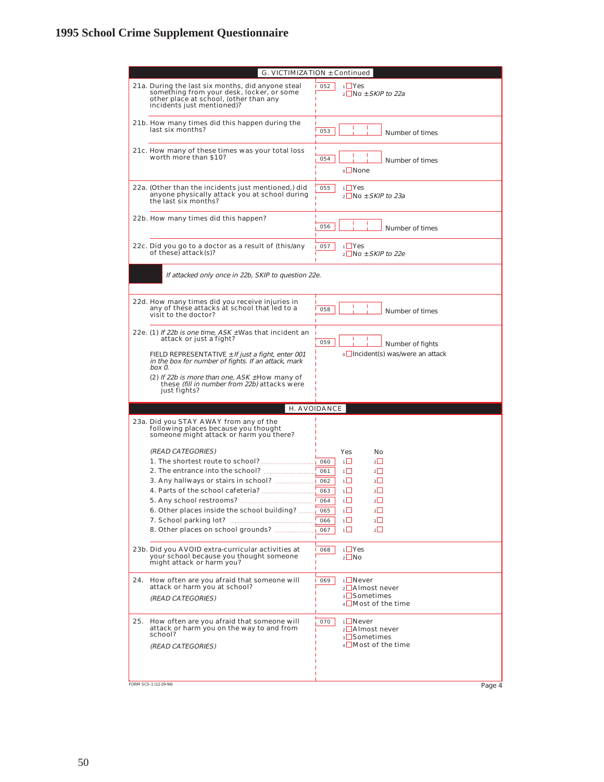| 21a. During the last six months, did anyone steal<br>052<br>$1$ Yes<br>something from your desk, locker, or some<br>$2$ No $\pm$ SKIP to 22a<br>other place at school, (other than any<br>incidents just mentioned)?<br>21b. How many times did this happen during the<br>last six months?<br>053<br>Number of times<br>21c. How many of these times was your total loss<br>worth more than \$10?<br>054<br>Number of times<br>$\circ$ None<br>$1$ Yes<br>22a. (Other than the incidents just mentioned,) did<br>055<br>anyone physically attack you at school during<br>$_2\Box$ No $\pm$ SKIP to 23a<br>the last six months?<br>22b. How many times did this happen?<br>056<br>Number of times<br>22c. Did you go to a doctor as a result of (this/any<br>$1 \square$ Yes<br>057<br>of these) attack(s)?<br>$2$ No $\pm$ SKIP to 22e<br>If attacked only once in 22b, SKIP to question 22e.<br>22d. How many times did you receive injuries in<br>any of these attacks at school that led to a<br>058<br>Number of times<br>visit to the doctor?<br>22e. (1) If 22b is one time, $ASK \pm$ Was that incident an<br>attack or just a fight?<br>059<br>Number of fights<br>o□ Incident(s) was/were an attack<br>FIELD REPRESENTATIVE $\pm$ If just a fight, enter 001<br>in the box for number of fights. If an attack, mark<br>box 0.<br>(2) If 22b is more than one, ASK $\pm$ How many of<br>these (fill in number from 22b) attacks were<br>just fights?<br>H. AVOIDANCE<br>23a. Did you STAY AWAY from any of the<br>following places because you thought<br>someone might attack or harm you there?<br>(READ CATEGORIES)<br>Yes<br>Nο<br>1. The shortest route to school?<br>$1\Box$<br>$2\Box$<br>060<br>2. The entrance into the school?<br>$\overline{1}$<br>$\overline{2}$<br>061<br>3. Any hallways or stairs in school?<br>$1\Box$<br>$2^{\Box}$<br>062<br>4. Parts of the school cafeteria?<br>$\overline{1}$<br>2<br>063<br>$\overline{1}$<br>$\overline{2}$<br>5. Any school restrooms?<br>064<br>6. Other places inside the school building?<br>$2\Box$<br>1 L.J<br>065<br>7. School parking lot?<br>1 I<br>$\mathcal{P}$<br>066<br>ıП<br>$\overline{2}$<br>8. Other places on school grounds?<br>067<br>$1 \cup Y$ es<br>23b. Did you AVOID extra-curricular activities at<br>068<br>your school because you thought someone<br>$2 \Box$ No<br>might attack or harm you?<br><sub>1</sub> ∟Never<br>24.<br>How often are you afraid that someone will<br>069<br>attack or harm you at school?<br>2 <b>□</b> Almost never<br><sub>3</sub> □Sometimes<br>(READ CATEGORIES)<br>$4 \Box$ Most of the time<br>$1$ Never<br>25.<br>How often are you afraid that someone will<br>070<br>attack or harm you on the way to and from<br>$2$ <b>Almost never</b><br>school?<br>3 <b>□Sometimes</b><br>4□Most of the time<br>(READ CATEGORIES)<br>FORM SCS-1 (12-29-94)<br>Page 4 | G. VICTIMIZATION ± Continued |  |  |  |  |
|----------------------------------------------------------------------------------------------------------------------------------------------------------------------------------------------------------------------------------------------------------------------------------------------------------------------------------------------------------------------------------------------------------------------------------------------------------------------------------------------------------------------------------------------------------------------------------------------------------------------------------------------------------------------------------------------------------------------------------------------------------------------------------------------------------------------------------------------------------------------------------------------------------------------------------------------------------------------------------------------------------------------------------------------------------------------------------------------------------------------------------------------------------------------------------------------------------------------------------------------------------------------------------------------------------------------------------------------------------------------------------------------------------------------------------------------------------------------------------------------------------------------------------------------------------------------------------------------------------------------------------------------------------------------------------------------------------------------------------------------------------------------------------------------------------------------------------------------------------------------------------------------------------------------------------------------------------------------------------------------------------------------------------------------------------------------------------------------------------------------------------------------------------------------------------------------------------------------------------------------------------------------------------------------------------------------------------------------------------------------------------------------------------------------------------------------------------------------------------------------------------------------------------------------------------------------------------------------------------------------------------------------------------------------------------------------------------------------------------------------------------------------------------------------------------------------------------------------------------------------------------------|------------------------------|--|--|--|--|
|                                                                                                                                                                                                                                                                                                                                                                                                                                                                                                                                                                                                                                                                                                                                                                                                                                                                                                                                                                                                                                                                                                                                                                                                                                                                                                                                                                                                                                                                                                                                                                                                                                                                                                                                                                                                                                                                                                                                                                                                                                                                                                                                                                                                                                                                                                                                                                                                                                                                                                                                                                                                                                                                                                                                                                                                                                                                                        |                              |  |  |  |  |
|                                                                                                                                                                                                                                                                                                                                                                                                                                                                                                                                                                                                                                                                                                                                                                                                                                                                                                                                                                                                                                                                                                                                                                                                                                                                                                                                                                                                                                                                                                                                                                                                                                                                                                                                                                                                                                                                                                                                                                                                                                                                                                                                                                                                                                                                                                                                                                                                                                                                                                                                                                                                                                                                                                                                                                                                                                                                                        |                              |  |  |  |  |
|                                                                                                                                                                                                                                                                                                                                                                                                                                                                                                                                                                                                                                                                                                                                                                                                                                                                                                                                                                                                                                                                                                                                                                                                                                                                                                                                                                                                                                                                                                                                                                                                                                                                                                                                                                                                                                                                                                                                                                                                                                                                                                                                                                                                                                                                                                                                                                                                                                                                                                                                                                                                                                                                                                                                                                                                                                                                                        |                              |  |  |  |  |
|                                                                                                                                                                                                                                                                                                                                                                                                                                                                                                                                                                                                                                                                                                                                                                                                                                                                                                                                                                                                                                                                                                                                                                                                                                                                                                                                                                                                                                                                                                                                                                                                                                                                                                                                                                                                                                                                                                                                                                                                                                                                                                                                                                                                                                                                                                                                                                                                                                                                                                                                                                                                                                                                                                                                                                                                                                                                                        |                              |  |  |  |  |
|                                                                                                                                                                                                                                                                                                                                                                                                                                                                                                                                                                                                                                                                                                                                                                                                                                                                                                                                                                                                                                                                                                                                                                                                                                                                                                                                                                                                                                                                                                                                                                                                                                                                                                                                                                                                                                                                                                                                                                                                                                                                                                                                                                                                                                                                                                                                                                                                                                                                                                                                                                                                                                                                                                                                                                                                                                                                                        |                              |  |  |  |  |
|                                                                                                                                                                                                                                                                                                                                                                                                                                                                                                                                                                                                                                                                                                                                                                                                                                                                                                                                                                                                                                                                                                                                                                                                                                                                                                                                                                                                                                                                                                                                                                                                                                                                                                                                                                                                                                                                                                                                                                                                                                                                                                                                                                                                                                                                                                                                                                                                                                                                                                                                                                                                                                                                                                                                                                                                                                                                                        |                              |  |  |  |  |
|                                                                                                                                                                                                                                                                                                                                                                                                                                                                                                                                                                                                                                                                                                                                                                                                                                                                                                                                                                                                                                                                                                                                                                                                                                                                                                                                                                                                                                                                                                                                                                                                                                                                                                                                                                                                                                                                                                                                                                                                                                                                                                                                                                                                                                                                                                                                                                                                                                                                                                                                                                                                                                                                                                                                                                                                                                                                                        |                              |  |  |  |  |
|                                                                                                                                                                                                                                                                                                                                                                                                                                                                                                                                                                                                                                                                                                                                                                                                                                                                                                                                                                                                                                                                                                                                                                                                                                                                                                                                                                                                                                                                                                                                                                                                                                                                                                                                                                                                                                                                                                                                                                                                                                                                                                                                                                                                                                                                                                                                                                                                                                                                                                                                                                                                                                                                                                                                                                                                                                                                                        |                              |  |  |  |  |
|                                                                                                                                                                                                                                                                                                                                                                                                                                                                                                                                                                                                                                                                                                                                                                                                                                                                                                                                                                                                                                                                                                                                                                                                                                                                                                                                                                                                                                                                                                                                                                                                                                                                                                                                                                                                                                                                                                                                                                                                                                                                                                                                                                                                                                                                                                                                                                                                                                                                                                                                                                                                                                                                                                                                                                                                                                                                                        |                              |  |  |  |  |
|                                                                                                                                                                                                                                                                                                                                                                                                                                                                                                                                                                                                                                                                                                                                                                                                                                                                                                                                                                                                                                                                                                                                                                                                                                                                                                                                                                                                                                                                                                                                                                                                                                                                                                                                                                                                                                                                                                                                                                                                                                                                                                                                                                                                                                                                                                                                                                                                                                                                                                                                                                                                                                                                                                                                                                                                                                                                                        |                              |  |  |  |  |
|                                                                                                                                                                                                                                                                                                                                                                                                                                                                                                                                                                                                                                                                                                                                                                                                                                                                                                                                                                                                                                                                                                                                                                                                                                                                                                                                                                                                                                                                                                                                                                                                                                                                                                                                                                                                                                                                                                                                                                                                                                                                                                                                                                                                                                                                                                                                                                                                                                                                                                                                                                                                                                                                                                                                                                                                                                                                                        |                              |  |  |  |  |
|                                                                                                                                                                                                                                                                                                                                                                                                                                                                                                                                                                                                                                                                                                                                                                                                                                                                                                                                                                                                                                                                                                                                                                                                                                                                                                                                                                                                                                                                                                                                                                                                                                                                                                                                                                                                                                                                                                                                                                                                                                                                                                                                                                                                                                                                                                                                                                                                                                                                                                                                                                                                                                                                                                                                                                                                                                                                                        |                              |  |  |  |  |
|                                                                                                                                                                                                                                                                                                                                                                                                                                                                                                                                                                                                                                                                                                                                                                                                                                                                                                                                                                                                                                                                                                                                                                                                                                                                                                                                                                                                                                                                                                                                                                                                                                                                                                                                                                                                                                                                                                                                                                                                                                                                                                                                                                                                                                                                                                                                                                                                                                                                                                                                                                                                                                                                                                                                                                                                                                                                                        |                              |  |  |  |  |
|                                                                                                                                                                                                                                                                                                                                                                                                                                                                                                                                                                                                                                                                                                                                                                                                                                                                                                                                                                                                                                                                                                                                                                                                                                                                                                                                                                                                                                                                                                                                                                                                                                                                                                                                                                                                                                                                                                                                                                                                                                                                                                                                                                                                                                                                                                                                                                                                                                                                                                                                                                                                                                                                                                                                                                                                                                                                                        |                              |  |  |  |  |
|                                                                                                                                                                                                                                                                                                                                                                                                                                                                                                                                                                                                                                                                                                                                                                                                                                                                                                                                                                                                                                                                                                                                                                                                                                                                                                                                                                                                                                                                                                                                                                                                                                                                                                                                                                                                                                                                                                                                                                                                                                                                                                                                                                                                                                                                                                                                                                                                                                                                                                                                                                                                                                                                                                                                                                                                                                                                                        |                              |  |  |  |  |
|                                                                                                                                                                                                                                                                                                                                                                                                                                                                                                                                                                                                                                                                                                                                                                                                                                                                                                                                                                                                                                                                                                                                                                                                                                                                                                                                                                                                                                                                                                                                                                                                                                                                                                                                                                                                                                                                                                                                                                                                                                                                                                                                                                                                                                                                                                                                                                                                                                                                                                                                                                                                                                                                                                                                                                                                                                                                                        |                              |  |  |  |  |
|                                                                                                                                                                                                                                                                                                                                                                                                                                                                                                                                                                                                                                                                                                                                                                                                                                                                                                                                                                                                                                                                                                                                                                                                                                                                                                                                                                                                                                                                                                                                                                                                                                                                                                                                                                                                                                                                                                                                                                                                                                                                                                                                                                                                                                                                                                                                                                                                                                                                                                                                                                                                                                                                                                                                                                                                                                                                                        |                              |  |  |  |  |
|                                                                                                                                                                                                                                                                                                                                                                                                                                                                                                                                                                                                                                                                                                                                                                                                                                                                                                                                                                                                                                                                                                                                                                                                                                                                                                                                                                                                                                                                                                                                                                                                                                                                                                                                                                                                                                                                                                                                                                                                                                                                                                                                                                                                                                                                                                                                                                                                                                                                                                                                                                                                                                                                                                                                                                                                                                                                                        |                              |  |  |  |  |
|                                                                                                                                                                                                                                                                                                                                                                                                                                                                                                                                                                                                                                                                                                                                                                                                                                                                                                                                                                                                                                                                                                                                                                                                                                                                                                                                                                                                                                                                                                                                                                                                                                                                                                                                                                                                                                                                                                                                                                                                                                                                                                                                                                                                                                                                                                                                                                                                                                                                                                                                                                                                                                                                                                                                                                                                                                                                                        |                              |  |  |  |  |
|                                                                                                                                                                                                                                                                                                                                                                                                                                                                                                                                                                                                                                                                                                                                                                                                                                                                                                                                                                                                                                                                                                                                                                                                                                                                                                                                                                                                                                                                                                                                                                                                                                                                                                                                                                                                                                                                                                                                                                                                                                                                                                                                                                                                                                                                                                                                                                                                                                                                                                                                                                                                                                                                                                                                                                                                                                                                                        |                              |  |  |  |  |
|                                                                                                                                                                                                                                                                                                                                                                                                                                                                                                                                                                                                                                                                                                                                                                                                                                                                                                                                                                                                                                                                                                                                                                                                                                                                                                                                                                                                                                                                                                                                                                                                                                                                                                                                                                                                                                                                                                                                                                                                                                                                                                                                                                                                                                                                                                                                                                                                                                                                                                                                                                                                                                                                                                                                                                                                                                                                                        |                              |  |  |  |  |
|                                                                                                                                                                                                                                                                                                                                                                                                                                                                                                                                                                                                                                                                                                                                                                                                                                                                                                                                                                                                                                                                                                                                                                                                                                                                                                                                                                                                                                                                                                                                                                                                                                                                                                                                                                                                                                                                                                                                                                                                                                                                                                                                                                                                                                                                                                                                                                                                                                                                                                                                                                                                                                                                                                                                                                                                                                                                                        |                              |  |  |  |  |
|                                                                                                                                                                                                                                                                                                                                                                                                                                                                                                                                                                                                                                                                                                                                                                                                                                                                                                                                                                                                                                                                                                                                                                                                                                                                                                                                                                                                                                                                                                                                                                                                                                                                                                                                                                                                                                                                                                                                                                                                                                                                                                                                                                                                                                                                                                                                                                                                                                                                                                                                                                                                                                                                                                                                                                                                                                                                                        |                              |  |  |  |  |
|                                                                                                                                                                                                                                                                                                                                                                                                                                                                                                                                                                                                                                                                                                                                                                                                                                                                                                                                                                                                                                                                                                                                                                                                                                                                                                                                                                                                                                                                                                                                                                                                                                                                                                                                                                                                                                                                                                                                                                                                                                                                                                                                                                                                                                                                                                                                                                                                                                                                                                                                                                                                                                                                                                                                                                                                                                                                                        |                              |  |  |  |  |
|                                                                                                                                                                                                                                                                                                                                                                                                                                                                                                                                                                                                                                                                                                                                                                                                                                                                                                                                                                                                                                                                                                                                                                                                                                                                                                                                                                                                                                                                                                                                                                                                                                                                                                                                                                                                                                                                                                                                                                                                                                                                                                                                                                                                                                                                                                                                                                                                                                                                                                                                                                                                                                                                                                                                                                                                                                                                                        |                              |  |  |  |  |
|                                                                                                                                                                                                                                                                                                                                                                                                                                                                                                                                                                                                                                                                                                                                                                                                                                                                                                                                                                                                                                                                                                                                                                                                                                                                                                                                                                                                                                                                                                                                                                                                                                                                                                                                                                                                                                                                                                                                                                                                                                                                                                                                                                                                                                                                                                                                                                                                                                                                                                                                                                                                                                                                                                                                                                                                                                                                                        |                              |  |  |  |  |
|                                                                                                                                                                                                                                                                                                                                                                                                                                                                                                                                                                                                                                                                                                                                                                                                                                                                                                                                                                                                                                                                                                                                                                                                                                                                                                                                                                                                                                                                                                                                                                                                                                                                                                                                                                                                                                                                                                                                                                                                                                                                                                                                                                                                                                                                                                                                                                                                                                                                                                                                                                                                                                                                                                                                                                                                                                                                                        |                              |  |  |  |  |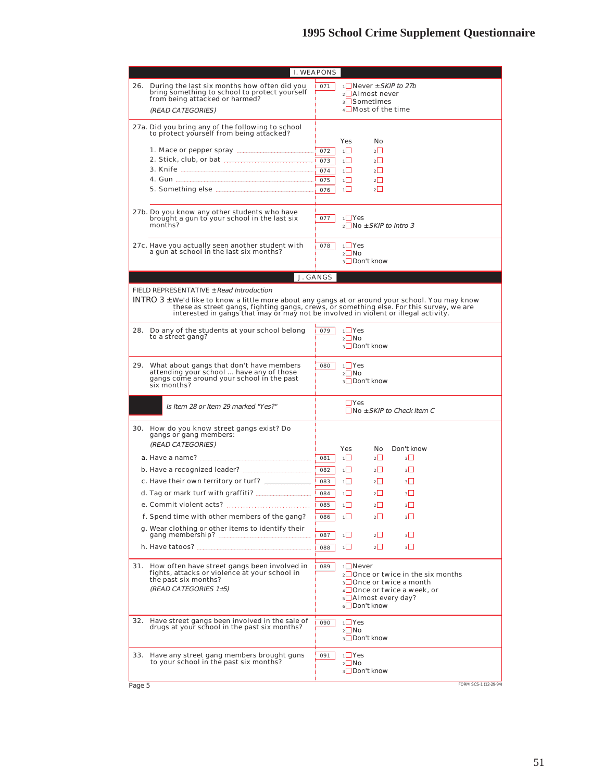|        |                                                                                                                                                                                                                                                                                                                              | I. WEAPONS                      |                                                                                                                                                        |
|--------|------------------------------------------------------------------------------------------------------------------------------------------------------------------------------------------------------------------------------------------------------------------------------------------------------------------------------|---------------------------------|--------------------------------------------------------------------------------------------------------------------------------------------------------|
| 26.    | During the last six months how often did you<br>bring something to school to protect yourself<br>from being attacked or harmed?<br>(READ CATEGORIES)                                                                                                                                                                         | 071                             | $1$ Never $\pm$ SKIP to 27b<br>$2$ Almost never<br><sub>3</sub> ⊔Sometimes<br>4□ Most of the time                                                      |
|        | 27a. Did you bring any of the following to school<br>to protect yourself from being attacked?                                                                                                                                                                                                                                |                                 | Yes<br>No                                                                                                                                              |
|        | 1. Mace or pepper spray manufacturers and the Mace or pepper spray manufacturers                                                                                                                                                                                                                                             | 072<br>073<br>074<br>075<br>076 | 1□<br>$2\Box$<br>$\overline{1}$<br>$2\Box$<br>ıП<br>$2\Box$<br>$\overline{1}$<br>$\overline{2}$<br>ıП<br>$2\Box$                                       |
|        | 27b. Do you know any other students who have<br>brought a gun to your school in the last six<br>months?                                                                                                                                                                                                                      | 077                             | $1 \cup Y$ es<br>$2$ No $\pm$ SKIP to Intro 3                                                                                                          |
|        | 27c. Have you actually seen another student with<br>a gun at school in the last six months?                                                                                                                                                                                                                                  | 078                             | $1$ <sup>Ves</sup><br>$2 \square$ No<br>3 Don't know                                                                                                   |
|        |                                                                                                                                                                                                                                                                                                                              | J. GANGS                        |                                                                                                                                                        |
|        | FIELD REPRESENTATIVE ± Read Introduction<br>INTRO 3 ± We'd like to know a little more about any gangs at or around your school. You may know these as street gangs, fighting gangs, crews, or something else. For this survey, we are<br>interested in gangs that may or may not be involved in violent or illegal activity. |                                 |                                                                                                                                                        |
| 28.    | Do any of the students at your school belong<br>to a street gang?                                                                                                                                                                                                                                                            | 079                             | $1 \square$ Yes<br>$\sqrt{2}$ No<br>3 Don't know                                                                                                       |
| 29.    | What about gangs that don't have members<br>attending your school  have any of those<br>gangs come around your school in the past<br>six months?                                                                                                                                                                             | 080                             | $1 \square$ Yes<br>$2 \Box$ No<br>3□ Don't know                                                                                                        |
|        | Is Item 28 or Item 29 marked "Yes?"                                                                                                                                                                                                                                                                                          |                                 | $\Box$ Yes<br>$\Box$ No $\pm$ SKIP to Check Item C                                                                                                     |
| 30.    | How do you know street gangs exist? Do<br>gangs or gang members:<br>(READ CATEGORIES)                                                                                                                                                                                                                                        |                                 | Yes<br>No.<br>Don't know                                                                                                                               |
|        |                                                                                                                                                                                                                                                                                                                              | 081                             | 1<br>$2\Box$<br>$3\Box$                                                                                                                                |
|        | b. Have a recognized leader?                                                                                                                                                                                                                                                                                                 | 082                             | ⊤Ш<br>$2 \Box$<br>$3+$                                                                                                                                 |
|        | c. Have their own territory or turf?                                                                                                                                                                                                                                                                                         | 083                             | 1∐<br>$2\Box$<br>$3\Box$                                                                                                                               |
|        | d. Tag or mark turf with graffiti?                                                                                                                                                                                                                                                                                           | 084                             | $1\Box$<br>$2\Box$<br>3                                                                                                                                |
|        | e. Commit violent acts?                                                                                                                                                                                                                                                                                                      | 085                             | ⊣⊔<br>$2 \Box$<br>$\overline{3}\overline{1}$                                                                                                           |
|        | f. Spend time with other members of the gang?                                                                                                                                                                                                                                                                                | 086                             | ıШ<br>$2\Box$<br>$3\Box$                                                                                                                               |
|        | g. Wear clothing or other items to identify their                                                                                                                                                                                                                                                                            | 087                             | $\overline{2}$<br>$3\Box$<br>1 L                                                                                                                       |
|        | h. Have tatoos? <b>Authorities</b>                                                                                                                                                                                                                                                                                           | 088                             | $2\Box$<br>$3\Box$<br>1                                                                                                                                |
| 31.    | How often have street gangs been involved in<br>fights, attacks or violence at your school in<br>the past six months?<br>(READ CATEGORIES 1±5)                                                                                                                                                                               | 089                             | 1□Never<br>$_2\Box$ Once or twice in the six months<br>3 □ Once or twice a month<br>4□ Once or twice a week, or<br>5 Almost every day?<br>6□Don't know |
| 32.    | Have street gangs been involved in the sale of<br>drugs at your school in the past six months?                                                                                                                                                                                                                               | 090                             | $1$ <sup>Yes</sup><br>$2$ No<br>3□Don't know                                                                                                           |
| 33.    | Have any street gang members brought guns<br>to your school in the past six months?                                                                                                                                                                                                                                          | 091                             | $1$ <sup>Ves</sup><br>$2 \Box$ No<br><sub>3</sub> □Don't know                                                                                          |
| Page 5 |                                                                                                                                                                                                                                                                                                                              |                                 | FORM SCS-1 (12-29-94)                                                                                                                                  |